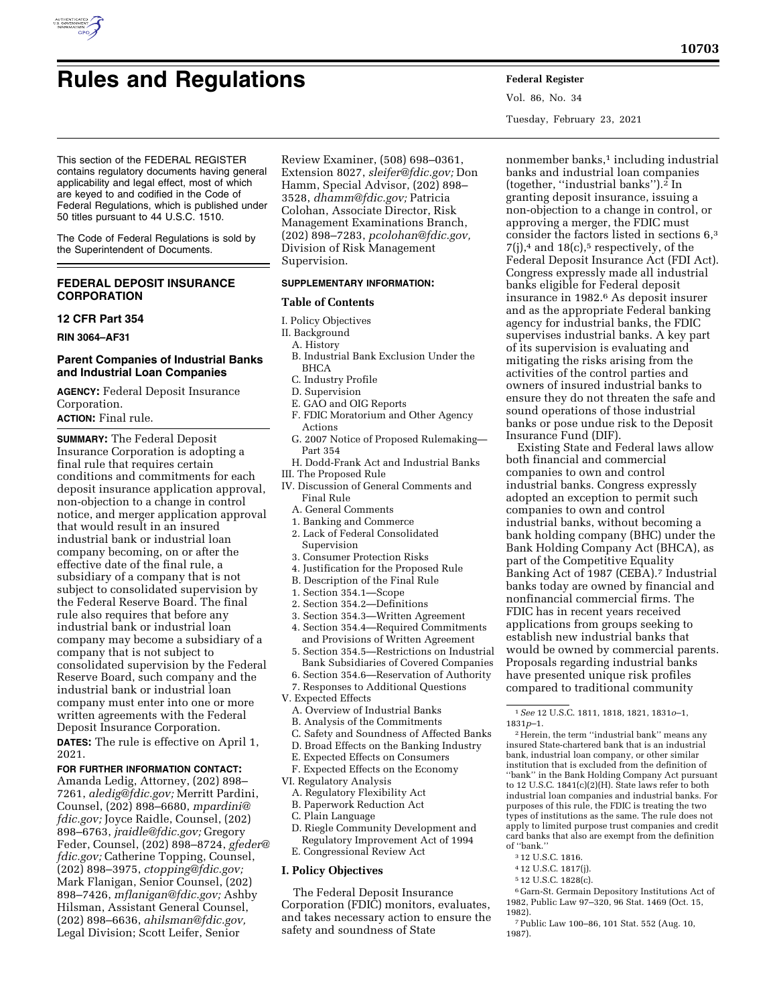# **Rules and Regulations Federal Register**

Vol. 86, No. 34 Tuesday, February 23, 2021

This section of the FEDERAL REGISTER contains regulatory documents having general applicability and legal effect, most of which are keyed to and codified in the Code of Federal Regulations, which is published under 50 titles pursuant to 44 U.S.C. 1510.

The Code of Federal Regulations is sold by the Superintendent of Documents.

## **FEDERAL DEPOSIT INSURANCE CORPORATION**

## **12 CFR Part 354**

**RIN 3064–AF31** 

## **Parent Companies of Industrial Banks and Industrial Loan Companies**

**AGENCY:** Federal Deposit Insurance Corporation. **ACTION:** Final rule.

**SUMMARY:** The Federal Deposit Insurance Corporation is adopting a final rule that requires certain conditions and commitments for each deposit insurance application approval, non-objection to a change in control notice, and merger application approval that would result in an insured industrial bank or industrial loan company becoming, on or after the effective date of the final rule, a subsidiary of a company that is not subject to consolidated supervision by the Federal Reserve Board. The final rule also requires that before any industrial bank or industrial loan company may become a subsidiary of a company that is not subject to consolidated supervision by the Federal Reserve Board, such company and the industrial bank or industrial loan company must enter into one or more written agreements with the Federal Deposit Insurance Corporation.

**DATES:** The rule is effective on April 1, 2021.

#### **FOR FURTHER INFORMATION CONTACT:**

Amanda Ledig, Attorney, (202) 898– 7261, *[aledig@fdic.gov;](mailto:aledig@fdic.gov)* Merritt Pardini, Counsel, (202) 898–6680, *[mpardini@](mailto:mpardini@fdic.gov) [fdic.gov;](mailto:mpardini@fdic.gov)* Joyce Raidle, Counsel, (202) 898–6763, *[jraidle@fdic.gov;](mailto:jraidle@fdic.gov)* Gregory Feder, Counsel, (202) 898–8724, *[gfeder@](mailto:gfeder@fdic.gov) [fdic.gov;](mailto:gfeder@fdic.gov)* Catherine Topping, Counsel, (202) 898–3975, *[ctopping@fdic.gov;](mailto:ctopping@fdic.gov)*  Mark Flanigan, Senior Counsel, (202) 898–7426, *[mflanigan@fdic.gov;](mailto:mflanigan@fdic.gov)* Ashby Hilsman, Assistant General Counsel, (202) 898–6636, *[ahilsman@fdic.gov,](mailto:ahilsman@fdic.gov)*  Legal Division; Scott Leifer, Senior

Review Examiner, (508) 698–0361, Extension 8027, *[sleifer@fdic.gov;](mailto:sleifer@fdic.gov)* Don Hamm, Special Advisor, (202) 898– 3528, *[dhamm@fdic.gov;](mailto:dhamm@fdic.gov)* Patricia Colohan, Associate Director, Risk Management Examinations Branch, (202) 898–7283, *[pcolohan@fdic.gov,](mailto:pcolohan@fdic.gov)*  Division of Risk Management Supervision.

#### **SUPPLEMENTARY INFORMATION:**

#### **Table of Contents**

- I. Policy Objectives
- II. Background
- A. History
- B. Industrial Bank Exclusion Under the BHCA
- C. Industry Profile
- D. Supervision
- E. GAO and OIG Reports
- F. FDIC Moratorium and Other Agency Actions
- G. 2007 Notice of Proposed Rulemaking— Part 354
- H. Dodd-Frank Act and Industrial Banks
- III. The Proposed Rule
- IV. Discussion of General Comments and Final Rule
	- A. General Comments
	- 1. Banking and Commerce
	- 2. Lack of Federal Consolidated Supervision
	- 3. Consumer Protection Risks
	- 4. Justification for the Proposed Rule
	- B. Description of the Final Rule
	- 1. Section 354.1—Scope
	- 2. Section 354.2—Definitions
	- 3. Section 354.3—Written Agreement
	- 4. Section 354.4—Required Commitments and Provisions of Written Agreement
	- 5. Section 354.5—Restrictions on Industrial Bank Subsidiaries of Covered Companies
	- 6. Section 354.6—Reservation of Authority
	- 7. Responses to Additional Questions
- V. Expected Effects
	- A. Overview of Industrial Banks
	- B. Analysis of the Commitments
	- C. Safety and Soundness of Affected Banks
	- D. Broad Effects on the Banking Industry
	- E. Expected Effects on Consumers

F. Expected Effects on the Economy

- VI. Regulatory Analysis
	- A. Regulatory Flexibility Act
	- B. Paperwork Reduction Act
	- C. Plain Language
	- D. Riegle Community Development and
	- Regulatory Improvement Act of 1994
	- E. Congressional Review Act

#### **I. Policy Objectives**

The Federal Deposit Insurance Corporation (FDIC) monitors, evaluates, and takes necessary action to ensure the safety and soundness of State

nonmember banks,<sup>1</sup> including industrial banks and industrial loan companies (together, ''industrial banks'').2 In granting deposit insurance, issuing a non-objection to a change in control, or approving a merger, the FDIC must consider the factors listed in sections 6,3  $7(i)$ ,<sup>4</sup> and  $18(c)$ ,<sup>5</sup> respectively, of the Federal Deposit Insurance Act (FDI Act). Congress expressly made all industrial banks eligible for Federal deposit insurance in 1982.6 As deposit insurer and as the appropriate Federal banking agency for industrial banks, the FDIC supervises industrial banks. A key part of its supervision is evaluating and mitigating the risks arising from the activities of the control parties and owners of insured industrial banks to ensure they do not threaten the safe and sound operations of those industrial banks or pose undue risk to the Deposit Insurance Fund (DIF).

Existing State and Federal laws allow both financial and commercial companies to own and control industrial banks. Congress expressly adopted an exception to permit such companies to own and control industrial banks, without becoming a bank holding company (BHC) under the Bank Holding Company Act (BHCA), as part of the Competitive Equality Banking Act of 1987 (CEBA).<sup>7</sup> Industrial banks today are owned by financial and nonfinancial commercial firms. The FDIC has in recent years received applications from groups seeking to establish new industrial banks that would be owned by commercial parents. Proposals regarding industrial banks have presented unique risk profiles compared to traditional community

2Herein, the term ''industrial bank'' means any insured State-chartered bank that is an industrial bank, industrial loan company, or other similar institution that is excluded from the definition of ''bank'' in the Bank Holding Company Act pursuant to 12 U.S.C. 1841(c)(2)(H). State laws refer to both industrial loan companies and industrial banks. For purposes of this rule, the FDIC is treating the two types of institutions as the same. The rule does not apply to limited purpose trust companies and credit card banks that also are exempt from the definition of ''bank.''

- 3 12 U.S.C. 1816.
- 4 12 U.S.C. 1817(j).
- 5 12 U.S.C. 1828(c).

6 Garn-St. Germain Depository Institutions Act of 1982, Public Law 97–320, 96 Stat. 1469 (Oct. 15, 1982).

7Public Law 100–86, 101 Stat. 552 (Aug. 10, 1987).

<sup>1</sup>*See* 12 U.S.C. 1811, 1818, 1821, 1831*o*–1, 1831*p*–1.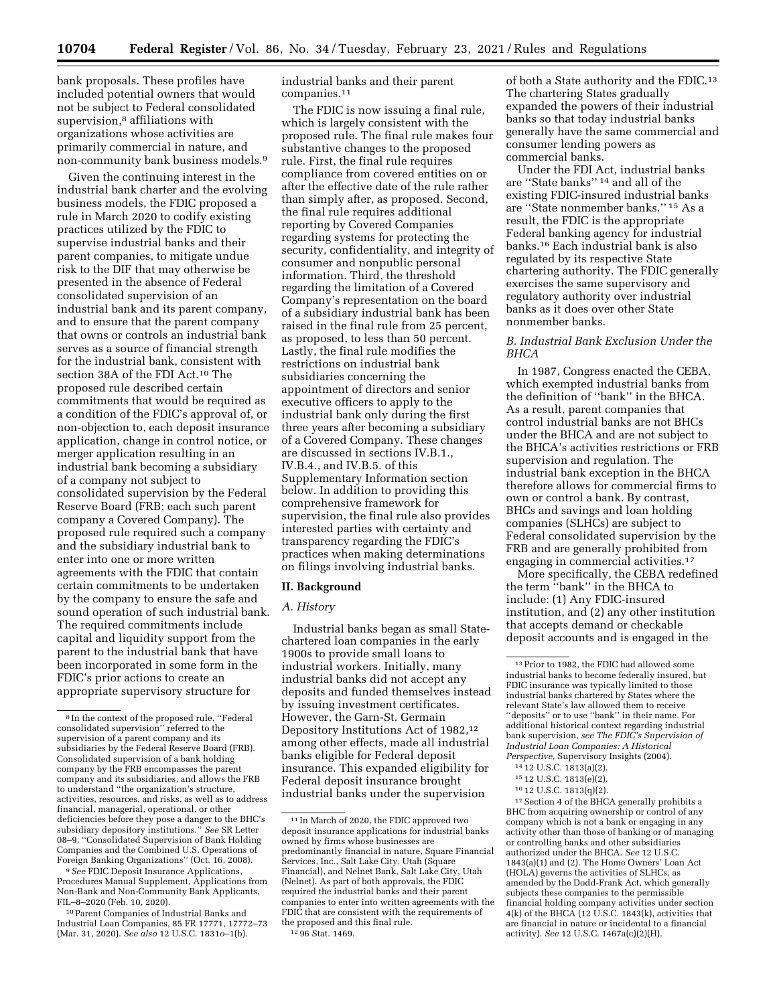bank proposals. These profiles have included potential owners that would not be subject to Federal consolidated supervision,<sup>8</sup> affiliations with organizations whose activities are primarily commercial in nature, and non-community bank business models.9

Given the continuing interest in the industrial bank charter and the evolving business models, the FDIC proposed a rule in March 2020 to codify existing practices utilized by the FDIC to supervise industrial banks and their parent companies, to mitigate undue risk to the DIF that may otherwise be presented in the absence of Federal consolidated supervision of an industrial bank and its parent company, and to ensure that the parent company that owns or controls an industrial bank serves as a source of financial strength for the industrial bank, consistent with section 38A of the FDI Act.10 The proposed rule described certain commitments that would be required as a condition of the FDIC's approval of, or non-objection to, each deposit insurance application, change in control notice, or merger application resulting in an industrial bank becoming a subsidiary of a company not subject to consolidated supervision by the Federal Reserve Board (FRB; each such parent company a Covered Company). The proposed rule required such a company and the subsidiary industrial bank to enter into one or more written agreements with the FDIC that contain certain commitments to be undertaken by the company to ensure the safe and sound operation of such industrial bank. The required commitments include capital and liquidity support from the parent to the industrial bank that have been incorporated in some form in the FDIC's prior actions to create an appropriate supervisory structure for

9*See* FDIC Deposit Insurance Applications, Procedures Manual Supplement, Applications from Non-Bank and Non-Community Bank Applicants, FIL–8–2020 (Feb. 10, 2020).

10Parent Companies of Industrial Banks and Industrial Loan Companies, 85 FR 17771, 17772–73 (Mar. 31, 2020). *See also* 12 U.S.C. 1831*o*–1(b).

industrial banks and their parent companies.11

The FDIC is now issuing a final rule, which is largely consistent with the proposed rule. The final rule makes four substantive changes to the proposed rule. First, the final rule requires compliance from covered entities on or after the effective date of the rule rather than simply after, as proposed. Second, the final rule requires additional reporting by Covered Companies regarding systems for protecting the security, confidentiality, and integrity of consumer and nonpublic personal information. Third, the threshold regarding the limitation of a Covered Company's representation on the board of a subsidiary industrial bank has been raised in the final rule from 25 percent, as proposed, to less than 50 percent. Lastly, the final rule modifies the restrictions on industrial bank subsidiaries concerning the appointment of directors and senior executive officers to apply to the industrial bank only during the first three years after becoming a subsidiary of a Covered Company. These changes are discussed in sections IV.B.1., IV.B.4., and IV.B.5. of this Supplementary Information section below. In addition to providing this comprehensive framework for supervision, the final rule also provides interested parties with certainty and transparency regarding the FDIC's practices when making determinations on filings involving industrial banks.

#### **II. Background**

#### *A. History*

Industrial banks began as small Statechartered loan companies in the early 1900s to provide small loans to industrial workers. Initially, many industrial banks did not accept any deposits and funded themselves instead by issuing investment certificates. However, the Garn-St. Germain Depository Institutions Act of 1982,12 among other effects, made all industrial banks eligible for Federal deposit insurance. This expanded eligibility for Federal deposit insurance brought industrial banks under the supervision

12 96 Stat. 1469.

of both a State authority and the FDIC.<sup>13</sup> The chartering States gradually expanded the powers of their industrial banks so that today industrial banks generally have the same commercial and consumer lending powers as commercial banks.

Under the FDI Act, industrial banks are ''State banks'' 14 and all of the existing FDIC-insured industrial banks are ''State nonmember banks.'' 15 As a result, the FDIC is the appropriate Federal banking agency for industrial banks.16 Each industrial bank is also regulated by its respective State chartering authority. The FDIC generally exercises the same supervisory and regulatory authority over industrial banks as it does over other State nonmember banks.

# *B. Industrial Bank Exclusion Under the BHCA*

In 1987, Congress enacted the CEBA, which exempted industrial banks from the definition of ''bank'' in the BHCA. As a result, parent companies that control industrial banks are not BHCs under the BHCA and are not subject to the BHCA's activities restrictions or FRB supervision and regulation. The industrial bank exception in the BHCA therefore allows for commercial firms to own or control a bank. By contrast, BHCs and savings and loan holding companies (SLHCs) are subject to Federal consolidated supervision by the FRB and are generally prohibited from engaging in commercial activities.17

More specifically, the CEBA redefined the term ''bank'' in the BHCA to include: (1) Any FDIC-insured institution, and (2) any other institution that accepts demand or checkable deposit accounts and is engaged in the

 $^{\rm 17}$  Section 4 of the BHCA generally prohibits a BHC from acquiring ownership or control of any company which is not a bank or engaging in any activity other than those of banking or of managing or controlling banks and other subsidiaries authorized under the BHCA. *See* 12 U.S.C. 1843(a)(1) and (2). The Home Owners' Loan Act (HOLA) governs the activities of SLHCs, as amended by the Dodd-Frank Act, which generally subjects these companies to the permissible financial holding company activities under section  $4(k)$  of the BHCA (12 U.S.C. 1843(k), activities that are financial in nature or incidental to a financial activity). *See* 12 U.S.C. 1467a(c)(2)(H).

<sup>8</sup> In the context of the proposed rule, ''Federal consolidated supervision'' referred to the supervision of a parent company and its subsidiaries by the Federal Reserve Board (FRB). Consolidated supervision of a bank holding company by the FRB encompasses the parent company and its subsidiaries, and allows the FRB to understand ''the organization's structure, activities, resources, and risks, as well as to address financial, managerial, operational, or other deficiencies before they pose a danger to the BHC's subsidiary depository institutions.'' *See* SR Letter 08–9, ''Consolidated Supervision of Bank Holding Companies and the Combined U.S. Operations of Foreign Banking Organizations'' (Oct. 16, 2008).

 $\overline{{}^{11}\ln}$  March of 2020, the FDIC approved two deposit insurance applications for industrial banks owned by firms whose businesses are predominantly financial in nature, Square Financial Services, Inc., Salt Lake City, Utah (Square Financial), and Nelnet Bank, Salt Lake City, Utah (Nelnet). As part of both approvals, the FDIC required the industrial banks and their parent companies to enter into written agreements with the FDIC that are consistent with the requirements of the proposed and this final rule.

<sup>13</sup>Prior to 1982, the FDIC had allowed some industrial banks to become federally insured, but FDIC insurance was typically limited to those industrial banks chartered by States where the relevant State's law allowed them to receive ''deposits'' or to use ''bank'' in their name. For additional historical context regarding industrial bank supervision, *see The FDIC's Supervision of Industrial Loan Companies: A Historical Perspective,* Supervisory Insights (2004).

<sup>14</sup> 12 U.S.C. 1813(a)(2).

<sup>15</sup> 12 U.S.C. 1813(e)(2).

<sup>16</sup> 12 U.S.C. 1813(q)(2).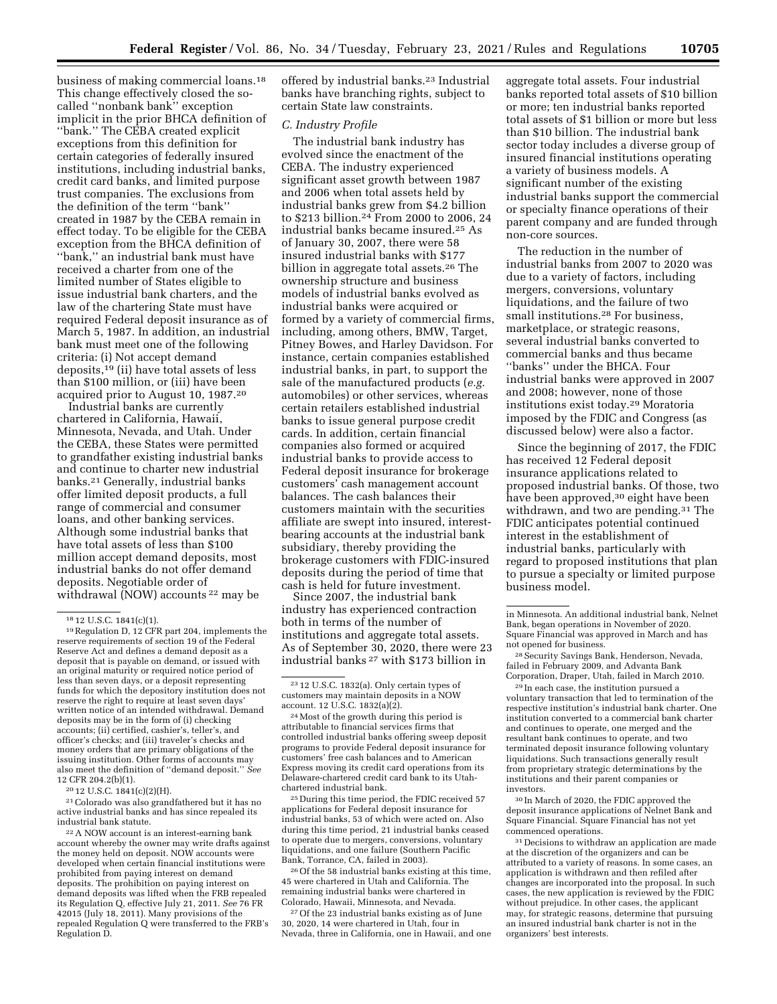business of making commercial loans.18 This change effectively closed the socalled ''nonbank bank'' exception implicit in the prior BHCA definition of ''bank.'' The CEBA created explicit exceptions from this definition for certain categories of federally insured institutions, including industrial banks, credit card banks, and limited purpose trust companies. The exclusions from the definition of the term ''bank'' created in 1987 by the CEBA remain in effect today. To be eligible for the CEBA exception from the BHCA definition of ''bank,'' an industrial bank must have received a charter from one of the limited number of States eligible to issue industrial bank charters, and the law of the chartering State must have required Federal deposit insurance as of March 5, 1987. In addition, an industrial bank must meet one of the following criteria: (i) Not accept demand deposits,19 (ii) have total assets of less than \$100 million, or (iii) have been acquired prior to August 10, 1987.20

Industrial banks are currently chartered in California, Hawaii, Minnesota, Nevada, and Utah. Under the CEBA, these States were permitted to grandfather existing industrial banks and continue to charter new industrial banks.21 Generally, industrial banks offer limited deposit products, a full range of commercial and consumer loans, and other banking services. Although some industrial banks that have total assets of less than \$100 million accept demand deposits, most industrial banks do not offer demand deposits. Negotiable order of withdrawal (NOW) accounts 22 may be

20 12 U.S.C. 1841(c)(2)(H).

21Colorado was also grandfathered but it has no active industrial banks and has since repealed its industrial bank statute.

22A NOW account is an interest-earning bank account whereby the owner may write drafts against the money held on deposit. NOW accounts were developed when certain financial institutions were prohibited from paying interest on demand deposits. The prohibition on paying interest on demand deposits was lifted when the FRB repealed its Regulation Q, effective July 21, 2011. *See* 76 FR 42015 (July 18, 2011). Many provisions of the repealed Regulation Q were transferred to the FRB's Regulation D.

offered by industrial banks.23 Industrial banks have branching rights, subject to certain State law constraints.

## *C. Industry Profile*

The industrial bank industry has evolved since the enactment of the CEBA. The industry experienced significant asset growth between 1987 and 2006 when total assets held by industrial banks grew from \$4.2 billion to \$213 billion.24 From 2000 to 2006, 24 industrial banks became insured.25 As of January 30, 2007, there were 58 insured industrial banks with \$177 billion in aggregate total assets.26 The ownership structure and business models of industrial banks evolved as industrial banks were acquired or formed by a variety of commercial firms, including, among others, BMW, Target, Pitney Bowes, and Harley Davidson. For instance, certain companies established industrial banks, in part, to support the sale of the manufactured products (*e.g.*  automobiles) or other services, whereas certain retailers established industrial banks to issue general purpose credit cards. In addition, certain financial companies also formed or acquired industrial banks to provide access to Federal deposit insurance for brokerage customers' cash management account balances. The cash balances their customers maintain with the securities affiliate are swept into insured, interestbearing accounts at the industrial bank subsidiary, thereby providing the brokerage customers with FDIC-insured deposits during the period of time that cash is held for future investment.

Since 2007, the industrial bank industry has experienced contraction both in terms of the number of institutions and aggregate total assets. As of September 30, 2020, there were 23 industrial banks 27 with \$173 billion in

25 During this time period, the FDIC received 57 applications for Federal deposit insurance for industrial banks, 53 of which were acted on. Also during this time period, 21 industrial banks ceased to operate due to mergers, conversions, voluntary liquidations, and one failure (Southern Pacific Bank, Torrance, CA, failed in 2003).

26Of the 58 industrial banks existing at this time, 45 were chartered in Utah and California. The remaining industrial banks were chartered in Colorado, Hawaii, Minnesota, and Nevada.

27Of the 23 industrial banks existing as of June 30, 2020, 14 were chartered in Utah, four in Nevada, three in California, one in Hawaii, and one aggregate total assets. Four industrial banks reported total assets of \$10 billion or more; ten industrial banks reported total assets of \$1 billion or more but less than \$10 billion. The industrial bank sector today includes a diverse group of insured financial institutions operating a variety of business models. A significant number of the existing industrial banks support the commercial or specialty finance operations of their parent company and are funded through non-core sources.

The reduction in the number of industrial banks from 2007 to 2020 was due to a variety of factors, including mergers, conversions, voluntary liquidations, and the failure of two small institutions.28 For business, marketplace, or strategic reasons, several industrial banks converted to commercial banks and thus became ''banks'' under the BHCA. Four industrial banks were approved in 2007 and 2008; however, none of those institutions exist today.29 Moratoria imposed by the FDIC and Congress (as discussed below) were also a factor.

Since the beginning of 2017, the FDIC has received 12 Federal deposit insurance applications related to proposed industrial banks. Of those, two have been approved,<sup>30</sup> eight have been withdrawn, and two are pending.<sup>31</sup> The FDIC anticipates potential continued interest in the establishment of industrial banks, particularly with regard to proposed institutions that plan to pursue a specialty or limited purpose business model.

28Security Savings Bank, Henderson, Nevada, failed in February 2009, and Advanta Bank Corporation, Draper, Utah, failed in March 2010.

 $^{\rm 29}\!$  In each case, the institution pursued a voluntary transaction that led to termination of the respective institution's industrial bank charter. One institution converted to a commercial bank charter and continues to operate, one merged and the resultant bank continues to operate, and two terminated deposit insurance following voluntary liquidations. Such transactions generally result from proprietary strategic determinations by the institutions and their parent companies or investors.

30 In March of 2020, the FDIC approved the deposit insurance applications of Nelnet Bank and Square Financial. Square Financial has not yet commenced operations.

31 Decisions to withdraw an application are made at the discretion of the organizers and can be attributed to a variety of reasons. In some cases, an application is withdrawn and then refiled after changes are incorporated into the proposal. In such cases, the new application is reviewed by the FDIC without prejudice. In other cases, the applicant may, for strategic reasons, determine that pursuing an insured industrial bank charter is not in the organizers' best interests.

 $^{18}\,12$  U.S.C. 1841(c)(1).  $^{19}\,$  Regulation D, 12 CFR part 204, implements the reserve requirements of section 19 of the Federal Reserve Act and defines a demand deposit as a deposit that is payable on demand, or issued with an original maturity or required notice period of less than seven days, or a deposit representing funds for which the depository institution does not reserve the right to require at least seven days' written notice of an intended withdrawal. Demand deposits may be in the form of (i) checking accounts; (ii) certified, cashier's, teller's, and officer's checks; and (iii) traveler's checks and money orders that are primary obligations of the issuing institution. Other forms of accounts may also meet the definition of ''demand deposit.'' *See*  12 CFR 204.2(b)(1).

<sup>23</sup> 12 U.S.C. 1832(a). Only certain types of customers may maintain deposits in a NOW account. 12 U.S.C.  $1832(a)(2)$ .

<sup>24</sup>Most of the growth during this period is attributable to financial services firms that controlled industrial banks offering sweep deposit programs to provide Federal deposit insurance for customers' free cash balances and to American Express moving its credit card operations from its Delaware-chartered credit card bank to its Utahchartered industrial bank.

in Minnesota. An additional industrial bank, Nelnet Bank, began operations in November of 2020. Square Financial was approved in March and has not opened for business.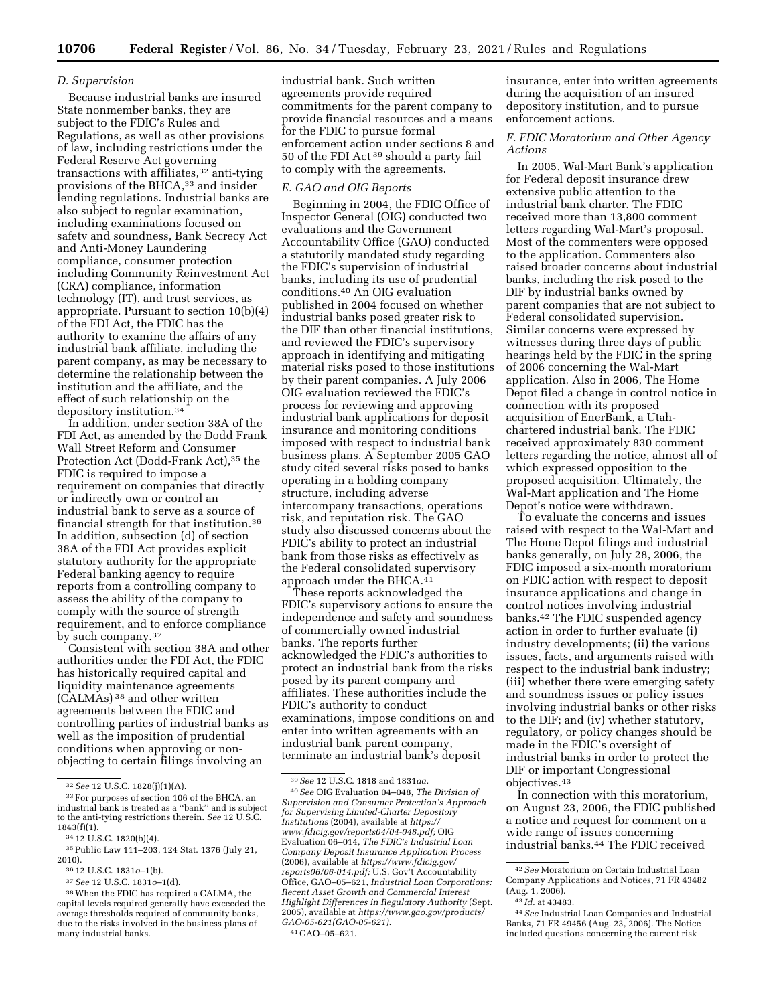#### *D. Supervision*

Because industrial banks are insured State nonmember banks, they are subject to the FDIC's Rules and Regulations, as well as other provisions of law, including restrictions under the Federal Reserve Act governing transactions with affiliates,<sup>32</sup> anti-tying provisions of the BHCA,<sup>33</sup> and insider lending regulations. Industrial banks are also subject to regular examination, including examinations focused on safety and soundness, Bank Secrecy Act and Anti-Money Laundering compliance, consumer protection including Community Reinvestment Act (CRA) compliance, information technology (IT), and trust services, as appropriate. Pursuant to section 10(b)(4) of the FDI Act, the FDIC has the authority to examine the affairs of any industrial bank affiliate, including the parent company, as may be necessary to determine the relationship between the institution and the affiliate, and the effect of such relationship on the depository institution.34

In addition, under section 38A of the FDI Act, as amended by the Dodd Frank Wall Street Reform and Consumer Protection Act (Dodd-Frank Act),<sup>35</sup> the FDIC is required to impose a requirement on companies that directly or indirectly own or control an industrial bank to serve as a source of financial strength for that institution.36 In addition, subsection (d) of section 38A of the FDI Act provides explicit statutory authority for the appropriate Federal banking agency to require reports from a controlling company to assess the ability of the company to comply with the source of strength requirement, and to enforce compliance by such company.37

Consistent with section 38A and other authorities under the FDI Act, the FDIC has historically required capital and liquidity maintenance agreements (CALMAs) 38 and other written agreements between the FDIC and controlling parties of industrial banks as well as the imposition of prudential conditions when approving or nonobjecting to certain filings involving an

36 12 U.S.C. 1831*o*–1(b).

37*See* 12 U.S.C. 1831*o*–1(d).

industrial bank. Such written agreements provide required commitments for the parent company to provide financial resources and a means for the FDIC to pursue formal enforcement action under sections 8 and 50 of the FDI Act 39 should a party fail to comply with the agreements.

# *E. GAO and OIG Reports*

Beginning in 2004, the FDIC Office of Inspector General (OIG) conducted two evaluations and the Government Accountability Office (GAO) conducted a statutorily mandated study regarding the FDIC's supervision of industrial banks, including its use of prudential conditions.40 An OIG evaluation published in 2004 focused on whether industrial banks posed greater risk to the DIF than other financial institutions, and reviewed the FDIC's supervisory approach in identifying and mitigating material risks posed to those institutions by their parent companies. A July 2006 OIG evaluation reviewed the FDIC's process for reviewing and approving industrial bank applications for deposit insurance and monitoring conditions imposed with respect to industrial bank business plans. A September 2005 GAO study cited several risks posed to banks operating in a holding company structure, including adverse intercompany transactions, operations risk, and reputation risk. The GAO study also discussed concerns about the FDIC's ability to protect an industrial bank from those risks as effectively as the Federal consolidated supervisory approach under the BHCA.41

These reports acknowledged the FDIC's supervisory actions to ensure the independence and safety and soundness of commercially owned industrial banks. The reports further acknowledged the FDIC's authorities to protect an industrial bank from the risks posed by its parent company and affiliates. These authorities include the FDIC's authority to conduct examinations, impose conditions on and enter into written agreements with an industrial bank parent company, terminate an industrial bank's deposit

39*See* 12 U.S.C. 1818 and 1831*aa.* 

41 GAO–05–621.

insurance, enter into written agreements during the acquisition of an insured depository institution, and to pursue enforcement actions.

# *F. FDIC Moratorium and Other Agency Actions*

In 2005, Wal-Mart Bank's application for Federal deposit insurance drew extensive public attention to the industrial bank charter. The FDIC received more than 13,800 comment letters regarding Wal-Mart's proposal. Most of the commenters were opposed to the application. Commenters also raised broader concerns about industrial banks, including the risk posed to the DIF by industrial banks owned by parent companies that are not subject to Federal consolidated supervision. Similar concerns were expressed by witnesses during three days of public hearings held by the FDIC in the spring of 2006 concerning the Wal-Mart application. Also in 2006, The Home Depot filed a change in control notice in connection with its proposed acquisition of EnerBank, a Utahchartered industrial bank. The FDIC received approximately 830 comment letters regarding the notice, almost all of which expressed opposition to the proposed acquisition. Ultimately, the Wal-Mart application and The Home Depot's notice were withdrawn.

To evaluate the concerns and issues raised with respect to the Wal-Mart and The Home Depot filings and industrial banks generally, on July 28, 2006, the FDIC imposed a six-month moratorium on FDIC action with respect to deposit insurance applications and change in control notices involving industrial banks.42 The FDIC suspended agency action in order to further evaluate (i) industry developments; (ii) the various issues, facts, and arguments raised with respect to the industrial bank industry; (iii) whether there were emerging safety and soundness issues or policy issues involving industrial banks or other risks to the DIF; and (iv) whether statutory, regulatory, or policy changes should be made in the FDIC's oversight of industrial banks in order to protect the DIF or important Congressional objectives.43

In connection with this moratorium, on August 23, 2006, the FDIC published a notice and request for comment on a wide range of issues concerning industrial banks.44 The FDIC received

<sup>32</sup>*See* 12 U.S.C. 1828(j)(1)(A). 33For purposes of section 106 of the BHCA, an industrial bank is treated as a ''bank'' and is subject to the anti-tying restrictions therein. *See* 12 U.S.C.

<sup>1843(</sup>f)(1). 34 12 U.S.C. 1820(b)(4). 35Public Law 111–203, 124 Stat. 1376 (July 21, 2010).

<sup>38</sup>When the FDIC has required a CALMA, the capital levels required generally have exceeded the average thresholds required of community banks, due to the risks involved in the business plans of many industrial banks.

<sup>40</sup>*See* OIG Evaluation 04–048, *The Division of Supervision and Consumer Protection's Approach for Supervising Limited-Charter Depository Institutions* (2004), available at *[https://](https://www.fdicig.gov/reports04/04-048.pdf) [www.fdicig.gov/reports04/04-048.pdf;](https://www.fdicig.gov/reports04/04-048.pdf)* OIG Evaluation 06–014, *The FDIC's Industrial Loan Company Deposit Insurance Application Process*  (2006), available at *[https://www.fdicig.gov/](https://www.fdicig.gov/reports06/06-014.pdf)  [reports06/06-014.pdf;](https://www.fdicig.gov/reports06/06-014.pdf)* U.S. Gov't Accountability Office, GAO–05–621, *Industrial Loan Corporations: Recent Asset Growth and Commercial Interest Highlight Differences in Regulatory Authority* (Sept. 2005), available at *[https://www.gao.gov/products/](https://www.gao.gov/products/GAO-05-621(GAO-05-621)  [GAO-05-621\(GAO-05-621\).](https://www.gao.gov/products/GAO-05-621(GAO-05-621)* 

<sup>42</sup>*See* Moratorium on Certain Industrial Loan Company Applications and Notices, 71 FR 43482 (Aug. 1, 2006).

<sup>43</sup> *Id.* at 43483.

<sup>44</sup>*See* Industrial Loan Companies and Industrial Banks, 71 FR 49456 (Aug. 23, 2006). The Notice included questions concerning the current risk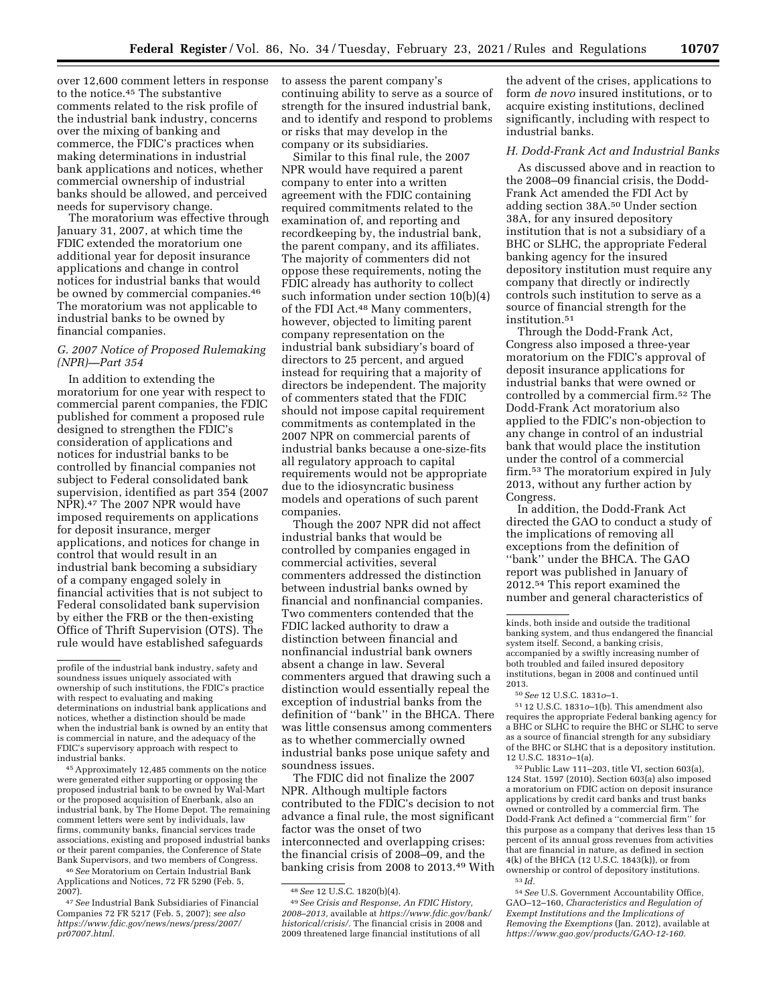over 12,600 comment letters in response to the notice.45 The substantive comments related to the risk profile of the industrial bank industry, concerns over the mixing of banking and commerce, the FDIC's practices when making determinations in industrial bank applications and notices, whether commercial ownership of industrial banks should be allowed, and perceived needs for supervisory change.

The moratorium was effective through January 31, 2007, at which time the FDIC extended the moratorium one additional year for deposit insurance applications and change in control notices for industrial banks that would be owned by commercial companies.<sup>46</sup> The moratorium was not applicable to industrial banks to be owned by financial companies.

#### *G. 2007 Notice of Proposed Rulemaking (NPR)—Part 354*

In addition to extending the moratorium for one year with respect to commercial parent companies, the FDIC published for comment a proposed rule designed to strengthen the FDIC's consideration of applications and notices for industrial banks to be controlled by financial companies not subject to Federal consolidated bank supervision, identified as part 354 (2007 NPR).47 The 2007 NPR would have imposed requirements on applications for deposit insurance, merger applications, and notices for change in control that would result in an industrial bank becoming a subsidiary of a company engaged solely in financial activities that is not subject to Federal consolidated bank supervision by either the FRB or the then-existing Office of Thrift Supervision (OTS). The rule would have established safeguards

45Approximately 12,485 comments on the notice were generated either supporting or opposing the proposed industrial bank to be owned by Wal-Mart or the proposed acquisition of Enerbank, also an industrial bank, by The Home Depot. The remaining comment letters were sent by individuals, law firms, community banks, financial services trade associations, existing and proposed industrial banks or their parent companies, the Conference of State Bank Supervisors, and two members of Congress.

46*See* Moratorium on Certain Industrial Bank Applications and Notices, 72 FR 5290 (Feb. 5, 2007).

47*See* Industrial Bank Subsidiaries of Financial Companies 72 FR 5217 (Feb. 5, 2007); *see also [https://www.fdic.gov/news/news/press/2007/](https://www.fdic.gov/news/news/press/2007/pr07007.html) [pr07007.html.](https://www.fdic.gov/news/news/press/2007/pr07007.html)* 

to assess the parent company's continuing ability to serve as a source of strength for the insured industrial bank, and to identify and respond to problems or risks that may develop in the company or its subsidiaries.

Similar to this final rule, the 2007 NPR would have required a parent company to enter into a written agreement with the FDIC containing required commitments related to the examination of, and reporting and recordkeeping by, the industrial bank, the parent company, and its affiliates. The majority of commenters did not oppose these requirements, noting the FDIC already has authority to collect such information under section 10(b)(4) of the FDI Act.48 Many commenters, however, objected to limiting parent company representation on the industrial bank subsidiary's board of directors to 25 percent, and argued instead for requiring that a majority of directors be independent. The majority of commenters stated that the FDIC should not impose capital requirement commitments as contemplated in the 2007 NPR on commercial parents of industrial banks because a one-size-fits all regulatory approach to capital requirements would not be appropriate due to the idiosyncratic business models and operations of such parent companies.

Though the 2007 NPR did not affect industrial banks that would be controlled by companies engaged in commercial activities, several commenters addressed the distinction between industrial banks owned by financial and nonfinancial companies. Two commenters contended that the FDIC lacked authority to draw a distinction between financial and nonfinancial industrial bank owners absent a change in law. Several commenters argued that drawing such a distinction would essentially repeal the exception of industrial banks from the definition of ''bank'' in the BHCA. There was little consensus among commenters as to whether commercially owned industrial banks pose unique safety and soundness issues.

The FDIC did not finalize the 2007 NPR. Although multiple factors contributed to the FDIC's decision to not advance a final rule, the most significant factor was the onset of two interconnected and overlapping crises: the financial crisis of 2008–09, and the banking crisis from 2008 to 2013.49 With

the advent of the crises, applications to form *de novo* insured institutions, or to acquire existing institutions, declined significantly, including with respect to industrial banks.

## *H. Dodd-Frank Act and Industrial Banks*

As discussed above and in reaction to the 2008–09 financial crisis, the Dodd-Frank Act amended the FDI Act by adding section 38A.50 Under section 38A, for any insured depository institution that is not a subsidiary of a BHC or SLHC, the appropriate Federal banking agency for the insured depository institution must require any company that directly or indirectly controls such institution to serve as a source of financial strength for the institution.51

Through the Dodd-Frank Act, Congress also imposed a three-year moratorium on the FDIC's approval of deposit insurance applications for industrial banks that were owned or controlled by a commercial firm.52 The Dodd-Frank Act moratorium also applied to the FDIC's non-objection to any change in control of an industrial bank that would place the institution under the control of a commercial firm.53 The moratorium expired in July 2013, without any further action by Congress.

In addition, the Dodd-Frank Act directed the GAO to conduct a study of the implications of removing all exceptions from the definition of ''bank'' under the BHCA. The GAO report was published in January of 2012.54 This report examined the number and general characteristics of

51 12 U.S.C. 1831*o*–1(b). This amendment also requires the appropriate Federal banking agency for a BHC or SLHC to require the BHC or SLHC to serve as a source of financial strength for any subsidiary of the BHC or SLHC that is a depository institution. 12 U.S.C. 1831*o*–1(a).

52Public Law 111–203, title VI, section 603(a), 124 Stat. 1597 (2010). Section 603(a) also imposed a moratorium on FDIC action on deposit insurance applications by credit card banks and trust banks owned or controlled by a commercial firm. The Dodd-Frank Act defined a ''commercial firm'' for this purpose as a company that derives less than 15 percent of its annual gross revenues from activities that are financial in nature, as defined in section 4(k) of the BHCA (12 U.S.C. 1843(k)), or from ownership or control of depository institutions. 53 *Id.* 

profile of the industrial bank industry, safety and soundness issues uniquely associated with ownership of such institutions, the FDIC's practice with respect to evaluating and making determinations on industrial bank applications and notices, whether a distinction should be made when the industrial bank is owned by an entity that is commercial in nature, and the adequacy of the FDIC's supervisory approach with respect to industrial banks.

<sup>48</sup>*See* 12 U.S.C. 1820(b)(4).

<sup>49</sup>*See Crisis and Response, An FDIC History, 2008–2013,* available at *[https://www.fdic.gov/bank/](https://www.fdic.gov/bank/historical/crisis/) [historical/crisis/.](https://www.fdic.gov/bank/historical/crisis/)* The financial crisis in 2008 and 2009 threatened large financial institutions of all

kinds, both inside and outside the traditional banking system, and thus endangered the financial system itself. Second, a banking crisis, accompanied by a swiftly increasing number of both troubled and failed insured depository institutions, began in 2008 and continued until 2013.

<sup>50</sup>*See* 12 U.S.C. 1831*o*–1.

<sup>54</sup>*See* U.S. Government Accountability Office, GAO–12–160, *Characteristics and Regulation of Exempt Institutions and the Implications of Removing the Exemptions* (Jan. 2012), available at *[https://www.gao.gov/products/GAO-12-160.](https://www.gao.gov/products/GAO-12-160)*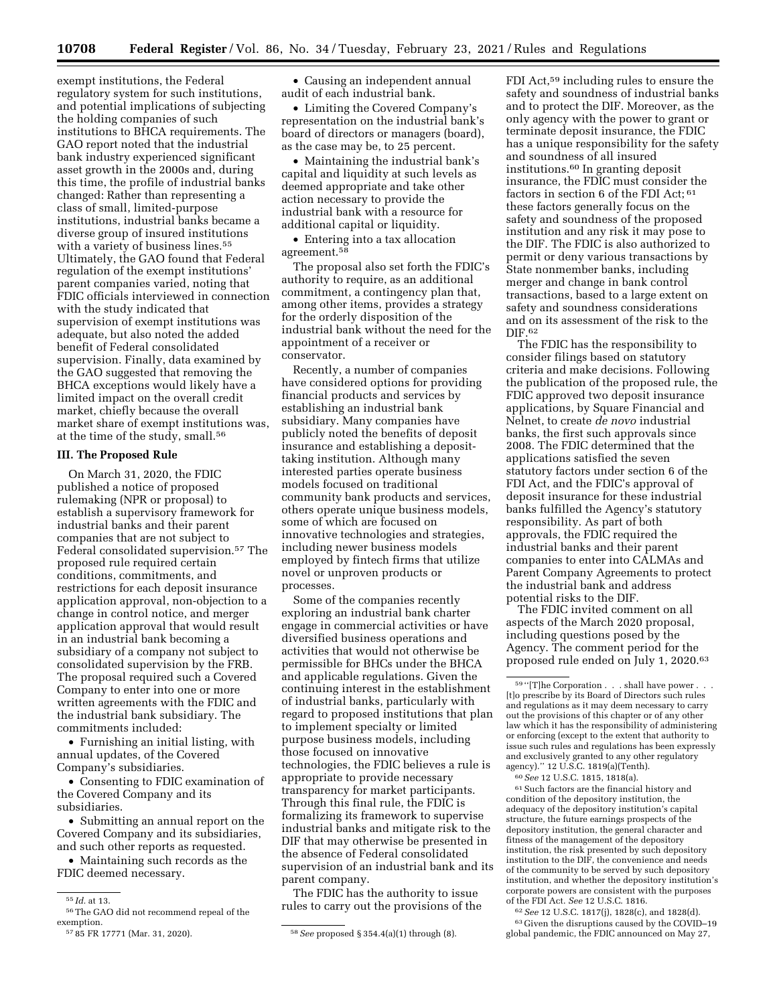exempt institutions, the Federal regulatory system for such institutions, and potential implications of subjecting the holding companies of such institutions to BHCA requirements. The GAO report noted that the industrial bank industry experienced significant asset growth in the 2000s and, during this time, the profile of industrial banks changed: Rather than representing a class of small, limited-purpose institutions, industrial banks became a diverse group of insured institutions with a variety of business lines.<sup>55</sup> Ultimately, the GAO found that Federal regulation of the exempt institutions' parent companies varied, noting that FDIC officials interviewed in connection with the study indicated that supervision of exempt institutions was adequate, but also noted the added benefit of Federal consolidated supervision. Finally, data examined by the GAO suggested that removing the BHCA exceptions would likely have a limited impact on the overall credit market, chiefly because the overall market share of exempt institutions was, at the time of the study, small.56

#### **III. The Proposed Rule**

On March 31, 2020, the FDIC published a notice of proposed rulemaking (NPR or proposal) to establish a supervisory framework for industrial banks and their parent companies that are not subject to Federal consolidated supervision.57 The proposed rule required certain conditions, commitments, and restrictions for each deposit insurance application approval, non-objection to a change in control notice, and merger application approval that would result in an industrial bank becoming a subsidiary of a company not subject to consolidated supervision by the FRB. The proposal required such a Covered Company to enter into one or more written agreements with the FDIC and the industrial bank subsidiary. The commitments included:

• Furnishing an initial listing, with annual updates, of the Covered Company's subsidiaries.

• Consenting to FDIC examination of the Covered Company and its subsidiaries.

• Submitting an annual report on the Covered Company and its subsidiaries, and such other reports as requested.

• Maintaining such records as the FDIC deemed necessary.

• Causing an independent annual audit of each industrial bank.

• Limiting the Covered Company's representation on the industrial bank's board of directors or managers (board), as the case may be, to 25 percent.

• Maintaining the industrial bank's capital and liquidity at such levels as deemed appropriate and take other action necessary to provide the industrial bank with a resource for additional capital or liquidity.

• Entering into a tax allocation agreement.58

The proposal also set forth the FDIC's authority to require, as an additional commitment, a contingency plan that, among other items, provides a strategy for the orderly disposition of the industrial bank without the need for the appointment of a receiver or conservator.

Recently, a number of companies have considered options for providing financial products and services by establishing an industrial bank subsidiary. Many companies have publicly noted the benefits of deposit insurance and establishing a deposittaking institution. Although many interested parties operate business models focused on traditional community bank products and services, others operate unique business models, some of which are focused on innovative technologies and strategies, including newer business models employed by fintech firms that utilize novel or unproven products or processes.

Some of the companies recently exploring an industrial bank charter engage in commercial activities or have diversified business operations and activities that would not otherwise be permissible for BHCs under the BHCA and applicable regulations. Given the continuing interest in the establishment of industrial banks, particularly with regard to proposed institutions that plan to implement specialty or limited purpose business models, including those focused on innovative technologies, the FDIC believes a rule is appropriate to provide necessary transparency for market participants. Through this final rule, the FDIC is formalizing its framework to supervise industrial banks and mitigate risk to the DIF that may otherwise be presented in the absence of Federal consolidated supervision of an industrial bank and its parent company.

The FDIC has the authority to issue rules to carry out the provisions of the

FDI Act,59 including rules to ensure the safety and soundness of industrial banks and to protect the DIF. Moreover, as the only agency with the power to grant or terminate deposit insurance, the FDIC has a unique responsibility for the safety and soundness of all insured institutions.60 In granting deposit insurance, the FDIC must consider the factors in section 6 of the FDI Act; 61 these factors generally focus on the safety and soundness of the proposed institution and any risk it may pose to the DIF. The FDIC is also authorized to permit or deny various transactions by State nonmember banks, including merger and change in bank control transactions, based to a large extent on safety and soundness considerations and on its assessment of the risk to the DIF.62

The FDIC has the responsibility to consider filings based on statutory criteria and make decisions. Following the publication of the proposed rule, the FDIC approved two deposit insurance applications, by Square Financial and Nelnet, to create *de novo* industrial banks, the first such approvals since 2008. The FDIC determined that the applications satisfied the seven statutory factors under section 6 of the FDI Act, and the FDIC's approval of deposit insurance for these industrial banks fulfilled the Agency's statutory responsibility. As part of both approvals, the FDIC required the industrial banks and their parent companies to enter into CALMAs and Parent Company Agreements to protect the industrial bank and address potential risks to the DIF.

The FDIC invited comment on all aspects of the March 2020 proposal, including questions posed by the Agency. The comment period for the proposed rule ended on July 1, 2020.63

60*See* 12 U.S.C. 1815, 1818(a).

61Such factors are the financial history and condition of the depository institution, the adequacy of the depository institution's capital structure, the future earnings prospects of the depository institution, the general character and fitness of the management of the depository institution, the risk presented by such depository institution to the DIF, the convenience and needs of the community to be served by such depository institution, and whether the depository institution's corporate powers are consistent with the purposes of the FDI Act. *See* 12 U.S.C. 1816.

62*See* 12 U.S.C. 1817(j), 1828(c), and 1828(d). 63 Given the disruptions caused by the COVID–19 global pandemic, the FDIC announced on May 27,

<sup>55</sup> *Id.* at 13.

<sup>56</sup>The GAO did not recommend repeal of the exemption.

<sup>57</sup> 85 FR 17771 (Mar. 31, 2020). 58*See* proposed § 354.4(a)(1) through (8).

<sup>&</sup>lt;sup>59</sup> "[T]he Corporation . . . shall have power . . . [t]o prescribe by its Board of Directors such rules and regulations as it may deem necessary to carry out the provisions of this chapter or of any other law which it has the responsibility of administering or enforcing (except to the extent that authority to issue such rules and regulations has been expressly and exclusively granted to any other regulatory agency).'' 12 U.S.C. 1819(a)(Tenth).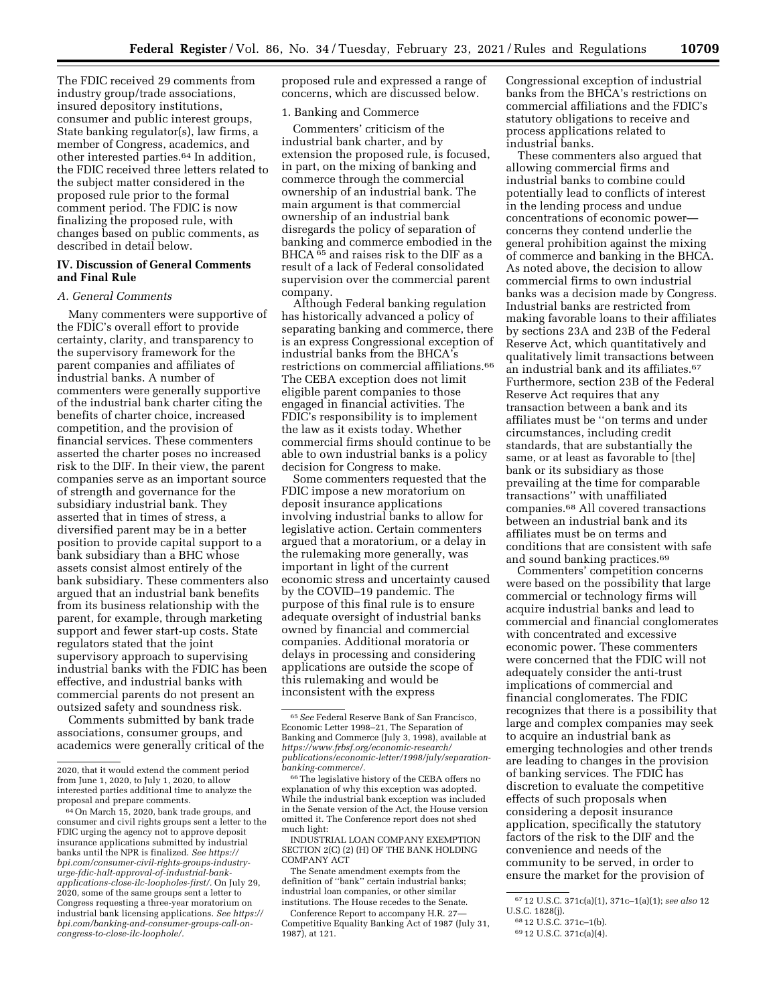The FDIC received 29 comments from industry group/trade associations, insured depository institutions, consumer and public interest groups, State banking regulator(s), law firms, a member of Congress, academics, and other interested parties.64 In addition, the FDIC received three letters related to the subject matter considered in the proposed rule prior to the formal comment period. The FDIC is now finalizing the proposed rule, with changes based on public comments, as described in detail below.

## **IV. Discussion of General Comments and Final Rule**

#### *A. General Comments*

Many commenters were supportive of the FDIC's overall effort to provide certainty, clarity, and transparency to the supervisory framework for the parent companies and affiliates of industrial banks. A number of commenters were generally supportive of the industrial bank charter citing the benefits of charter choice, increased competition, and the provision of financial services. These commenters asserted the charter poses no increased risk to the DIF. In their view, the parent companies serve as an important source of strength and governance for the subsidiary industrial bank. They asserted that in times of stress, a diversified parent may be in a better position to provide capital support to a bank subsidiary than a BHC whose assets consist almost entirely of the bank subsidiary. These commenters also argued that an industrial bank benefits from its business relationship with the parent, for example, through marketing support and fewer start-up costs. State regulators stated that the joint supervisory approach to supervising industrial banks with the FDIC has been effective, and industrial banks with commercial parents do not present an outsized safety and soundness risk.

Comments submitted by bank trade associations, consumer groups, and academics were generally critical of the proposed rule and expressed a range of concerns, which are discussed below.

#### 1. Banking and Commerce

Commenters' criticism of the industrial bank charter, and by extension the proposed rule, is focused, in part, on the mixing of banking and commerce through the commercial ownership of an industrial bank. The main argument is that commercial ownership of an industrial bank disregards the policy of separation of banking and commerce embodied in the BHCA 65 and raises risk to the DIF as a result of a lack of Federal consolidated supervision over the commercial parent company.

Although Federal banking regulation has historically advanced a policy of separating banking and commerce, there is an express Congressional exception of industrial banks from the BHCA's restrictions on commercial affiliations.66 The CEBA exception does not limit eligible parent companies to those engaged in financial activities. The FDIC's responsibility is to implement the law as it exists today. Whether commercial firms should continue to be able to own industrial banks is a policy decision for Congress to make.

Some commenters requested that the FDIC impose a new moratorium on deposit insurance applications involving industrial banks to allow for legislative action. Certain commenters argued that a moratorium, or a delay in the rulemaking more generally, was important in light of the current economic stress and uncertainty caused by the COVID–19 pandemic. The purpose of this final rule is to ensure adequate oversight of industrial banks owned by financial and commercial companies. Additional moratoria or delays in processing and considering applications are outside the scope of this rulemaking and would be inconsistent with the express

INDUSTRIAL LOAN COMPANY EXEMPTION SECTION 2(C) (2) (H) OF THE BANK HOLDING COMPANY ACT

The Senate amendment exempts from the definition of ''bank'' certain industrial banks; industrial loan companies, or other similar institutions. The House recedes to the Senate.

Conference Report to accompany H.R. 27— Competitive Equality Banking Act of 1987 (July 31, 1987), at 121.

Congressional exception of industrial banks from the BHCA's restrictions on commercial affiliations and the FDIC's statutory obligations to receive and process applications related to industrial banks.

These commenters also argued that allowing commercial firms and industrial banks to combine could potentially lead to conflicts of interest in the lending process and undue concentrations of economic power concerns they contend underlie the general prohibition against the mixing of commerce and banking in the BHCA. As noted above, the decision to allow commercial firms to own industrial banks was a decision made by Congress. Industrial banks are restricted from making favorable loans to their affiliates by sections 23A and 23B of the Federal Reserve Act, which quantitatively and qualitatively limit transactions between an industrial bank and its affiliates.67 Furthermore, section 23B of the Federal Reserve Act requires that any transaction between a bank and its affiliates must be ''on terms and under circumstances, including credit standards, that are substantially the same, or at least as favorable to [the] bank or its subsidiary as those prevailing at the time for comparable transactions'' with unaffiliated companies.68 All covered transactions between an industrial bank and its affiliates must be on terms and conditions that are consistent with safe and sound banking practices.69

Commenters' competition concerns were based on the possibility that large commercial or technology firms will acquire industrial banks and lead to commercial and financial conglomerates with concentrated and excessive economic power. These commenters were concerned that the FDIC will not adequately consider the anti-trust implications of commercial and financial conglomerates. The FDIC recognizes that there is a possibility that large and complex companies may seek to acquire an industrial bank as emerging technologies and other trends are leading to changes in the provision of banking services. The FDIC has discretion to evaluate the competitive effects of such proposals when considering a deposit insurance application, specifically the statutory factors of the risk to the DIF and the convenience and needs of the community to be served, in order to ensure the market for the provision of

<sup>2020,</sup> that it would extend the comment period from June 1, 2020, to July 1, 2020, to allow interested parties additional time to analyze the proposal and prepare comments.

<sup>64</sup>On March 15, 2020, bank trade groups, and consumer and civil rights groups sent a letter to the FDIC urging the agency not to approve deposit insurance applications submitted by industrial banks until the NPR is finalized. *See [https://](https://bpi.com/consumer-civil-rights-groups-industry-urge-fdic-halt-approval-of-industrial-bank-applications-close-ilc-loopholes-first/) [bpi.com/consumer-civil-rights-groups-industry](https://bpi.com/consumer-civil-rights-groups-industry-urge-fdic-halt-approval-of-industrial-bank-applications-close-ilc-loopholes-first/)[urge-fdic-halt-approval-of-industrial-bank](https://bpi.com/consumer-civil-rights-groups-industry-urge-fdic-halt-approval-of-industrial-bank-applications-close-ilc-loopholes-first/)[applications-close-ilc-loopholes-first/.](https://bpi.com/consumer-civil-rights-groups-industry-urge-fdic-halt-approval-of-industrial-bank-applications-close-ilc-loopholes-first/)* On July 29, 2020, some of the same groups sent a letter to Congress requesting a three-year moratorium on industrial bank licensing applications. *See [https://](https://bpi.com/banking-and-consumer-groups-call-on-congress-to-close-ilc-loophole/) [bpi.com/banking-and-consumer-groups-call-on](https://bpi.com/banking-and-consumer-groups-call-on-congress-to-close-ilc-loophole/)[congress-to-close-ilc-loophole/.](https://bpi.com/banking-and-consumer-groups-call-on-congress-to-close-ilc-loophole/)* 

<sup>65</sup>*See* Federal Reserve Bank of San Francisco, Economic Letter 1998–21, The Separation of Banking and Commerce (July 3, 1998), available at *[https://www.frbsf.org/economic-research/](https://www.frbsf.org/economic-research/publications/economic-letter/1998/july/separation-banking-commerce/) [publications/economic-letter/1998/july/separation](https://www.frbsf.org/economic-research/publications/economic-letter/1998/july/separation-banking-commerce/)[banking-commerce/.](https://www.frbsf.org/economic-research/publications/economic-letter/1998/july/separation-banking-commerce/)* 

<sup>66</sup>The legislative history of the CEBA offers no explanation of why this exception was adopted. While the industrial bank exception was included in the Senate version of the Act, the House version omitted it. The Conference report does not shed much light:

<sup>67</sup> 12 U.S.C. 371c(a)(1), 371c–1(a)(1); *see also* 12 U.S.C. 1828(j).

<sup>68</sup> 12 U.S.C. 371c–1(b).

<sup>69</sup> 12 U.S.C. 371c(a)(4).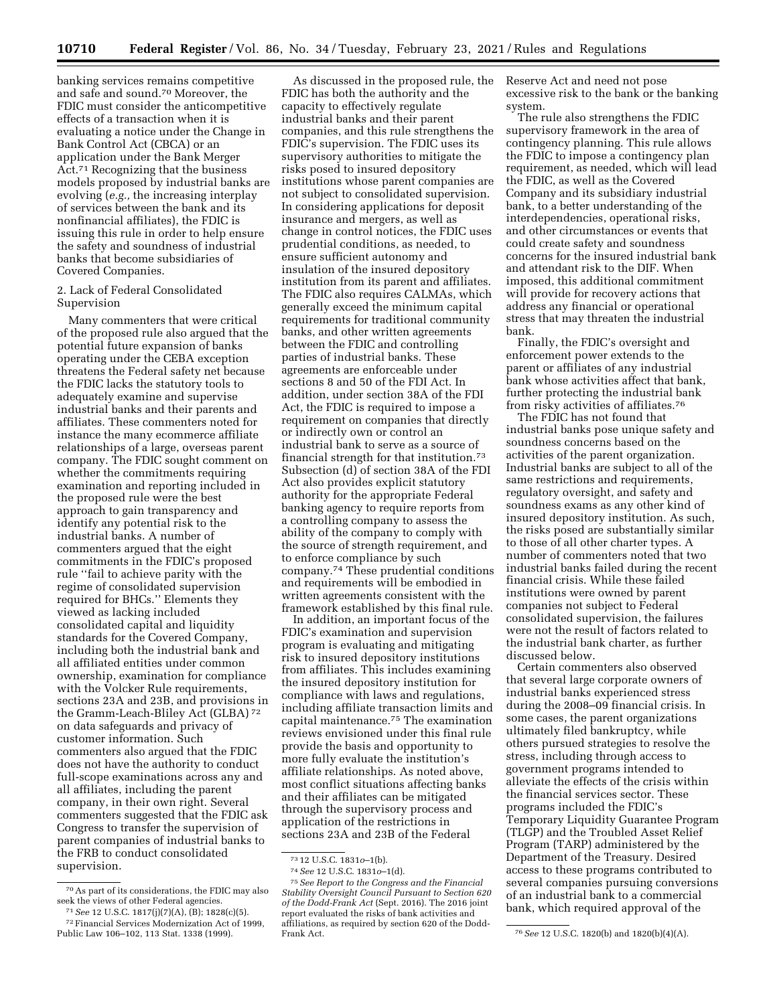banking services remains competitive and safe and sound.70 Moreover, the FDIC must consider the anticompetitive effects of a transaction when it is evaluating a notice under the Change in Bank Control Act (CBCA) or an application under the Bank Merger Act.71 Recognizing that the business models proposed by industrial banks are evolving (*e.g.,* the increasing interplay of services between the bank and its nonfinancial affiliates), the FDIC is issuing this rule in order to help ensure the safety and soundness of industrial banks that become subsidiaries of Covered Companies.

# 2. Lack of Federal Consolidated Supervision

Many commenters that were critical of the proposed rule also argued that the potential future expansion of banks operating under the CEBA exception threatens the Federal safety net because the FDIC lacks the statutory tools to adequately examine and supervise industrial banks and their parents and affiliates. These commenters noted for instance the many ecommerce affiliate relationships of a large, overseas parent company. The FDIC sought comment on whether the commitments requiring examination and reporting included in the proposed rule were the best approach to gain transparency and identify any potential risk to the industrial banks. A number of commenters argued that the eight commitments in the FDIC's proposed rule ''fail to achieve parity with the regime of consolidated supervision required for BHCs.'' Elements they viewed as lacking included consolidated capital and liquidity standards for the Covered Company, including both the industrial bank and all affiliated entities under common ownership, examination for compliance with the Volcker Rule requirements, sections 23A and 23B, and provisions in the Gramm-Leach-Bliley Act (GLBA) 72 on data safeguards and privacy of customer information. Such commenters also argued that the FDIC does not have the authority to conduct full-scope examinations across any and all affiliates, including the parent company, in their own right. Several commenters suggested that the FDIC ask Congress to transfer the supervision of parent companies of industrial banks to the FRB to conduct consolidated supervision.

As discussed in the proposed rule, the FDIC has both the authority and the capacity to effectively regulate industrial banks and their parent companies, and this rule strengthens the FDIC's supervision. The FDIC uses its supervisory authorities to mitigate the risks posed to insured depository institutions whose parent companies are not subject to consolidated supervision. In considering applications for deposit insurance and mergers, as well as change in control notices, the FDIC uses prudential conditions, as needed, to ensure sufficient autonomy and insulation of the insured depository institution from its parent and affiliates. The FDIC also requires CALMAs, which generally exceed the minimum capital requirements for traditional community banks, and other written agreements between the FDIC and controlling parties of industrial banks. These agreements are enforceable under sections 8 and 50 of the FDI Act. In addition, under section 38A of the FDI Act, the FDIC is required to impose a requirement on companies that directly or indirectly own or control an industrial bank to serve as a source of financial strength for that institution.73 Subsection (d) of section 38A of the FDI Act also provides explicit statutory authority for the appropriate Federal banking agency to require reports from a controlling company to assess the ability of the company to comply with the source of strength requirement, and to enforce compliance by such company.74 These prudential conditions and requirements will be embodied in written agreements consistent with the framework established by this final rule.

In addition, an important focus of the FDIC's examination and supervision program is evaluating and mitigating risk to insured depository institutions from affiliates. This includes examining the insured depository institution for compliance with laws and regulations, including affiliate transaction limits and capital maintenance.75 The examination reviews envisioned under this final rule provide the basis and opportunity to more fully evaluate the institution's affiliate relationships. As noted above, most conflict situations affecting banks and their affiliates can be mitigated through the supervisory process and application of the restrictions in sections 23A and 23B of the Federal

Reserve Act and need not pose excessive risk to the bank or the banking system.

The rule also strengthens the FDIC supervisory framework in the area of contingency planning. This rule allows the FDIC to impose a contingency plan requirement, as needed, which will lead the FDIC, as well as the Covered Company and its subsidiary industrial bank, to a better understanding of the interdependencies, operational risks, and other circumstances or events that could create safety and soundness concerns for the insured industrial bank and attendant risk to the DIF. When imposed, this additional commitment will provide for recovery actions that address any financial or operational stress that may threaten the industrial bank.

Finally, the FDIC's oversight and enforcement power extends to the parent or affiliates of any industrial bank whose activities affect that bank, further protecting the industrial bank from risky activities of affiliates.76

The FDIC has not found that industrial banks pose unique safety and soundness concerns based on the activities of the parent organization. Industrial banks are subject to all of the same restrictions and requirements, regulatory oversight, and safety and soundness exams as any other kind of insured depository institution. As such, the risks posed are substantially similar to those of all other charter types. A number of commenters noted that two industrial banks failed during the recent financial crisis. While these failed institutions were owned by parent companies not subject to Federal consolidated supervision, the failures were not the result of factors related to the industrial bank charter, as further discussed below.

Certain commenters also observed that several large corporate owners of industrial banks experienced stress during the 2008–09 financial crisis. In some cases, the parent organizations ultimately filed bankruptcy, while others pursued strategies to resolve the stress, including through access to government programs intended to alleviate the effects of the crisis within the financial services sector. These programs included the FDIC's Temporary Liquidity Guarantee Program (TLGP) and the Troubled Asset Relief Program (TARP) administered by the Department of the Treasury. Desired access to these programs contributed to several companies pursuing conversions of an industrial bank to a commercial bank, which required approval of the

<sup>70</sup>As part of its considerations, the FDIC may also seek the views of other Federal agencies. 71*See* 12 U.S.C. 1817(j)(7)(A), (B); 1828(c)(5).

<sup>72</sup>Financial Services Modernization Act of 1999, Public Law 106–102, 113 Stat. 1338 (1999).

<sup>73</sup> 12 U.S.C. 1831*o*–1(b).

<sup>74</sup>*See* 12 U.S.C. 1831*o*–1(d).

<sup>75</sup>*See Report to the Congress and the Financial Stability Oversight Council Pursuant to Section 620 of the Dodd-Frank Act* (Sept. 2016). The 2016 joint report evaluated the risks of bank activities and affiliations, as required by section 620 of the Dodd-

<sup>&</sup>lt;sup>76</sup> See 12 U.S.C. 1820(b) and 1820(b)(4)(A).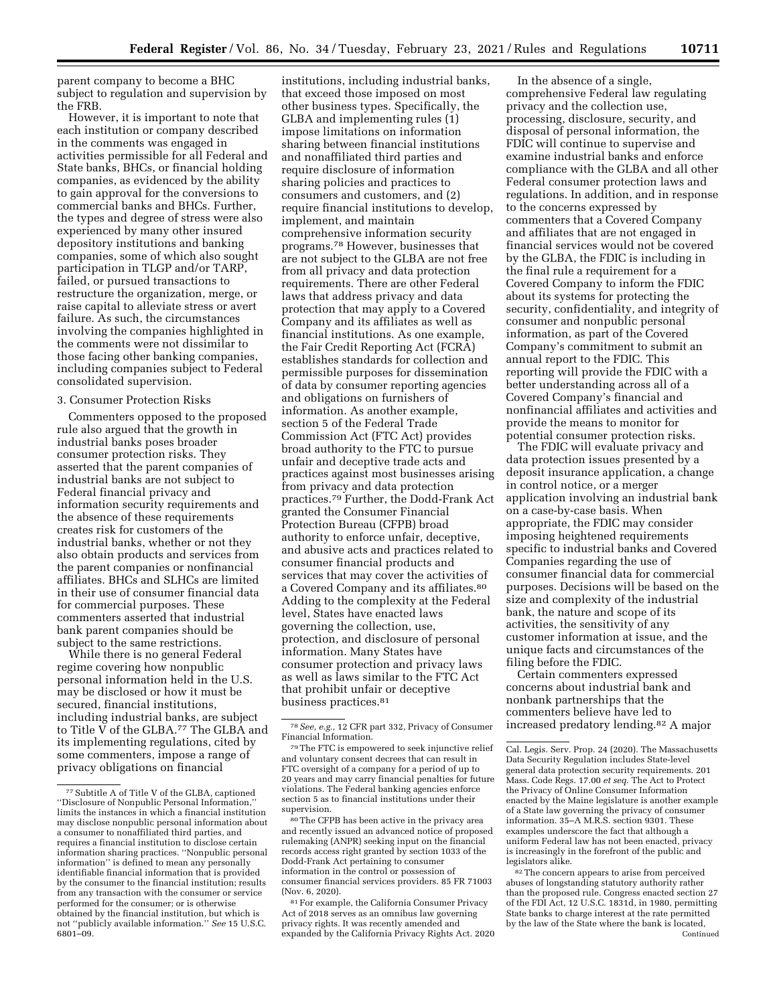parent company to become a BHC subject to regulation and supervision by the FRB.

However, it is important to note that each institution or company described in the comments was engaged in activities permissible for all Federal and State banks, BHCs, or financial holding companies, as evidenced by the ability to gain approval for the conversions to commercial banks and BHCs. Further, the types and degree of stress were also experienced by many other insured depository institutions and banking companies, some of which also sought participation in TLGP and/or TARP, failed, or pursued transactions to restructure the organization, merge, or raise capital to alleviate stress or avert failure. As such, the circumstances involving the companies highlighted in the comments were not dissimilar to those facing other banking companies, including companies subject to Federal consolidated supervision.

#### 3. Consumer Protection Risks

Commenters opposed to the proposed rule also argued that the growth in industrial banks poses broader consumer protection risks. They asserted that the parent companies of industrial banks are not subject to Federal financial privacy and information security requirements and the absence of these requirements creates risk for customers of the industrial banks, whether or not they also obtain products and services from the parent companies or nonfinancial affiliates. BHCs and SLHCs are limited in their use of consumer financial data for commercial purposes. These commenters asserted that industrial bank parent companies should be subject to the same restrictions.

While there is no general Federal regime covering how nonpublic personal information held in the U.S. may be disclosed or how it must be secured, financial institutions, including industrial banks, are subject to Title V of the GLBA.77 The GLBA and its implementing regulations, cited by some commenters, impose a range of privacy obligations on financial

institutions, including industrial banks, that exceed those imposed on most other business types. Specifically, the GLBA and implementing rules (1) impose limitations on information sharing between financial institutions and nonaffiliated third parties and require disclosure of information sharing policies and practices to consumers and customers, and (2) require financial institutions to develop, implement, and maintain comprehensive information security programs.78 However, businesses that are not subject to the GLBA are not free from all privacy and data protection requirements. There are other Federal laws that address privacy and data protection that may apply to a Covered Company and its affiliates as well as financial institutions. As one example, the Fair Credit Reporting Act (FCRA) establishes standards for collection and permissible purposes for dissemination of data by consumer reporting agencies and obligations on furnishers of information. As another example, section 5 of the Federal Trade Commission Act (FTC Act) provides broad authority to the FTC to pursue unfair and deceptive trade acts and practices against most businesses arising from privacy and data protection practices.79 Further, the Dodd-Frank Act granted the Consumer Financial Protection Bureau (CFPB) broad authority to enforce unfair, deceptive, and abusive acts and practices related to consumer financial products and services that may cover the activities of a Covered Company and its affiliates.80 Adding to the complexity at the Federal level, States have enacted laws governing the collection, use, protection, and disclosure of personal information. Many States have consumer protection and privacy laws as well as laws similar to the FTC Act that prohibit unfair or deceptive business practices.81

In the absence of a single, comprehensive Federal law regulating privacy and the collection use, processing, disclosure, security, and disposal of personal information, the FDIC will continue to supervise and examine industrial banks and enforce compliance with the GLBA and all other Federal consumer protection laws and regulations. In addition, and in response to the concerns expressed by commenters that a Covered Company and affiliates that are not engaged in financial services would not be covered by the GLBA, the FDIC is including in the final rule a requirement for a Covered Company to inform the FDIC about its systems for protecting the security, confidentiality, and integrity of consumer and nonpublic personal information, as part of the Covered Company's commitment to submit an annual report to the FDIC. This reporting will provide the FDIC with a better understanding across all of a Covered Company's financial and nonfinancial affiliates and activities and provide the means to monitor for potential consumer protection risks.

The FDIC will evaluate privacy and data protection issues presented by a deposit insurance application, a change in control notice, or a merger application involving an industrial bank on a case-by-case basis. When appropriate, the FDIC may consider imposing heightened requirements specific to industrial banks and Covered Companies regarding the use of consumer financial data for commercial purposes. Decisions will be based on the size and complexity of the industrial bank, the nature and scope of its activities, the sensitivity of any customer information at issue, and the unique facts and circumstances of the filing before the FDIC.

Certain commenters expressed concerns about industrial bank and nonbank partnerships that the commenters believe have led to increased predatory lending.82 A major

<sup>82</sup> The concern appears to arise from perceived abuses of longstanding statutory authority rather than the proposed rule. Congress enacted section 27 of the FDI Act, 12 U.S.C. 1831d, in 1980, permitting State banks to charge interest at the rate permitted by the law of the State where the bank is located, Continued

<sup>77</sup>Subtitle A of Title V of the GLBA, captioned ''Disclosure of Nonpublic Personal Information,'' limits the instances in which a financial institution may disclose nonpublic personal information about a consumer to nonaffiliated third parties, and requires a financial institution to disclose certain information sharing practices. ''Nonpublic personal information'' is defined to mean any personally identifiable financial information that is provided by the consumer to the financial institution; results from any transaction with the consumer or service performed for the consumer; or is otherwise obtained by the financial institution, but which is not ''publicly available information.'' *See* 15 U.S.C. 6801–09.

<sup>78</sup>*See, e.g.,* 12 CFR part 332, Privacy of Consumer Financial Information.

<sup>79</sup>The FTC is empowered to seek injunctive relief and voluntary consent decrees that can result in FTC oversight of a company for a period of up to 20 years and may carry financial penalties for future violations. The Federal banking agencies enforce section 5 as to financial institutions under their supervision.

 $80$  The CFPB has been active in the privacy area and recently issued an advanced notice of proposed rulemaking (ANPR) seeking input on the financial records access right granted by section 1033 of the Dodd-Frank Act pertaining to consumer information in the control or possession of consumer financial services providers. 85 FR 71003 (Nov. 6, 2020).

<sup>81</sup>For example, the California Consumer Privacy Act of 2018 serves as an omnibus law governing privacy rights. It was recently amended and expanded by the California Privacy Rights Act. 2020

Cal. Legis. Serv. Prop. 24 (2020). The Massachusetts Data Security Regulation includes State-level general data protection security requirements. 201 Mass. Code Regs. 17.00 *et seq.* The Act to Protect the Privacy of Online Consumer Information enacted by the Maine legislature is another example of a State law governing the privacy of consumer information. 35–A M.R.S. section 9301. These examples underscore the fact that although a uniform Federal law has not been enacted, privacy is increasingly in the forefront of the public and legislators alike.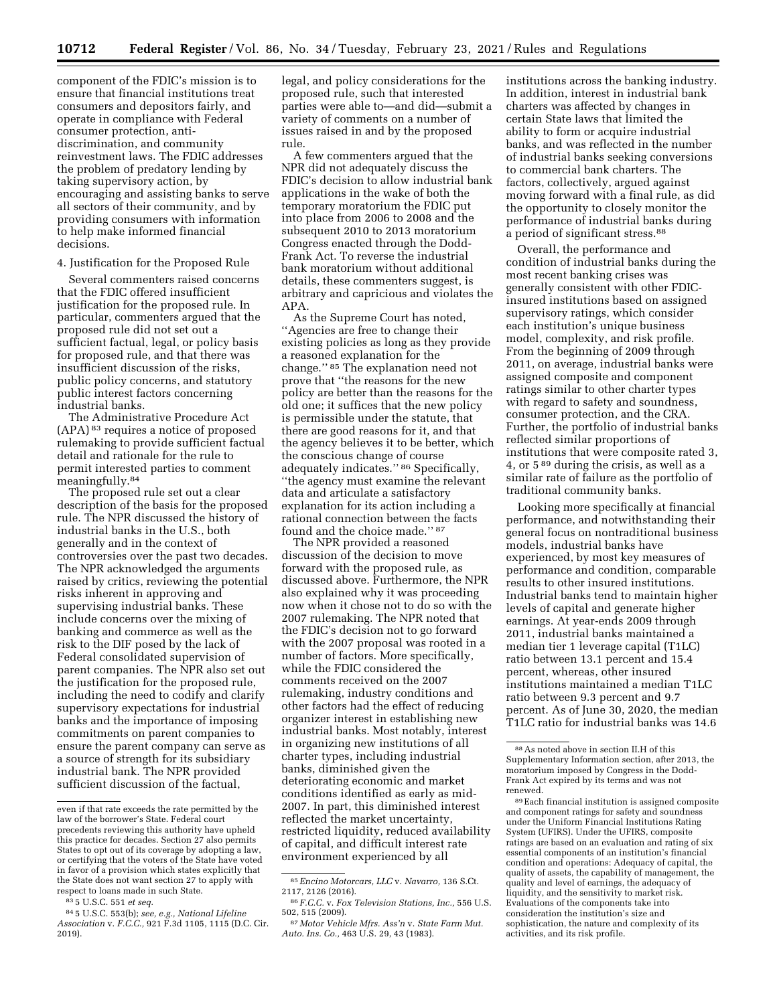component of the FDIC's mission is to ensure that financial institutions treat consumers and depositors fairly, and operate in compliance with Federal consumer protection, antidiscrimination, and community reinvestment laws. The FDIC addresses the problem of predatory lending by taking supervisory action, by encouraging and assisting banks to serve all sectors of their community, and by providing consumers with information to help make informed financial decisions.

4. Justification for the Proposed Rule

Several commenters raised concerns that the FDIC offered insufficient justification for the proposed rule. In particular, commenters argued that the proposed rule did not set out a sufficient factual, legal, or policy basis for proposed rule, and that there was insufficient discussion of the risks, public policy concerns, and statutory public interest factors concerning industrial banks.

The Administrative Procedure Act (APA) 83 requires a notice of proposed rulemaking to provide sufficient factual detail and rationale for the rule to permit interested parties to comment meaningfully.84

The proposed rule set out a clear description of the basis for the proposed rule. The NPR discussed the history of industrial banks in the U.S., both generally and in the context of controversies over the past two decades. The NPR acknowledged the arguments raised by critics, reviewing the potential risks inherent in approving and supervising industrial banks. These include concerns over the mixing of banking and commerce as well as the risk to the DIF posed by the lack of Federal consolidated supervision of parent companies. The NPR also set out the justification for the proposed rule, including the need to codify and clarify supervisory expectations for industrial banks and the importance of imposing commitments on parent companies to ensure the parent company can serve as a source of strength for its subsidiary industrial bank. The NPR provided sufficient discussion of the factual,

legal, and policy considerations for the proposed rule, such that interested parties were able to—and did—submit a variety of comments on a number of issues raised in and by the proposed rule.

A few commenters argued that the NPR did not adequately discuss the FDIC's decision to allow industrial bank applications in the wake of both the temporary moratorium the FDIC put into place from 2006 to 2008 and the subsequent 2010 to 2013 moratorium Congress enacted through the Dodd-Frank Act. To reverse the industrial bank moratorium without additional details, these commenters suggest, is arbitrary and capricious and violates the APA.

As the Supreme Court has noted, ''Agencies are free to change their existing policies as long as they provide a reasoned explanation for the change.'' 85 The explanation need not prove that ''the reasons for the new policy are better than the reasons for the old one; it suffices that the new policy is permissible under the statute, that there are good reasons for it, and that the agency believes it to be better, which the conscious change of course adequately indicates.'' 86 Specifically, ''the agency must examine the relevant data and articulate a satisfactory explanation for its action including a rational connection between the facts found and the choice made.'' 87

The NPR provided a reasoned discussion of the decision to move forward with the proposed rule, as discussed above. Furthermore, the NPR also explained why it was proceeding now when it chose not to do so with the 2007 rulemaking. The NPR noted that the FDIC's decision not to go forward with the 2007 proposal was rooted in a number of factors. More specifically, while the FDIC considered the comments received on the 2007 rulemaking, industry conditions and other factors had the effect of reducing organizer interest in establishing new industrial banks. Most notably, interest in organizing new institutions of all charter types, including industrial banks, diminished given the deteriorating economic and market conditions identified as early as mid-2007. In part, this diminished interest reflected the market uncertainty, restricted liquidity, reduced availability of capital, and difficult interest rate environment experienced by all

institutions across the banking industry. In addition, interest in industrial bank charters was affected by changes in certain State laws that limited the ability to form or acquire industrial banks, and was reflected in the number of industrial banks seeking conversions to commercial bank charters. The factors, collectively, argued against moving forward with a final rule, as did the opportunity to closely monitor the performance of industrial banks during a period of significant stress.<sup>88</sup>

Overall, the performance and condition of industrial banks during the most recent banking crises was generally consistent with other FDICinsured institutions based on assigned supervisory ratings, which consider each institution's unique business model, complexity, and risk profile. From the beginning of 2009 through 2011, on average, industrial banks were assigned composite and component ratings similar to other charter types with regard to safety and soundness, consumer protection, and the CRA. Further, the portfolio of industrial banks reflected similar proportions of institutions that were composite rated 3, 4, or 5 89 during the crisis, as well as a similar rate of failure as the portfolio of traditional community banks.

Looking more specifically at financial performance, and notwithstanding their general focus on nontraditional business models, industrial banks have experienced, by most key measures of performance and condition, comparable results to other insured institutions. Industrial banks tend to maintain higher levels of capital and generate higher earnings. At year-ends 2009 through 2011, industrial banks maintained a median tier 1 leverage capital (T1LC) ratio between 13.1 percent and 15.4 percent, whereas, other insured institutions maintained a median T1LC ratio between 9.3 percent and 9.7 percent. As of June 30, 2020, the median T1LC ratio for industrial banks was 14.6

even if that rate exceeds the rate permitted by the law of the borrower's State. Federal court precedents reviewing this authority have upheld this practice for decades. Section 27 also permits States to opt out of its coverage by adopting a law, or certifying that the voters of the State have voted in favor of a provision which states explicitly that the State does not want section 27 to apply with respect to loans made in such State.

<sup>83</sup> 5 U.S.C. 551 *et seq.* 

<sup>84</sup> 5 U.S.C. 553(b); *see, e.g., National Lifeline Association* v. *F.C.C.,* 921 F.3d 1105, 1115 (D.C. Cir. 2019).

<sup>85</sup>*Encino Motorcars, LLC* v. *Navarro,* 136 S.Ct.

<sup>2117, 2126 (2016). 86</sup> *F.C.C.* v. *Fox Television Stations, Inc.,* 556 U.S.

 $57$  *Motor Vehicle Mfrs. Ass'n v. State Farm Mut. Auto. Ins. Co.,* 463 U.S. 29, 43 (1983).

<sup>88</sup>As noted above in section II.H of this Supplementary Information section, after 2013, the moratorium imposed by Congress in the Dodd-Frank Act expired by its terms and was not renewed.

<sup>89</sup>Each financial institution is assigned composite and component ratings for safety and soundness under the Uniform Financial Institutions Rating System (UFIRS). Under the UFIRS, composite ratings are based on an evaluation and rating of six essential components of an institution's financial condition and operations: Adequacy of capital, the quality of assets, the capability of management, the quality and level of earnings, the adequacy of liquidity, and the sensitivity to market risk. Evaluations of the components take into consideration the institution's size and sophistication, the nature and complexity of its activities, and its risk profile.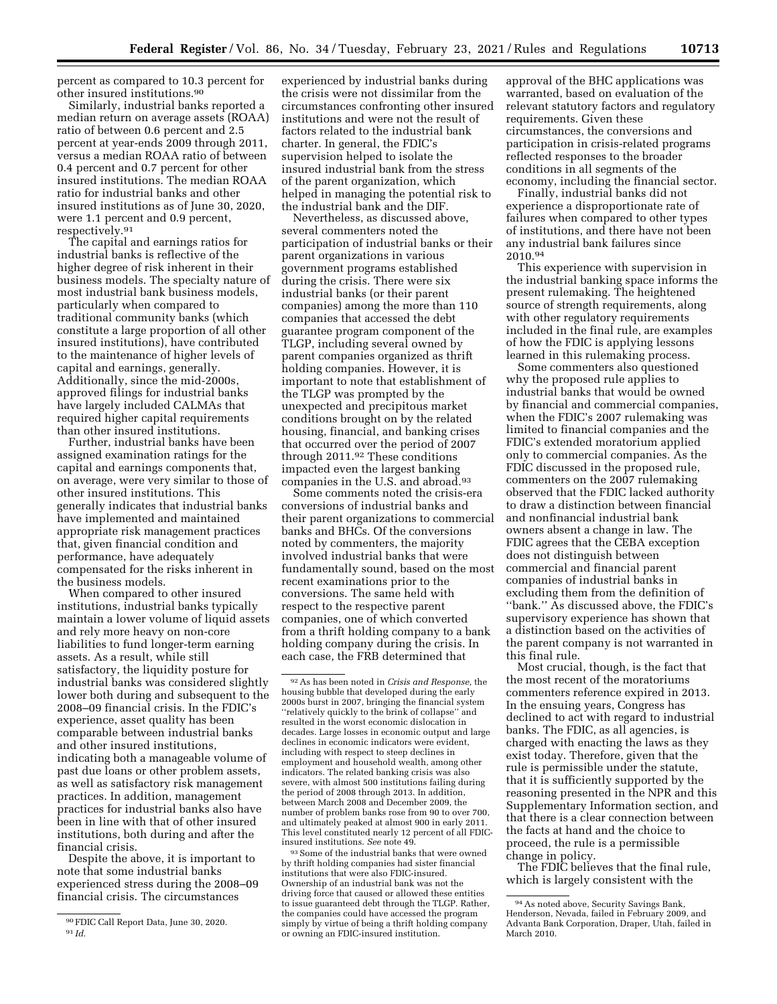percent as compared to 10.3 percent for other insured institutions.90

Similarly, industrial banks reported a median return on average assets (ROAA) ratio of between 0.6 percent and 2.5 percent at year-ends 2009 through 2011, versus a median ROAA ratio of between 0.4 percent and 0.7 percent for other insured institutions. The median ROAA ratio for industrial banks and other insured institutions as of June 30, 2020, were 1.1 percent and 0.9 percent, respectively.91

The capital and earnings ratios for industrial banks is reflective of the higher degree of risk inherent in their business models. The specialty nature of most industrial bank business models, particularly when compared to traditional community banks (which constitute a large proportion of all other insured institutions), have contributed to the maintenance of higher levels of capital and earnings, generally. Additionally, since the mid-2000s, approved filings for industrial banks have largely included CALMAs that required higher capital requirements than other insured institutions.

Further, industrial banks have been assigned examination ratings for the capital and earnings components that, on average, were very similar to those of other insured institutions. This generally indicates that industrial banks have implemented and maintained appropriate risk management practices that, given financial condition and performance, have adequately compensated for the risks inherent in the business models.

When compared to other insured institutions, industrial banks typically maintain a lower volume of liquid assets and rely more heavy on non-core liabilities to fund longer-term earning assets. As a result, while still satisfactory, the liquidity posture for industrial banks was considered slightly lower both during and subsequent to the 2008–09 financial crisis. In the FDIC's experience, asset quality has been comparable between industrial banks and other insured institutions, indicating both a manageable volume of past due loans or other problem assets, as well as satisfactory risk management practices. In addition, management practices for industrial banks also have been in line with that of other insured institutions, both during and after the financial crisis.

Despite the above, it is important to note that some industrial banks experienced stress during the 2008–09 financial crisis. The circumstances

experienced by industrial banks during the crisis were not dissimilar from the circumstances confronting other insured institutions and were not the result of factors related to the industrial bank charter. In general, the FDIC's supervision helped to isolate the insured industrial bank from the stress of the parent organization, which helped in managing the potential risk to the industrial bank and the DIF.

Nevertheless, as discussed above, several commenters noted the participation of industrial banks or their parent organizations in various government programs established during the crisis. There were six industrial banks (or their parent companies) among the more than 110 companies that accessed the debt guarantee program component of the TLGP, including several owned by parent companies organized as thrift holding companies. However, it is important to note that establishment of the TLGP was prompted by the unexpected and precipitous market conditions brought on by the related housing, financial, and banking crises that occurred over the period of 2007 through 2011.92 These conditions impacted even the largest banking companies in the U.S. and abroad.<sup>93</sup>

Some comments noted the crisis-era conversions of industrial banks and their parent organizations to commercial banks and BHCs. Of the conversions noted by commenters, the majority involved industrial banks that were fundamentally sound, based on the most recent examinations prior to the conversions. The same held with respect to the respective parent companies, one of which converted from a thrift holding company to a bank holding company during the crisis. In each case, the FRB determined that

93Some of the industrial banks that were owned by thrift holding companies had sister financial institutions that were also FDIC-insured. Ownership of an industrial bank was not the driving force that caused or allowed these entities to issue guaranteed debt through the TLGP. Rather, the companies could have accessed the program simply by virtue of being a thrift holding company or owning an FDIC-insured institution.

approval of the BHC applications was warranted, based on evaluation of the relevant statutory factors and regulatory requirements. Given these circumstances, the conversions and participation in crisis-related programs reflected responses to the broader conditions in all segments of the economy, including the financial sector.

Finally, industrial banks did not experience a disproportionate rate of failures when compared to other types of institutions, and there have not been any industrial bank failures since 2010.94

This experience with supervision in the industrial banking space informs the present rulemaking. The heightened source of strength requirements, along with other regulatory requirements included in the final rule, are examples of how the FDIC is applying lessons learned in this rulemaking process.

Some commenters also questioned why the proposed rule applies to industrial banks that would be owned by financial and commercial companies, when the FDIC's 2007 rulemaking was limited to financial companies and the FDIC's extended moratorium applied only to commercial companies. As the FDIC discussed in the proposed rule, commenters on the 2007 rulemaking observed that the FDIC lacked authority to draw a distinction between financial and nonfinancial industrial bank owners absent a change in law. The FDIC agrees that the CEBA exception does not distinguish between commercial and financial parent companies of industrial banks in excluding them from the definition of ''bank.'' As discussed above, the FDIC's supervisory experience has shown that a distinction based on the activities of the parent company is not warranted in this final rule.

Most crucial, though, is the fact that the most recent of the moratoriums commenters reference expired in 2013. In the ensuing years, Congress has declined to act with regard to industrial banks. The FDIC, as all agencies, is charged with enacting the laws as they exist today. Therefore, given that the rule is permissible under the statute, that it is sufficiently supported by the reasoning presented in the NPR and this Supplementary Information section, and that there is a clear connection between the facts at hand and the choice to proceed, the rule is a permissible change in policy.

The FDIC believes that the final rule, which is largely consistent with the

<sup>90</sup>FDIC Call Report Data, June 30, 2020. 91 *Id.* 

<sup>92</sup>As has been noted in *Crisis and Response,* the housing bubble that developed during the early 2000s burst in 2007, bringing the financial system ''relatively quickly to the brink of collapse'' and resulted in the worst economic dislocation in decades. Large losses in economic output and large declines in economic indicators were evident, including with respect to steep declines in employment and household wealth, among other indicators. The related banking crisis was also severe, with almost 500 institutions failing during the period of 2008 through 2013. In addition, between March 2008 and December 2009, the number of problem banks rose from 90 to over 700, and ultimately peaked at almost 900 in early 2011. This level constituted nearly 12 percent of all FDICinsured institutions. *See* note 49.

<sup>94</sup>As noted above, Security Savings Bank, Henderson, Nevada, failed in February 2009, and Advanta Bank Corporation, Draper, Utah, failed in March 2010.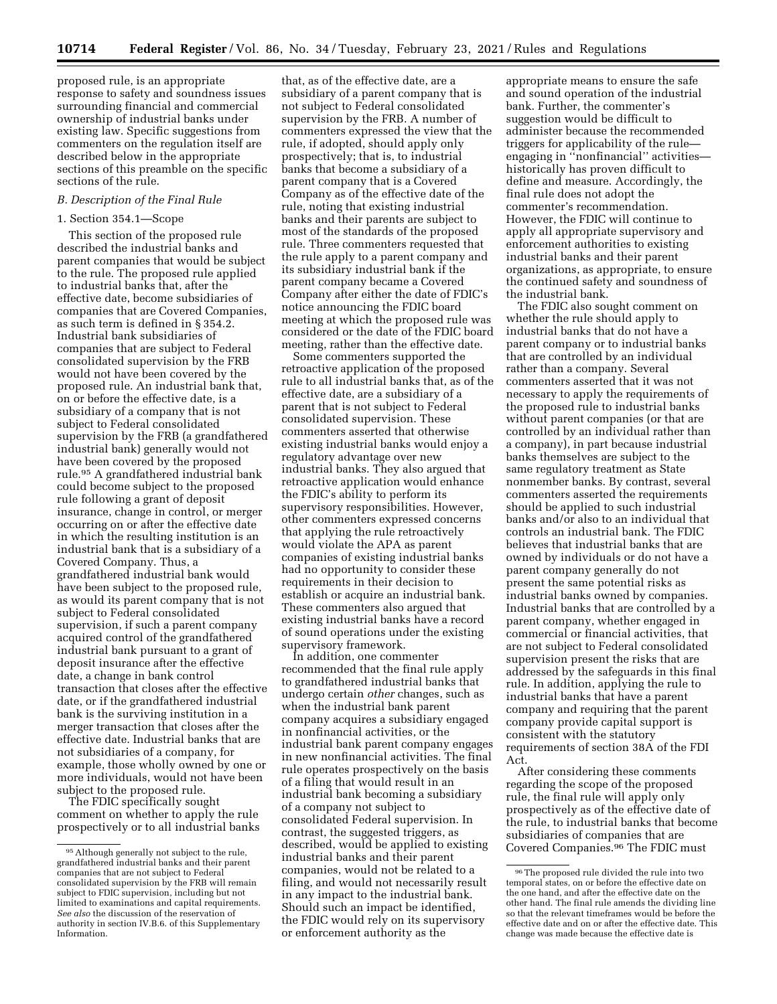proposed rule, is an appropriate response to safety and soundness issues surrounding financial and commercial ownership of industrial banks under existing law. Specific suggestions from commenters on the regulation itself are described below in the appropriate sections of this preamble on the specific sections of the rule.

# *B. Description of the Final Rule*

## 1. Section 354.1—Scope

This section of the proposed rule described the industrial banks and parent companies that would be subject to the rule. The proposed rule applied to industrial banks that, after the effective date, become subsidiaries of companies that are Covered Companies, as such term is defined in § 354.2. Industrial bank subsidiaries of companies that are subject to Federal consolidated supervision by the FRB would not have been covered by the proposed rule. An industrial bank that, on or before the effective date, is a subsidiary of a company that is not subject to Federal consolidated supervision by the FRB (a grandfathered industrial bank) generally would not have been covered by the proposed rule.95 A grandfathered industrial bank could become subject to the proposed rule following a grant of deposit insurance, change in control, or merger occurring on or after the effective date in which the resulting institution is an industrial bank that is a subsidiary of a Covered Company. Thus, a grandfathered industrial bank would have been subject to the proposed rule, as would its parent company that is not subject to Federal consolidated supervision, if such a parent company acquired control of the grandfathered industrial bank pursuant to a grant of deposit insurance after the effective date, a change in bank control transaction that closes after the effective date, or if the grandfathered industrial bank is the surviving institution in a merger transaction that closes after the effective date. Industrial banks that are not subsidiaries of a company, for example, those wholly owned by one or more individuals, would not have been subject to the proposed rule.

The FDIC specifically sought comment on whether to apply the rule prospectively or to all industrial banks

that, as of the effective date, are a subsidiary of a parent company that is not subject to Federal consolidated supervision by the FRB. A number of commenters expressed the view that the rule, if adopted, should apply only prospectively; that is, to industrial banks that become a subsidiary of a parent company that is a Covered Company as of the effective date of the rule, noting that existing industrial banks and their parents are subject to most of the standards of the proposed rule. Three commenters requested that the rule apply to a parent company and its subsidiary industrial bank if the parent company became a Covered Company after either the date of FDIC's notice announcing the FDIC board meeting at which the proposed rule was considered or the date of the FDIC board meeting, rather than the effective date.

Some commenters supported the retroactive application of the proposed rule to all industrial banks that, as of the effective date, are a subsidiary of a parent that is not subject to Federal consolidated supervision. These commenters asserted that otherwise existing industrial banks would enjoy a regulatory advantage over new industrial banks. They also argued that retroactive application would enhance the FDIC's ability to perform its supervisory responsibilities. However, other commenters expressed concerns that applying the rule retroactively would violate the APA as parent companies of existing industrial banks had no opportunity to consider these requirements in their decision to establish or acquire an industrial bank. These commenters also argued that existing industrial banks have a record of sound operations under the existing supervisory framework.

In addition, one commenter recommended that the final rule apply to grandfathered industrial banks that undergo certain *other* changes, such as when the industrial bank parent company acquires a subsidiary engaged in nonfinancial activities, or the industrial bank parent company engages in new nonfinancial activities. The final rule operates prospectively on the basis of a filing that would result in an industrial bank becoming a subsidiary of a company not subject to consolidated Federal supervision. In contrast, the suggested triggers, as described, would be applied to existing industrial banks and their parent companies, would not be related to a filing, and would not necessarily result in any impact to the industrial bank. Should such an impact be identified, the FDIC would rely on its supervisory or enforcement authority as the

appropriate means to ensure the safe and sound operation of the industrial bank. Further, the commenter's suggestion would be difficult to administer because the recommended triggers for applicability of the rule engaging in ''nonfinancial'' activities historically has proven difficult to define and measure. Accordingly, the final rule does not adopt the commenter's recommendation. However, the FDIC will continue to apply all appropriate supervisory and enforcement authorities to existing industrial banks and their parent organizations, as appropriate, to ensure the continued safety and soundness of the industrial bank.

The FDIC also sought comment on whether the rule should apply to industrial banks that do not have a parent company or to industrial banks that are controlled by an individual rather than a company. Several commenters asserted that it was not necessary to apply the requirements of the proposed rule to industrial banks without parent companies (or that are controlled by an individual rather than a company), in part because industrial banks themselves are subject to the same regulatory treatment as State nonmember banks. By contrast, several commenters asserted the requirements should be applied to such industrial banks and/or also to an individual that controls an industrial bank. The FDIC believes that industrial banks that are owned by individuals or do not have a parent company generally do not present the same potential risks as industrial banks owned by companies. Industrial banks that are controlled by a parent company, whether engaged in commercial or financial activities, that are not subject to Federal consolidated supervision present the risks that are addressed by the safeguards in this final rule. In addition, applying the rule to industrial banks that have a parent company and requiring that the parent company provide capital support is consistent with the statutory requirements of section 38A of the FDI Act.

After considering these comments regarding the scope of the proposed rule, the final rule will apply only prospectively as of the effective date of the rule, to industrial banks that become subsidiaries of companies that are Covered Companies.96 The FDIC must

<sup>95</sup>Although generally not subject to the rule, grandfathered industrial banks and their parent companies that are not subject to Federal consolidated supervision by the FRB will remain subject to FDIC supervision, including but not limited to examinations and capital requirements. *See also* the discussion of the reservation of authority in section IV.B.6. of this Supplementary Information.

<sup>96</sup>The proposed rule divided the rule into two temporal states, on or before the effective date on the one hand, and after the effective date on the other hand. The final rule amends the dividing line so that the relevant timeframes would be before the effective date and on or after the effective date. This change was made because the effective date is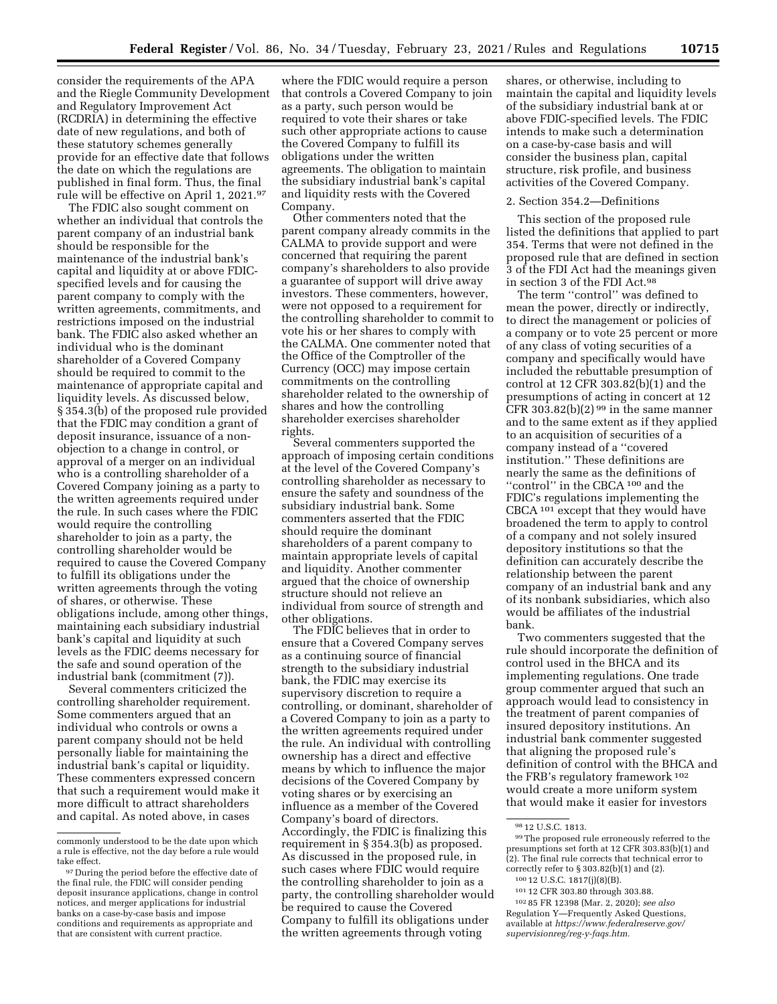consider the requirements of the APA and the Riegle Community Development and Regulatory Improvement Act (RCDRIA) in determining the effective date of new regulations, and both of these statutory schemes generally provide for an effective date that follows the date on which the regulations are published in final form. Thus, the final rule will be effective on April 1, 2021.97

The FDIC also sought comment on whether an individual that controls the parent company of an industrial bank should be responsible for the maintenance of the industrial bank's capital and liquidity at or above FDICspecified levels and for causing the parent company to comply with the written agreements, commitments, and restrictions imposed on the industrial bank. The FDIC also asked whether an individual who is the dominant shareholder of a Covered Company should be required to commit to the maintenance of appropriate capital and liquidity levels. As discussed below, § 354.3(b) of the proposed rule provided that the FDIC may condition a grant of deposit insurance, issuance of a nonobjection to a change in control, or approval of a merger on an individual who is a controlling shareholder of a Covered Company joining as a party to the written agreements required under the rule. In such cases where the FDIC would require the controlling shareholder to join as a party, the controlling shareholder would be required to cause the Covered Company to fulfill its obligations under the written agreements through the voting of shares, or otherwise. These obligations include, among other things, maintaining each subsidiary industrial bank's capital and liquidity at such levels as the FDIC deems necessary for the safe and sound operation of the industrial bank (commitment (7)).

Several commenters criticized the controlling shareholder requirement. Some commenters argued that an individual who controls or owns a parent company should not be held personally liable for maintaining the industrial bank's capital or liquidity. These commenters expressed concern that such a requirement would make it more difficult to attract shareholders and capital. As noted above, in cases

where the FDIC would require a person that controls a Covered Company to join as a party, such person would be required to vote their shares or take such other appropriate actions to cause the Covered Company to fulfill its obligations under the written agreements. The obligation to maintain the subsidiary industrial bank's capital and liquidity rests with the Covered Company.

Other commenters noted that the parent company already commits in the CALMA to provide support and were concerned that requiring the parent company's shareholders to also provide a guarantee of support will drive away investors. These commenters, however, were not opposed to a requirement for the controlling shareholder to commit to vote his or her shares to comply with the CALMA. One commenter noted that the Office of the Comptroller of the Currency (OCC) may impose certain commitments on the controlling shareholder related to the ownership of shares and how the controlling shareholder exercises shareholder rights.

Several commenters supported the approach of imposing certain conditions at the level of the Covered Company's controlling shareholder as necessary to ensure the safety and soundness of the subsidiary industrial bank. Some commenters asserted that the FDIC should require the dominant shareholders of a parent company to maintain appropriate levels of capital and liquidity. Another commenter argued that the choice of ownership structure should not relieve an individual from source of strength and other obligations.

The FDIC believes that in order to ensure that a Covered Company serves as a continuing source of financial strength to the subsidiary industrial bank, the FDIC may exercise its supervisory discretion to require a controlling, or dominant, shareholder of a Covered Company to join as a party to the written agreements required under the rule. An individual with controlling ownership has a direct and effective means by which to influence the major decisions of the Covered Company by voting shares or by exercising an influence as a member of the Covered Company's board of directors. Accordingly, the FDIC is finalizing this requirement in § 354.3(b) as proposed. As discussed in the proposed rule, in such cases where FDIC would require the controlling shareholder to join as a party, the controlling shareholder would be required to cause the Covered Company to fulfill its obligations under the written agreements through voting

shares, or otherwise, including to maintain the capital and liquidity levels of the subsidiary industrial bank at or above FDIC-specified levels. The FDIC intends to make such a determination on a case-by-case basis and will consider the business plan, capital structure, risk profile, and business activities of the Covered Company.

#### 2. Section 354.2—Definitions

This section of the proposed rule listed the definitions that applied to part 354. Terms that were not defined in the proposed rule that are defined in section 3 of the FDI Act had the meanings given in section 3 of the FDI Act.98

The term ''control'' was defined to mean the power, directly or indirectly, to direct the management or policies of a company or to vote 25 percent or more of any class of voting securities of a company and specifically would have included the rebuttable presumption of control at 12 CFR 303.82(b)(1) and the presumptions of acting in concert at 12 CFR 303.82(b)(2)  $99$  in the same manner and to the same extent as if they applied to an acquisition of securities of a company instead of a ''covered institution.'' These definitions are nearly the same as the definitions of ''control'' in the CBCA 100 and the FDIC's regulations implementing the CBCA 101 except that they would have broadened the term to apply to control of a company and not solely insured depository institutions so that the definition can accurately describe the relationship between the parent company of an industrial bank and any of its nonbank subsidiaries, which also would be affiliates of the industrial bank.

Two commenters suggested that the rule should incorporate the definition of control used in the BHCA and its implementing regulations. One trade group commenter argued that such an approach would lead to consistency in the treatment of parent companies of insured depository institutions. An industrial bank commenter suggested that aligning the proposed rule's definition of control with the BHCA and the FRB's regulatory framework 102 would create a more uniform system that would make it easier for investors

commonly understood to be the date upon which a rule is effective, not the day before a rule would take effect.

<sup>97</sup> During the period before the effective date of the final rule, the FDIC will consider pending deposit insurance applications, change in control notices, and merger applications for industrial banks on a case-by-case basis and impose conditions and requirements as appropriate and that are consistent with current practice.

<sup>98</sup> 12 U.S.C. 1813.

<sup>99</sup>The proposed rule erroneously referred to the presumptions set forth at 12 CFR 303.83(b)(1) and (2). The final rule corrects that technical error to correctly refer to § 303.82(b)(1) and (2).

<sup>100</sup> 12 U.S.C. 1817(j)(8)(B).

<sup>101</sup> 12 CFR 303.80 through 303.88.

<sup>102</sup> 85 FR 12398 (Mar. 2, 2020); *see also*  Regulation Y—Frequently Asked Questions, available at *[https://www.federalreserve.gov/](https://www.federalreserve.gov/supervisionreg/reg-y-faqs.htm)  [supervisionreg/reg-y-faqs.htm.](https://www.federalreserve.gov/supervisionreg/reg-y-faqs.htm)*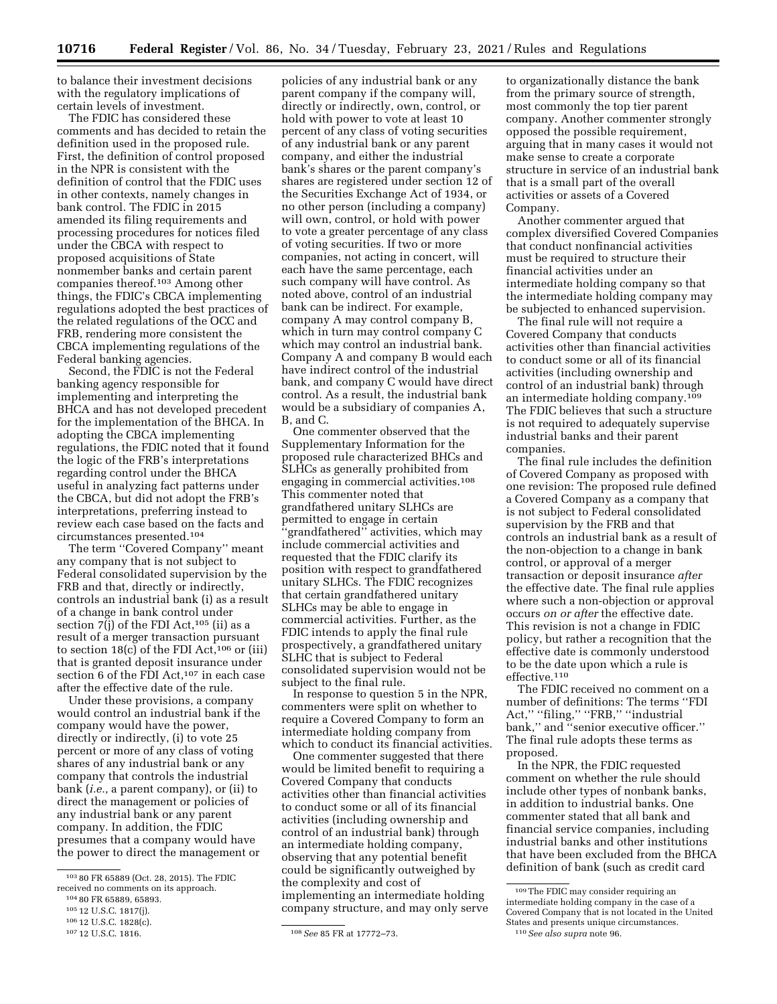to balance their investment decisions with the regulatory implications of certain levels of investment.

The FDIC has considered these comments and has decided to retain the definition used in the proposed rule. First, the definition of control proposed in the NPR is consistent with the definition of control that the FDIC uses in other contexts, namely changes in bank control. The FDIC in 2015 amended its filing requirements and processing procedures for notices filed under the CBCA with respect to proposed acquisitions of State nonmember banks and certain parent companies thereof.103 Among other things, the FDIC's CBCA implementing regulations adopted the best practices of the related regulations of the OCC and FRB, rendering more consistent the CBCA implementing regulations of the Federal banking agencies.

Second, the FDIC is not the Federal banking agency responsible for implementing and interpreting the BHCA and has not developed precedent for the implementation of the BHCA. In adopting the CBCA implementing regulations, the FDIC noted that it found the logic of the FRB's interpretations regarding control under the BHCA useful in analyzing fact patterns under the CBCA, but did not adopt the FRB's interpretations, preferring instead to review each case based on the facts and circumstances presented.104

The term ''Covered Company'' meant any company that is not subject to Federal consolidated supervision by the FRB and that, directly or indirectly, controls an industrial bank (i) as a result of a change in bank control under section  $7(j)$  of the FDI Act,<sup>105</sup> (ii) as a result of a merger transaction pursuant to section  $18(c)$  of the FDI Act,<sup>106</sup> or (iii) that is granted deposit insurance under section 6 of the FDI Act,<sup>107</sup> in each case after the effective date of the rule.

Under these provisions, a company would control an industrial bank if the company would have the power, directly or indirectly, (i) to vote 25 percent or more of any class of voting shares of any industrial bank or any company that controls the industrial bank (*i.e.,* a parent company), or (ii) to direct the management or policies of any industrial bank or any parent company. In addition, the FDIC presumes that a company would have the power to direct the management or

policies of any industrial bank or any parent company if the company will, directly or indirectly, own, control, or hold with power to vote at least 10 percent of any class of voting securities of any industrial bank or any parent company, and either the industrial bank's shares or the parent company's shares are registered under section 12 of the Securities Exchange Act of 1934, or no other person (including a company) will own, control, or hold with power to vote a greater percentage of any class of voting securities. If two or more companies, not acting in concert, will each have the same percentage, each such company will have control. As noted above, control of an industrial bank can be indirect. For example, company A may control company B, which in turn may control company C which may control an industrial bank. Company A and company B would each have indirect control of the industrial bank, and company C would have direct control. As a result, the industrial bank would be a subsidiary of companies A, B, and C.

One commenter observed that the Supplementary Information for the proposed rule characterized BHCs and SLHCs as generally prohibited from engaging in commercial activities.108 This commenter noted that grandfathered unitary SLHCs are permitted to engage in certain ''grandfathered'' activities, which may include commercial activities and requested that the FDIC clarify its position with respect to grandfathered unitary SLHCs. The FDIC recognizes that certain grandfathered unitary SLHCs may be able to engage in commercial activities. Further, as the FDIC intends to apply the final rule prospectively, a grandfathered unitary SLHC that is subject to Federal consolidated supervision would not be subject to the final rule.

In response to question 5 in the NPR, commenters were split on whether to require a Covered Company to form an intermediate holding company from which to conduct its financial activities.

One commenter suggested that there would be limited benefit to requiring a Covered Company that conducts activities other than financial activities to conduct some or all of its financial activities (including ownership and control of an industrial bank) through an intermediate holding company, observing that any potential benefit could be significantly outweighed by the complexity and cost of implementing an intermediate holding company structure, and may only serve

to organizationally distance the bank from the primary source of strength, most commonly the top tier parent company. Another commenter strongly opposed the possible requirement, arguing that in many cases it would not make sense to create a corporate structure in service of an industrial bank that is a small part of the overall activities or assets of a Covered Company.

Another commenter argued that complex diversified Covered Companies that conduct nonfinancial activities must be required to structure their financial activities under an intermediate holding company so that the intermediate holding company may be subjected to enhanced supervision.

The final rule will not require a Covered Company that conducts activities other than financial activities to conduct some or all of its financial activities (including ownership and control of an industrial bank) through an intermediate holding company.109 The FDIC believes that such a structure is not required to adequately supervise industrial banks and their parent companies.

The final rule includes the definition of Covered Company as proposed with one revision: The proposed rule defined a Covered Company as a company that is not subject to Federal consolidated supervision by the FRB and that controls an industrial bank as a result of the non-objection to a change in bank control, or approval of a merger transaction or deposit insurance *after*  the effective date. The final rule applies where such a non-objection or approval occurs *on or after* the effective date. This revision is not a change in FDIC policy, but rather a recognition that the effective date is commonly understood to be the date upon which a rule is effective.110

The FDIC received no comment on a number of definitions: The terms ''FDI Act," "filing," "FRB," "industrial bank,'' and ''senior executive officer.'' The final rule adopts these terms as proposed.

In the NPR, the FDIC requested comment on whether the rule should include other types of nonbank banks, in addition to industrial banks. One commenter stated that all bank and financial service companies, including industrial banks and other institutions that have been excluded from the BHCA definition of bank (such as credit card

<sup>103</sup> 80 FR 65889 (Oct. 28, 2015). The FDIC received no comments on its approach.

<sup>104</sup> 80 FR 65889, 65893.

<sup>105</sup> 12 U.S.C. 1817(j).

<sup>106 12</sup> U.S.C. 1828(c).<br><sup>107</sup> 12 U.S.C. 1816.

<sup>107</sup> 12 U.S.C. 1816. 108*See* 85 FR at 17772–73.

<sup>109</sup>The FDIC may consider requiring an intermediate holding company in the case of a Covered Company that is not located in the United States and presents unique circumstances. 110*See also supra* note 96.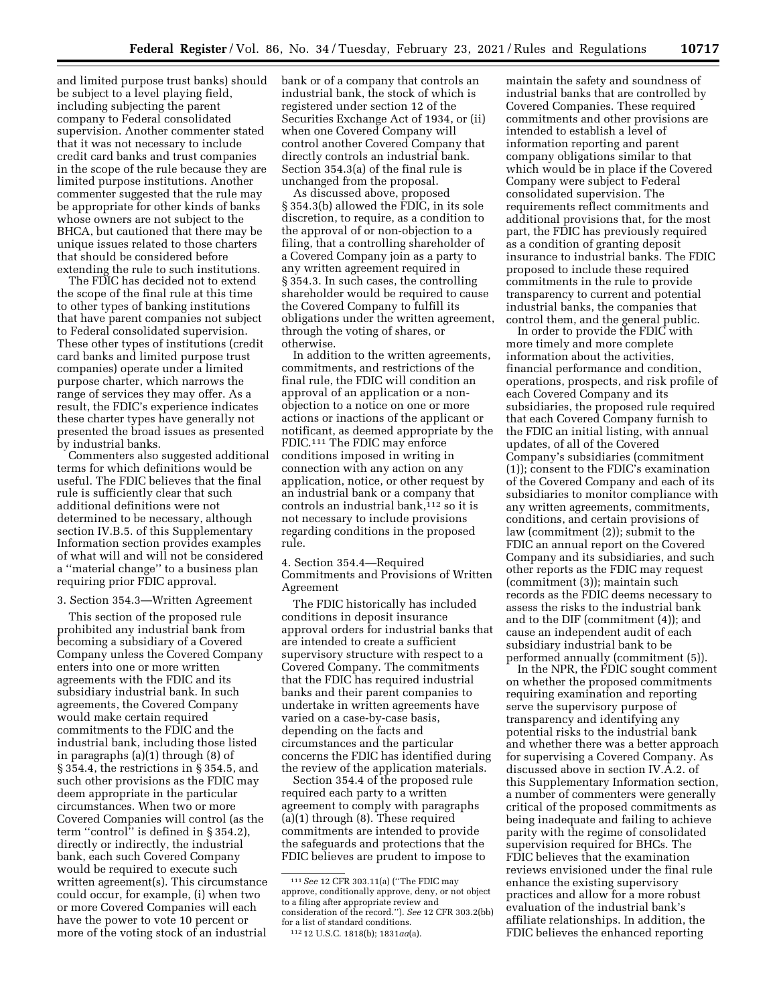and limited purpose trust banks) should be subject to a level playing field, including subjecting the parent company to Federal consolidated supervision. Another commenter stated that it was not necessary to include credit card banks and trust companies in the scope of the rule because they are limited purpose institutions. Another commenter suggested that the rule may be appropriate for other kinds of banks whose owners are not subject to the BHCA, but cautioned that there may be unique issues related to those charters that should be considered before extending the rule to such institutions.

The FDIC has decided not to extend the scope of the final rule at this time to other types of banking institutions that have parent companies not subject to Federal consolidated supervision. These other types of institutions (credit card banks and limited purpose trust companies) operate under a limited purpose charter, which narrows the range of services they may offer. As a result, the FDIC's experience indicates these charter types have generally not presented the broad issues as presented by industrial banks.

Commenters also suggested additional terms for which definitions would be useful. The FDIC believes that the final rule is sufficiently clear that such additional definitions were not determined to be necessary, although section IV.B.5. of this Supplementary Information section provides examples of what will and will not be considered a ''material change'' to a business plan requiring prior FDIC approval.

3. Section 354.3—Written Agreement

This section of the proposed rule prohibited any industrial bank from becoming a subsidiary of a Covered Company unless the Covered Company enters into one or more written agreements with the FDIC and its subsidiary industrial bank. In such agreements, the Covered Company would make certain required commitments to the FDIC and the industrial bank, including those listed in paragraphs (a)(1) through (8) of § 354.4, the restrictions in § 354.5, and such other provisions as the FDIC may deem appropriate in the particular circumstances. When two or more Covered Companies will control (as the term ''control'' is defined in § 354.2), directly or indirectly, the industrial bank, each such Covered Company would be required to execute such written agreement(s). This circumstance could occur, for example, (i) when two or more Covered Companies will each have the power to vote 10 percent or more of the voting stock of an industrial

bank or of a company that controls an industrial bank, the stock of which is registered under section 12 of the Securities Exchange Act of 1934, or (ii) when one Covered Company will control another Covered Company that directly controls an industrial bank. Section 354.3(a) of the final rule is unchanged from the proposal.

As discussed above, proposed § 354.3(b) allowed the FDIC, in its sole discretion, to require, as a condition to the approval of or non-objection to a filing, that a controlling shareholder of a Covered Company join as a party to any written agreement required in § 354.3. In such cases, the controlling shareholder would be required to cause the Covered Company to fulfill its obligations under the written agreement, through the voting of shares, or otherwise.

In addition to the written agreements, commitments, and restrictions of the final rule, the FDIC will condition an approval of an application or a nonobjection to a notice on one or more actions or inactions of the applicant or notificant, as deemed appropriate by the FDIC.111 The FDIC may enforce conditions imposed in writing in connection with any action on any application, notice, or other request by an industrial bank or a company that controls an industrial bank,<sup>112</sup> so it is not necessary to include provisions regarding conditions in the proposed rule.

4. Section 354.4—Required Commitments and Provisions of Written Agreement

The FDIC historically has included conditions in deposit insurance approval orders for industrial banks that are intended to create a sufficient supervisory structure with respect to a Covered Company. The commitments that the FDIC has required industrial banks and their parent companies to undertake in written agreements have varied on a case-by-case basis, depending on the facts and circumstances and the particular concerns the FDIC has identified during the review of the application materials.

Section 354.4 of the proposed rule required each party to a written agreement to comply with paragraphs (a)(1) through (8). These required commitments are intended to provide the safeguards and protections that the FDIC believes are prudent to impose to

maintain the safety and soundness of industrial banks that are controlled by Covered Companies. These required commitments and other provisions are intended to establish a level of information reporting and parent company obligations similar to that which would be in place if the Covered Company were subject to Federal consolidated supervision. The requirements reflect commitments and additional provisions that, for the most part, the FDIC has previously required as a condition of granting deposit insurance to industrial banks. The FDIC proposed to include these required commitments in the rule to provide transparency to current and potential industrial banks, the companies that control them, and the general public.

In order to provide the FDIC with more timely and more complete information about the activities, financial performance and condition, operations, prospects, and risk profile of each Covered Company and its subsidiaries, the proposed rule required that each Covered Company furnish to the FDIC an initial listing, with annual updates, of all of the Covered Company's subsidiaries (commitment (1)); consent to the FDIC's examination of the Covered Company and each of its subsidiaries to monitor compliance with any written agreements, commitments, conditions, and certain provisions of law (commitment (2)); submit to the FDIC an annual report on the Covered Company and its subsidiaries, and such other reports as the FDIC may request (commitment (3)); maintain such records as the FDIC deems necessary to assess the risks to the industrial bank and to the DIF (commitment (4)); and cause an independent audit of each subsidiary industrial bank to be performed annually (commitment (5)).

In the NPR, the FDIC sought comment on whether the proposed commitments requiring examination and reporting serve the supervisory purpose of transparency and identifying any potential risks to the industrial bank and whether there was a better approach for supervising a Covered Company. As discussed above in section IV.A.2. of this Supplementary Information section, a number of commenters were generally critical of the proposed commitments as being inadequate and failing to achieve parity with the regime of consolidated supervision required for BHCs. The FDIC believes that the examination reviews envisioned under the final rule enhance the existing supervisory practices and allow for a more robust evaluation of the industrial bank's affiliate relationships. In addition, the FDIC believes the enhanced reporting

<sup>111</sup>*See* 12 CFR 303.11(a) (''The FDIC may approve, conditionally approve, deny, or not object to a filing after appropriate review and consideration of the record.''). *See* 12 CFR 303.2(bb) for a list of standard conditions.

<sup>112</sup> 12 U.S.C. 1818(b); 1831*aa*(a).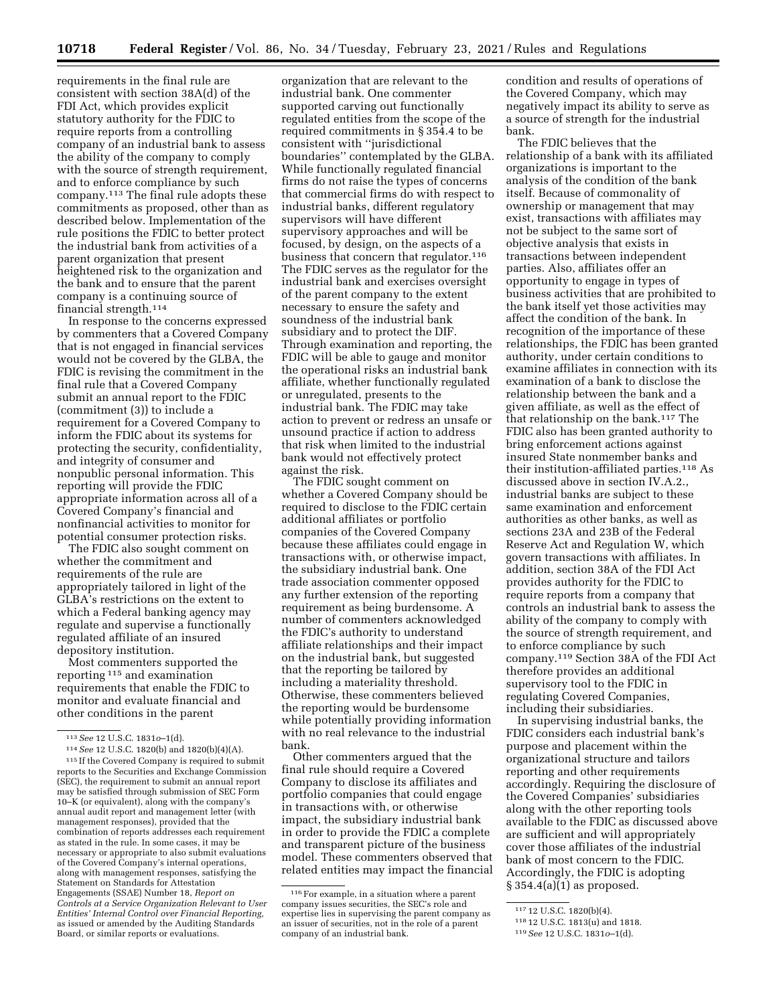requirements in the final rule are consistent with section 38A(d) of the FDI Act, which provides explicit statutory authority for the FDIC to require reports from a controlling company of an industrial bank to assess the ability of the company to comply with the source of strength requirement, and to enforce compliance by such company.113 The final rule adopts these commitments as proposed, other than as described below. Implementation of the rule positions the FDIC to better protect the industrial bank from activities of a parent organization that present heightened risk to the organization and the bank and to ensure that the parent company is a continuing source of financial strength.114

In response to the concerns expressed by commenters that a Covered Company that is not engaged in financial services would not be covered by the GLBA, the FDIC is revising the commitment in the final rule that a Covered Company submit an annual report to the FDIC (commitment (3)) to include a requirement for a Covered Company to inform the FDIC about its systems for protecting the security, confidentiality, and integrity of consumer and nonpublic personal information. This reporting will provide the FDIC appropriate information across all of a Covered Company's financial and nonfinancial activities to monitor for potential consumer protection risks.

The FDIC also sought comment on whether the commitment and requirements of the rule are appropriately tailored in light of the GLBA's restrictions on the extent to which a Federal banking agency may regulate and supervise a functionally regulated affiliate of an insured depository institution.

Most commenters supported the reporting 115 and examination requirements that enable the FDIC to monitor and evaluate financial and other conditions in the parent

organization that are relevant to the industrial bank. One commenter supported carving out functionally regulated entities from the scope of the required commitments in § 354.4 to be consistent with ''jurisdictional boundaries'' contemplated by the GLBA. While functionally regulated financial firms do not raise the types of concerns that commercial firms do with respect to industrial banks, different regulatory supervisors will have different supervisory approaches and will be focused, by design, on the aspects of a business that concern that regulator.116 The FDIC serves as the regulator for the industrial bank and exercises oversight of the parent company to the extent necessary to ensure the safety and soundness of the industrial bank subsidiary and to protect the DIF. Through examination and reporting, the FDIC will be able to gauge and monitor the operational risks an industrial bank affiliate, whether functionally regulated or unregulated, presents to the industrial bank. The FDIC may take action to prevent or redress an unsafe or unsound practice if action to address that risk when limited to the industrial bank would not effectively protect against the risk.

The FDIC sought comment on whether a Covered Company should be required to disclose to the FDIC certain additional affiliates or portfolio companies of the Covered Company because these affiliates could engage in transactions with, or otherwise impact, the subsidiary industrial bank. One trade association commenter opposed any further extension of the reporting requirement as being burdensome. A number of commenters acknowledged the FDIC's authority to understand affiliate relationships and their impact on the industrial bank, but suggested that the reporting be tailored by including a materiality threshold. Otherwise, these commenters believed the reporting would be burdensome while potentially providing information with no real relevance to the industrial bank.

Other commenters argued that the final rule should require a Covered Company to disclose its affiliates and portfolio companies that could engage in transactions with, or otherwise impact, the subsidiary industrial bank in order to provide the FDIC a complete and transparent picture of the business model. These commenters observed that related entities may impact the financial condition and results of operations of the Covered Company, which may negatively impact its ability to serve as a source of strength for the industrial bank.

The FDIC believes that the relationship of a bank with its affiliated organizations is important to the analysis of the condition of the bank itself. Because of commonality of ownership or management that may exist, transactions with affiliates may not be subject to the same sort of objective analysis that exists in transactions between independent parties. Also, affiliates offer an opportunity to engage in types of business activities that are prohibited to the bank itself yet those activities may affect the condition of the bank. In recognition of the importance of these relationships, the FDIC has been granted authority, under certain conditions to examine affiliates in connection with its examination of a bank to disclose the relationship between the bank and a given affiliate, as well as the effect of that relationship on the bank.117 The FDIC also has been granted authority to bring enforcement actions against insured State nonmember banks and their institution-affiliated parties.118 As discussed above in section IV.A.2., industrial banks are subject to these same examination and enforcement authorities as other banks, as well as sections 23A and 23B of the Federal Reserve Act and Regulation W, which govern transactions with affiliates. In addition, section 38A of the FDI Act provides authority for the FDIC to require reports from a company that controls an industrial bank to assess the ability of the company to comply with the source of strength requirement, and to enforce compliance by such company.119 Section 38A of the FDI Act therefore provides an additional supervisory tool to the FDIC in regulating Covered Companies, including their subsidiaries.

In supervising industrial banks, the FDIC considers each industrial bank's purpose and placement within the organizational structure and tailors reporting and other requirements accordingly. Requiring the disclosure of the Covered Companies' subsidiaries along with the other reporting tools available to the FDIC as discussed above are sufficient and will appropriately cover those affiliates of the industrial bank of most concern to the FDIC. Accordingly, the FDIC is adopting § 354.4(a)(1) as proposed.

<sup>113</sup>*See* 12 U.S.C. 1831*o*–1(d).

<sup>114</sup>*See* 12 U.S.C. 1820(b) and 1820(b)(4)(A).

<sup>115</sup> If the Covered Company is required to submit reports to the Securities and Exchange Commission (SEC), the requirement to submit an annual report may be satisfied through submission of SEC Form 10–K (or equivalent), along with the company's annual audit report and management letter (with management responses), provided that the combination of reports addresses each requirement as stated in the rule. In some cases, it may be necessary or appropriate to also submit evaluations of the Covered Company's internal operations, along with management responses, satisfying the Statement on Standards for Attestation Engagements (SSAE) Number 18, *Report on Controls at a Service Organization Relevant to User Entities' Internal Control over Financial Reporting,*  as issued or amended by the Auditing Standards Board, or similar reports or evaluations.

<sup>116</sup>For example, in a situation where a parent company issues securities, the SEC's role and expertise lies in supervising the parent company as an issuer of securities, not in the role of a parent company of an industrial bank.

<sup>117</sup> 12 U.S.C. 1820(b)(4).

<sup>118</sup> 12 U.S.C. 1813(u) and 1818.

<sup>119</sup>*See* 12 U.S.C. 1831*o*–1(d).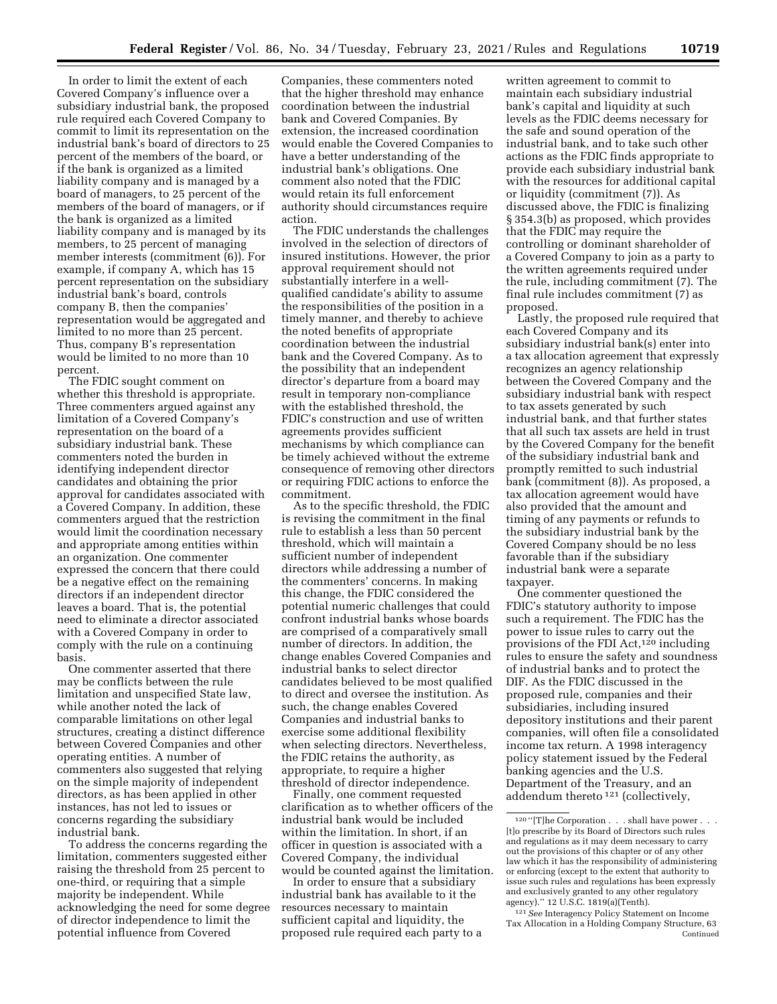In order to limit the extent of each Covered Company's influence over a subsidiary industrial bank, the proposed rule required each Covered Company to commit to limit its representation on the industrial bank's board of directors to 25 percent of the members of the board, or if the bank is organized as a limited liability company and is managed by a board of managers, to 25 percent of the members of the board of managers, or if the bank is organized as a limited liability company and is managed by its members, to 25 percent of managing member interests (commitment (6)). For example, if company A, which has 15 percent representation on the subsidiary industrial bank's board, controls company B, then the companies' representation would be aggregated and limited to no more than 25 percent. Thus, company B's representation would be limited to no more than 10 percent.

The FDIC sought comment on whether this threshold is appropriate. Three commenters argued against any limitation of a Covered Company's representation on the board of a subsidiary industrial bank. These commenters noted the burden in identifying independent director candidates and obtaining the prior approval for candidates associated with a Covered Company. In addition, these commenters argued that the restriction would limit the coordination necessary and appropriate among entities within an organization. One commenter expressed the concern that there could be a negative effect on the remaining directors if an independent director leaves a board. That is, the potential need to eliminate a director associated with a Covered Company in order to comply with the rule on a continuing basis.

One commenter asserted that there may be conflicts between the rule limitation and unspecified State law, while another noted the lack of comparable limitations on other legal structures, creating a distinct difference between Covered Companies and other operating entities. A number of commenters also suggested that relying on the simple majority of independent directors, as has been applied in other instances, has not led to issues or concerns regarding the subsidiary industrial bank.

To address the concerns regarding the limitation, commenters suggested either raising the threshold from 25 percent to one-third, or requiring that a simple majority be independent. While acknowledging the need for some degree of director independence to limit the potential influence from Covered

Companies, these commenters noted that the higher threshold may enhance coordination between the industrial bank and Covered Companies. By extension, the increased coordination would enable the Covered Companies to have a better understanding of the industrial bank's obligations. One comment also noted that the FDIC would retain its full enforcement authority should circumstances require action.

The FDIC understands the challenges involved in the selection of directors of insured institutions. However, the prior approval requirement should not substantially interfere in a wellqualified candidate's ability to assume the responsibilities of the position in a timely manner, and thereby to achieve the noted benefits of appropriate coordination between the industrial bank and the Covered Company. As to the possibility that an independent director's departure from a board may result in temporary non-compliance with the established threshold, the FDIC's construction and use of written agreements provides sufficient mechanisms by which compliance can be timely achieved without the extreme consequence of removing other directors or requiring FDIC actions to enforce the commitment.

As to the specific threshold, the FDIC is revising the commitment in the final rule to establish a less than 50 percent threshold, which will maintain a sufficient number of independent directors while addressing a number of the commenters' concerns. In making this change, the FDIC considered the potential numeric challenges that could confront industrial banks whose boards are comprised of a comparatively small number of directors. In addition, the change enables Covered Companies and industrial banks to select director candidates believed to be most qualified to direct and oversee the institution. As such, the change enables Covered Companies and industrial banks to exercise some additional flexibility when selecting directors. Nevertheless, the FDIC retains the authority, as appropriate, to require a higher threshold of director independence.

Finally, one comment requested clarification as to whether officers of the industrial bank would be included within the limitation. In short, if an officer in question is associated with a Covered Company, the individual would be counted against the limitation.

In order to ensure that a subsidiary industrial bank has available to it the resources necessary to maintain sufficient capital and liquidity, the proposed rule required each party to a

written agreement to commit to maintain each subsidiary industrial bank's capital and liquidity at such levels as the FDIC deems necessary for the safe and sound operation of the industrial bank, and to take such other actions as the FDIC finds appropriate to provide each subsidiary industrial bank with the resources for additional capital or liquidity (commitment (7)). As discussed above, the FDIC is finalizing § 354.3(b) as proposed, which provides that the FDIC may require the controlling or dominant shareholder of a Covered Company to join as a party to the written agreements required under the rule, including commitment (7). The final rule includes commitment (7) as proposed.

Lastly, the proposed rule required that each Covered Company and its subsidiary industrial bank(s) enter into a tax allocation agreement that expressly recognizes an agency relationship between the Covered Company and the subsidiary industrial bank with respect to tax assets generated by such industrial bank, and that further states that all such tax assets are held in trust by the Covered Company for the benefit of the subsidiary industrial bank and promptly remitted to such industrial bank (commitment (8)). As proposed, a tax allocation agreement would have also provided that the amount and timing of any payments or refunds to the subsidiary industrial bank by the Covered Company should be no less favorable than if the subsidiary industrial bank were a separate taxpayer.

One commenter questioned the FDIC's statutory authority to impose such a requirement. The FDIC has the power to issue rules to carry out the provisions of the FDI Act,120 including rules to ensure the safety and soundness of industrial banks and to protect the DIF. As the FDIC discussed in the proposed rule, companies and their subsidiaries, including insured depository institutions and their parent companies, will often file a consolidated income tax return. A 1998 interagency policy statement issued by the Federal banking agencies and the U.S. Department of the Treasury, and an addendum thereto 121 (collectively,

 $^{120\;\textrm{''}}[T]$  he Corporation . . . shall have power . . . [t]o prescribe by its Board of Directors such rules and regulations as it may deem necessary to carry out the provisions of this chapter or of any other law which it has the responsibility of administering or enforcing (except to the extent that authority to issue such rules and regulations has been expressly and exclusively granted to any other regulatory agency).'' 12 U.S.C. 1819(a)(Tenth).

<sup>121</sup>*See* Interagency Policy Statement on Income Tax Allocation in a Holding Company Structure, 63 Continued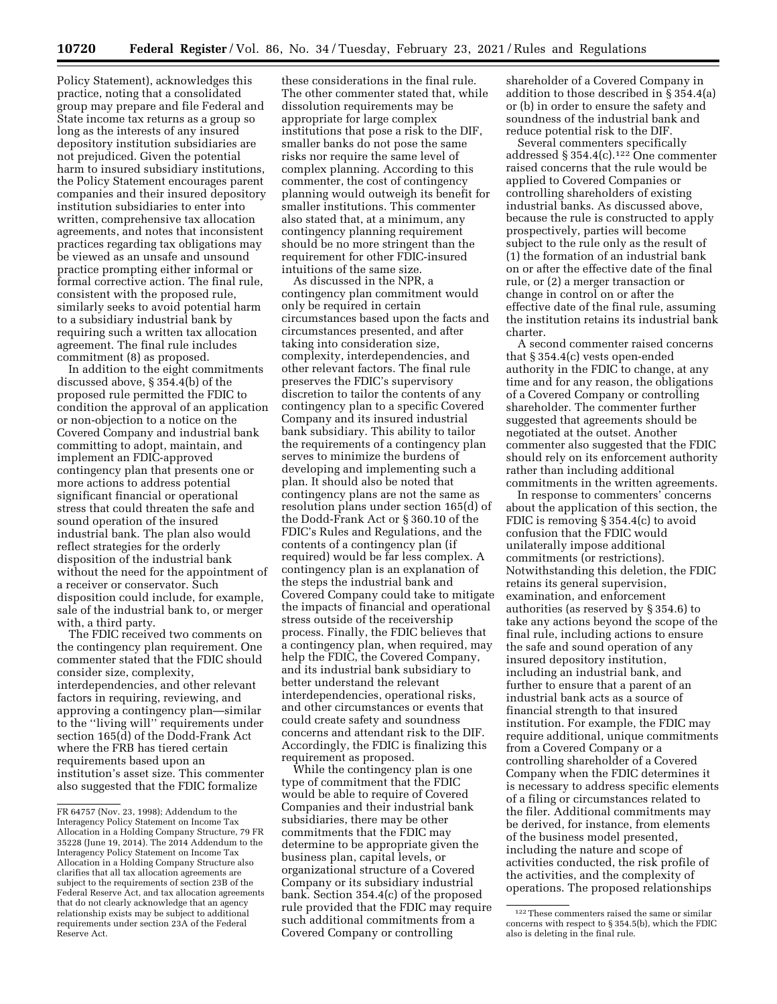Policy Statement), acknowledges this practice, noting that a consolidated group may prepare and file Federal and State income tax returns as a group so long as the interests of any insured depository institution subsidiaries are not prejudiced. Given the potential harm to insured subsidiary institutions, the Policy Statement encourages parent companies and their insured depository institution subsidiaries to enter into written, comprehensive tax allocation agreements, and notes that inconsistent practices regarding tax obligations may be viewed as an unsafe and unsound practice prompting either informal or formal corrective action. The final rule, consistent with the proposed rule, similarly seeks to avoid potential harm to a subsidiary industrial bank by requiring such a written tax allocation agreement. The final rule includes commitment (8) as proposed.

In addition to the eight commitments discussed above, § 354.4(b) of the proposed rule permitted the FDIC to condition the approval of an application or non-objection to a notice on the Covered Company and industrial bank committing to adopt, maintain, and implement an FDIC-approved contingency plan that presents one or more actions to address potential significant financial or operational stress that could threaten the safe and sound operation of the insured industrial bank. The plan also would reflect strategies for the orderly disposition of the industrial bank without the need for the appointment of a receiver or conservator. Such disposition could include, for example, sale of the industrial bank to, or merger with, a third party.

The FDIC received two comments on the contingency plan requirement. One commenter stated that the FDIC should consider size, complexity, interdependencies, and other relevant factors in requiring, reviewing, and approving a contingency plan—similar to the ''living will'' requirements under section 165(d) of the Dodd-Frank Act where the FRB has tiered certain requirements based upon an institution's asset size. This commenter also suggested that the FDIC formalize

these considerations in the final rule. The other commenter stated that, while dissolution requirements may be appropriate for large complex institutions that pose a risk to the DIF, smaller banks do not pose the same risks nor require the same level of complex planning. According to this commenter, the cost of contingency planning would outweigh its benefit for smaller institutions. This commenter also stated that, at a minimum, any contingency planning requirement should be no more stringent than the requirement for other FDIC-insured intuitions of the same size.

As discussed in the NPR, a contingency plan commitment would only be required in certain circumstances based upon the facts and circumstances presented, and after taking into consideration size, complexity, interdependencies, and other relevant factors. The final rule preserves the FDIC's supervisory discretion to tailor the contents of any contingency plan to a specific Covered Company and its insured industrial bank subsidiary. This ability to tailor the requirements of a contingency plan serves to minimize the burdens of developing and implementing such a plan. It should also be noted that contingency plans are not the same as resolution plans under section 165(d) of the Dodd-Frank Act or § 360.10 of the FDIC's Rules and Regulations, and the contents of a contingency plan (if required) would be far less complex. A contingency plan is an explanation of the steps the industrial bank and Covered Company could take to mitigate the impacts of financial and operational stress outside of the receivership process. Finally, the FDIC believes that a contingency plan, when required, may help the FDIC, the Covered Company, and its industrial bank subsidiary to better understand the relevant interdependencies, operational risks, and other circumstances or events that could create safety and soundness concerns and attendant risk to the DIF. Accordingly, the FDIC is finalizing this requirement as proposed.

While the contingency plan is one type of commitment that the FDIC would be able to require of Covered Companies and their industrial bank subsidiaries, there may be other commitments that the FDIC may determine to be appropriate given the business plan, capital levels, or organizational structure of a Covered Company or its subsidiary industrial bank. Section 354.4(c) of the proposed rule provided that the FDIC may require such additional commitments from a Covered Company or controlling

shareholder of a Covered Company in addition to those described in § 354.4(a) or (b) in order to ensure the safety and soundness of the industrial bank and reduce potential risk to the DIF.

Several commenters specifically addressed § 354.4 $(c)$ .<sup>122</sup> One commenter raised concerns that the rule would be applied to Covered Companies or controlling shareholders of existing industrial banks. As discussed above, because the rule is constructed to apply prospectively, parties will become subject to the rule only as the result of (1) the formation of an industrial bank on or after the effective date of the final rule, or (2) a merger transaction or change in control on or after the effective date of the final rule, assuming the institution retains its industrial bank charter.

A second commenter raised concerns that § 354.4(c) vests open-ended authority in the FDIC to change, at any time and for any reason, the obligations of a Covered Company or controlling shareholder. The commenter further suggested that agreements should be negotiated at the outset. Another commenter also suggested that the FDIC should rely on its enforcement authority rather than including additional commitments in the written agreements.

In response to commenters' concerns about the application of this section, the FDIC is removing § 354.4(c) to avoid confusion that the FDIC would unilaterally impose additional commitments (or restrictions). Notwithstanding this deletion, the FDIC retains its general supervision, examination, and enforcement authorities (as reserved by § 354.6) to take any actions beyond the scope of the final rule, including actions to ensure the safe and sound operation of any insured depository institution, including an industrial bank, and further to ensure that a parent of an industrial bank acts as a source of financial strength to that insured institution. For example, the FDIC may require additional, unique commitments from a Covered Company or a controlling shareholder of a Covered Company when the FDIC determines it is necessary to address specific elements of a filing or circumstances related to the filer. Additional commitments may be derived, for instance, from elements of the business model presented, including the nature and scope of activities conducted, the risk profile of the activities, and the complexity of operations. The proposed relationships

FR 64757 (Nov. 23, 1998); Addendum to the Interagency Policy Statement on Income Tax Allocation in a Holding Company Structure, 79 FR 35228 (June 19, 2014). The 2014 Addendum to the Interagency Policy Statement on Income Tax Allocation in a Holding Company Structure also clarifies that all tax allocation agreements are subject to the requirements of section 23B of the Federal Reserve Act, and tax allocation agreements that do not clearly acknowledge that an agency relationship exists may be subject to additional requirements under section 23A of the Federal Reserve Act.

<sup>122</sup>These commenters raised the same or similar concerns with respect to § 354.5(b), which the FDIC also is deleting in the final rule.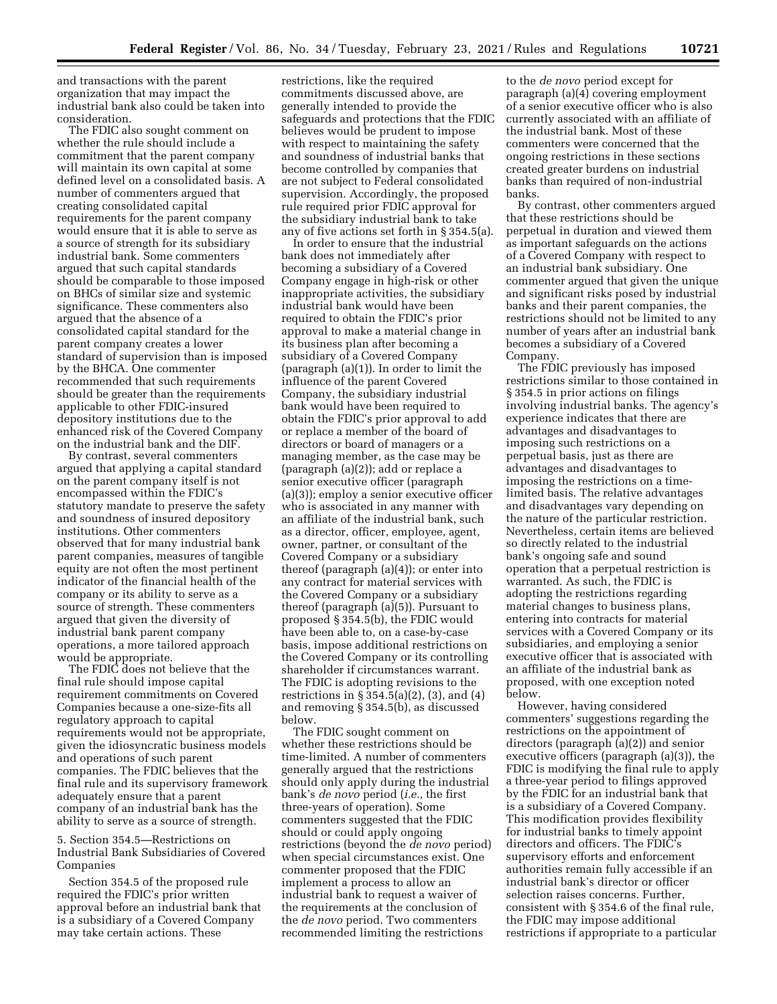and transactions with the parent organization that may impact the industrial bank also could be taken into consideration.

The FDIC also sought comment on whether the rule should include a commitment that the parent company will maintain its own capital at some defined level on a consolidated basis. A number of commenters argued that creating consolidated capital requirements for the parent company would ensure that it is able to serve as a source of strength for its subsidiary industrial bank. Some commenters argued that such capital standards should be comparable to those imposed on BHCs of similar size and systemic significance. These commenters also argued that the absence of a consolidated capital standard for the parent company creates a lower standard of supervision than is imposed by the BHCA. One commenter recommended that such requirements should be greater than the requirements applicable to other FDIC-insured depository institutions due to the enhanced risk of the Covered Company on the industrial bank and the DIF.

By contrast, several commenters argued that applying a capital standard on the parent company itself is not encompassed within the FDIC's statutory mandate to preserve the safety and soundness of insured depository institutions. Other commenters observed that for many industrial bank parent companies, measures of tangible equity are not often the most pertinent indicator of the financial health of the company or its ability to serve as a source of strength. These commenters argued that given the diversity of industrial bank parent company operations, a more tailored approach would be appropriate.

The FDIC does not believe that the final rule should impose capital requirement commitments on Covered Companies because a one-size-fits all regulatory approach to capital requirements would not be appropriate, given the idiosyncratic business models and operations of such parent companies. The FDIC believes that the final rule and its supervisory framework adequately ensure that a parent company of an industrial bank has the ability to serve as a source of strength.

## 5. Section 354.5—Restrictions on Industrial Bank Subsidiaries of Covered Companies

Section 354.5 of the proposed rule required the FDIC's prior written approval before an industrial bank that is a subsidiary of a Covered Company may take certain actions. These

restrictions, like the required commitments discussed above, are generally intended to provide the safeguards and protections that the FDIC believes would be prudent to impose with respect to maintaining the safety and soundness of industrial banks that become controlled by companies that are not subject to Federal consolidated supervision. Accordingly, the proposed rule required prior FDIC approval for the subsidiary industrial bank to take any of five actions set forth in § 354.5(a).

In order to ensure that the industrial bank does not immediately after becoming a subsidiary of a Covered Company engage in high-risk or other inappropriate activities, the subsidiary industrial bank would have been required to obtain the FDIC's prior approval to make a material change in its business plan after becoming a subsidiary of a Covered Company (paragraph (a)(1)). In order to limit the influence of the parent Covered Company, the subsidiary industrial bank would have been required to obtain the FDIC's prior approval to add or replace a member of the board of directors or board of managers or a managing member, as the case may be (paragraph (a)(2)); add or replace a senior executive officer (paragraph (a)(3)); employ a senior executive officer who is associated in any manner with an affiliate of the industrial bank, such as a director, officer, employee, agent, owner, partner, or consultant of the Covered Company or a subsidiary thereof (paragraph (a)(4)); or enter into any contract for material services with the Covered Company or a subsidiary thereof (paragraph (a)(5)). Pursuant to proposed § 354.5(b), the FDIC would have been able to, on a case-by-case basis, impose additional restrictions on the Covered Company or its controlling shareholder if circumstances warrant. The FDIC is adopting revisions to the restrictions in  $\S 354.5(a)(2)$ ,  $(3)$ , and  $(4)$ and removing § 354.5(b), as discussed below.

The FDIC sought comment on whether these restrictions should be time-limited. A number of commenters generally argued that the restrictions should only apply during the industrial bank's *de novo* period (*i.e.,* the first three-years of operation). Some commenters suggested that the FDIC should or could apply ongoing restrictions (beyond the *de novo* period) when special circumstances exist. One commenter proposed that the FDIC implement a process to allow an industrial bank to request a waiver of the requirements at the conclusion of the *de novo* period. Two commenters recommended limiting the restrictions

to the *de novo* period except for paragraph (a)(4) covering employment of a senior executive officer who is also currently associated with an affiliate of the industrial bank. Most of these commenters were concerned that the ongoing restrictions in these sections created greater burdens on industrial banks than required of non-industrial banks.

By contrast, other commenters argued that these restrictions should be perpetual in duration and viewed them as important safeguards on the actions of a Covered Company with respect to an industrial bank subsidiary. One commenter argued that given the unique and significant risks posed by industrial banks and their parent companies, the restrictions should not be limited to any number of years after an industrial bank becomes a subsidiary of a Covered Company.

The FDIC previously has imposed restrictions similar to those contained in § 354.5 in prior actions on filings involving industrial banks. The agency's experience indicates that there are advantages and disadvantages to imposing such restrictions on a perpetual basis, just as there are advantages and disadvantages to imposing the restrictions on a timelimited basis. The relative advantages and disadvantages vary depending on the nature of the particular restriction. Nevertheless, certain items are believed so directly related to the industrial bank's ongoing safe and sound operation that a perpetual restriction is warranted. As such, the FDIC is adopting the restrictions regarding material changes to business plans, entering into contracts for material services with a Covered Company or its subsidiaries, and employing a senior executive officer that is associated with an affiliate of the industrial bank as proposed, with one exception noted below.

However, having considered commenters' suggestions regarding the restrictions on the appointment of directors (paragraph (a)(2)) and senior executive officers (paragraph (a)(3)), the FDIC is modifying the final rule to apply a three-year period to filings approved by the FDIC for an industrial bank that is a subsidiary of a Covered Company. This modification provides flexibility for industrial banks to timely appoint directors and officers. The FDIC's supervisory efforts and enforcement authorities remain fully accessible if an industrial bank's director or officer selection raises concerns. Further, consistent with § 354.6 of the final rule, the FDIC may impose additional restrictions if appropriate to a particular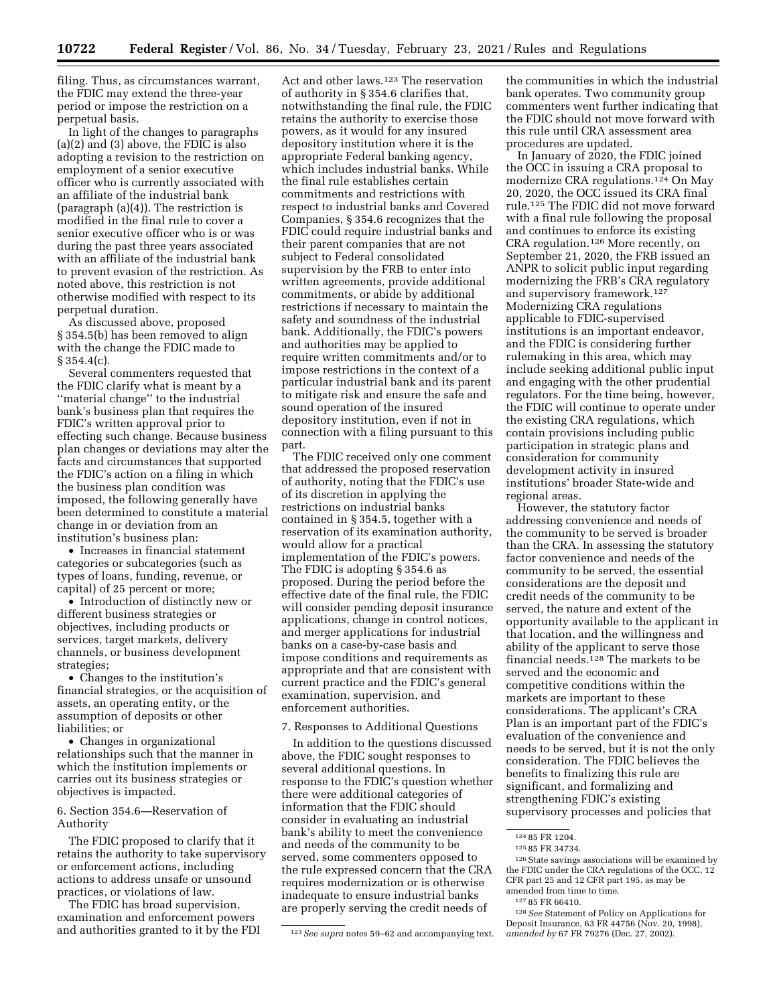filing. Thus, as circumstances warrant, the FDIC may extend the three-year period or impose the restriction on a perpetual basis.

In light of the changes to paragraphs (a)(2) and (3) above, the FDIC is also adopting a revision to the restriction on employment of a senior executive officer who is currently associated with an affiliate of the industrial bank (paragraph (a)(4)). The restriction is modified in the final rule to cover a senior executive officer who is or was during the past three years associated with an affiliate of the industrial bank to prevent evasion of the restriction. As noted above, this restriction is not otherwise modified with respect to its perpetual duration.

As discussed above, proposed § 354.5(b) has been removed to align with the change the FDIC made to § 354.4(c).

Several commenters requested that the FDIC clarify what is meant by a ''material change'' to the industrial bank's business plan that requires the FDIC's written approval prior to effecting such change. Because business plan changes or deviations may alter the facts and circumstances that supported the FDIC's action on a filing in which the business plan condition was imposed, the following generally have been determined to constitute a material change in or deviation from an institution's business plan:

• Increases in financial statement categories or subcategories (such as types of loans, funding, revenue, or capital) of 25 percent or more;

• Introduction of distinctly new or different business strategies or objectives, including products or services, target markets, delivery channels, or business development strategies;

• Changes to the institution's financial strategies, or the acquisition of assets, an operating entity, or the assumption of deposits or other liabilities; or

• Changes in organizational relationships such that the manner in which the institution implements or carries out its business strategies or objectives is impacted.

#### 6. Section 354.6—Reservation of Authority

The FDIC proposed to clarify that it retains the authority to take supervisory or enforcement actions, including actions to address unsafe or unsound practices, or violations of law.

The FDIC has broad supervision, examination and enforcement powers and authorities granted to it by the FDI

Act and other laws.123 The reservation of authority in § 354.6 clarifies that, notwithstanding the final rule, the FDIC retains the authority to exercise those powers, as it would for any insured depository institution where it is the appropriate Federal banking agency, which includes industrial banks. While the final rule establishes certain commitments and restrictions with respect to industrial banks and Covered Companies, § 354.6 recognizes that the FDIC could require industrial banks and their parent companies that are not subject to Federal consolidated supervision by the FRB to enter into written agreements, provide additional commitments, or abide by additional restrictions if necessary to maintain the safety and soundness of the industrial bank. Additionally, the FDIC's powers and authorities may be applied to require written commitments and/or to impose restrictions in the context of a particular industrial bank and its parent to mitigate risk and ensure the safe and sound operation of the insured depository institution, even if not in connection with a filing pursuant to this part.

The FDIC received only one comment that addressed the proposed reservation of authority, noting that the FDIC's use of its discretion in applying the restrictions on industrial banks contained in § 354.5, together with a reservation of its examination authority, would allow for a practical implementation of the FDIC's powers. The FDIC is adopting § 354.6 as proposed. During the period before the effective date of the final rule, the FDIC will consider pending deposit insurance applications, change in control notices, and merger applications for industrial banks on a case-by-case basis and impose conditions and requirements as appropriate and that are consistent with current practice and the FDIC's general examination, supervision, and enforcement authorities.

7. Responses to Additional Questions

In addition to the questions discussed above, the FDIC sought responses to several additional questions. In response to the FDIC's question whether there were additional categories of information that the FDIC should consider in evaluating an industrial bank's ability to meet the convenience and needs of the community to be served, some commenters opposed to the rule expressed concern that the CRA requires modernization or is otherwise inadequate to ensure industrial banks are properly serving the credit needs of

the communities in which the industrial bank operates. Two community group commenters went further indicating that the FDIC should not move forward with this rule until CRA assessment area procedures are updated.

In January of 2020, the FDIC joined the OCC in issuing a CRA proposal to modernize CRA regulations.124 On May 20, 2020, the OCC issued its CRA final rule.125 The FDIC did not move forward with a final rule following the proposal and continues to enforce its existing CRA regulation.126 More recently, on September 21, 2020, the FRB issued an ANPR to solicit public input regarding modernizing the FRB's CRA regulatory and supervisory framework.127 Modernizing CRA regulations applicable to FDIC-supervised institutions is an important endeavor, and the FDIC is considering further rulemaking in this area, which may include seeking additional public input and engaging with the other prudential regulators. For the time being, however, the FDIC will continue to operate under the existing CRA regulations, which contain provisions including public participation in strategic plans and consideration for community development activity in insured institutions' broader State-wide and regional areas.

However, the statutory factor addressing convenience and needs of the community to be served is broader than the CRA. In assessing the statutory factor convenience and needs of the community to be served, the essential considerations are the deposit and credit needs of the community to be served, the nature and extent of the opportunity available to the applicant in that location, and the willingness and ability of the applicant to serve those financial needs.128 The markets to be served and the economic and competitive conditions within the markets are important to these considerations. The applicant's CRA Plan is an important part of the FDIC's evaluation of the convenience and needs to be served, but it is not the only consideration. The FDIC believes the benefits to finalizing this rule are significant, and formalizing and strengthening FDIC's existing supervisory processes and policies that

<sup>123</sup>*See supra* notes 59–62 and accompanying text.

<sup>124</sup> 85 FR 1204.

<sup>125</sup> 85 FR 34734.

<sup>&</sup>lt;sup>126</sup> State savings associations will be examined by the FDIC under the CRA regulations of the OCC, 12 CFR part 25 and 12 CFR part 195, as may be amended from time to time.

<sup>127</sup> 85 FR 66410.

<sup>128</sup>*See* Statement of Policy on Applications for Deposit Insurance, 63 FR 44756 (Nov. 20, 1998), *amended by* 67 FR 79276 (Dec. 27, 2002).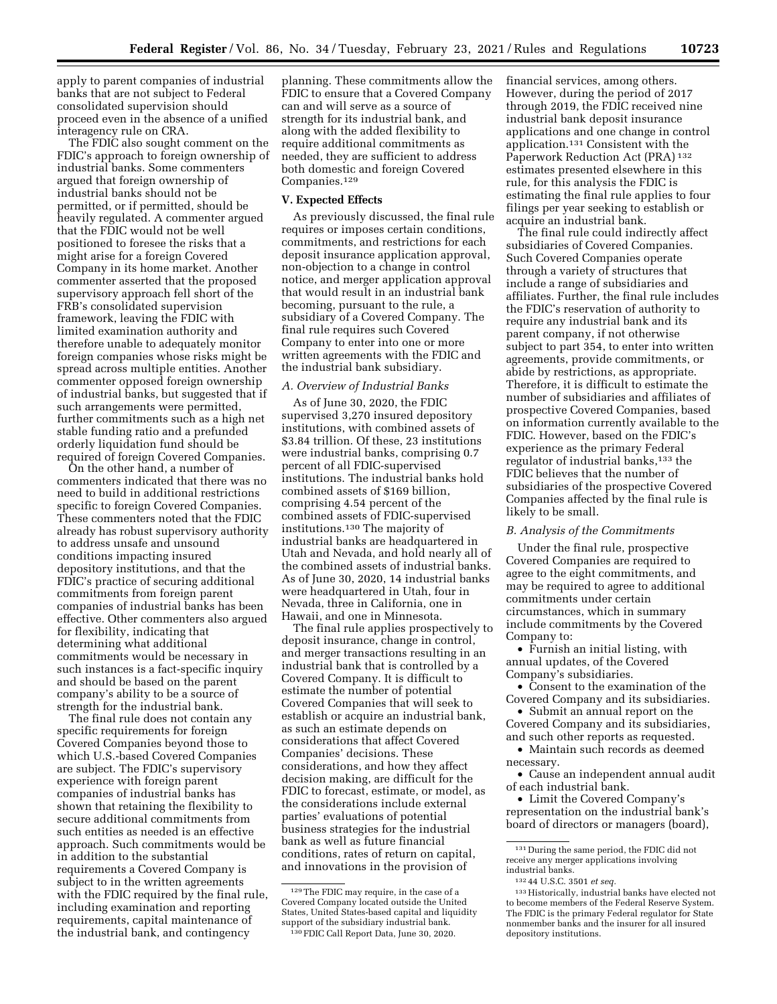apply to parent companies of industrial banks that are not subject to Federal consolidated supervision should proceed even in the absence of a unified interagency rule on CRA.

The FDIC also sought comment on the FDIC's approach to foreign ownership of industrial banks. Some commenters argued that foreign ownership of industrial banks should not be permitted, or if permitted, should be heavily regulated. A commenter argued that the FDIC would not be well positioned to foresee the risks that a might arise for a foreign Covered Company in its home market. Another commenter asserted that the proposed supervisory approach fell short of the FRB's consolidated supervision framework, leaving the FDIC with limited examination authority and therefore unable to adequately monitor foreign companies whose risks might be spread across multiple entities. Another commenter opposed foreign ownership of industrial banks, but suggested that if such arrangements were permitted, further commitments such as a high net stable funding ratio and a prefunded orderly liquidation fund should be required of foreign Covered Companies.

On the other hand, a number of commenters indicated that there was no need to build in additional restrictions specific to foreign Covered Companies. These commenters noted that the FDIC already has robust supervisory authority to address unsafe and unsound conditions impacting insured depository institutions, and that the FDIC's practice of securing additional commitments from foreign parent companies of industrial banks has been effective. Other commenters also argued for flexibility, indicating that determining what additional commitments would be necessary in such instances is a fact-specific inquiry and should be based on the parent company's ability to be a source of strength for the industrial bank.

The final rule does not contain any specific requirements for foreign Covered Companies beyond those to which U.S.-based Covered Companies are subject. The FDIC's supervisory experience with foreign parent companies of industrial banks has shown that retaining the flexibility to secure additional commitments from such entities as needed is an effective approach. Such commitments would be in addition to the substantial requirements a Covered Company is subject to in the written agreements with the FDIC required by the final rule, including examination and reporting requirements, capital maintenance of the industrial bank, and contingency

planning. These commitments allow the FDIC to ensure that a Covered Company can and will serve as a source of strength for its industrial bank, and along with the added flexibility to require additional commitments as needed, they are sufficient to address both domestic and foreign Covered Companies.129

#### **V. Expected Effects**

As previously discussed, the final rule requires or imposes certain conditions, commitments, and restrictions for each deposit insurance application approval, non-objection to a change in control notice, and merger application approval that would result in an industrial bank becoming, pursuant to the rule, a subsidiary of a Covered Company. The final rule requires such Covered Company to enter into one or more written agreements with the FDIC and the industrial bank subsidiary.

# *A. Overview of Industrial Banks*

As of June 30, 2020, the FDIC supervised 3,270 insured depository institutions, with combined assets of \$3.84 trillion. Of these, 23 institutions were industrial banks, comprising 0.7 percent of all FDIC-supervised institutions. The industrial banks hold combined assets of \$169 billion, comprising 4.54 percent of the combined assets of FDIC-supervised institutions.130 The majority of industrial banks are headquartered in Utah and Nevada, and hold nearly all of the combined assets of industrial banks. As of June 30, 2020, 14 industrial banks were headquartered in Utah, four in Nevada, three in California, one in Hawaii, and one in Minnesota.

The final rule applies prospectively to deposit insurance, change in control, and merger transactions resulting in an industrial bank that is controlled by a Covered Company. It is difficult to estimate the number of potential Covered Companies that will seek to establish or acquire an industrial bank, as such an estimate depends on considerations that affect Covered Companies' decisions. These considerations, and how they affect decision making, are difficult for the FDIC to forecast, estimate, or model, as the considerations include external parties' evaluations of potential business strategies for the industrial bank as well as future financial conditions, rates of return on capital, and innovations in the provision of

financial services, among others. However, during the period of 2017 through 2019, the FDIC received nine industrial bank deposit insurance applications and one change in control application.131 Consistent with the Paperwork Reduction Act (PRA) 132 estimates presented elsewhere in this rule, for this analysis the FDIC is estimating the final rule applies to four filings per year seeking to establish or acquire an industrial bank.

The final rule could indirectly affect subsidiaries of Covered Companies. Such Covered Companies operate through a variety of structures that include a range of subsidiaries and affiliates. Further, the final rule includes the FDIC's reservation of authority to require any industrial bank and its parent company, if not otherwise subject to part 354, to enter into written agreements, provide commitments, or abide by restrictions, as appropriate. Therefore, it is difficult to estimate the number of subsidiaries and affiliates of prospective Covered Companies, based on information currently available to the FDIC. However, based on the FDIC's experience as the primary Federal regulator of industrial banks,<sup>133</sup> the FDIC believes that the number of subsidiaries of the prospective Covered Companies affected by the final rule is likely to be small.

#### *B. Analysis of the Commitments*

Under the final rule, prospective Covered Companies are required to agree to the eight commitments, and may be required to agree to additional commitments under certain circumstances, which in summary include commitments by the Covered Company to:

• Furnish an initial listing, with annual updates, of the Covered Company's subsidiaries.

• Consent to the examination of the Covered Company and its subsidiaries.

• Submit an annual report on the Covered Company and its subsidiaries, and such other reports as requested.

• Maintain such records as deemed necessary.

• Cause an independent annual audit of each industrial bank.

• Limit the Covered Company's representation on the industrial bank's board of directors or managers (board),

131 During the same period, the FDIC did not receive any merger applications involving industrial banks.

<sup>129</sup>The FDIC may require, in the case of a Covered Company located outside the United States, United States-based capital and liquidity support of the subsidiary industrial bank. 130FDIC Call Report Data, June 30, 2020.

<sup>132</sup> 44 U.S.C. 3501 *et seq.* 

<sup>133</sup>Historically, industrial banks have elected not to become members of the Federal Reserve System. The FDIC is the primary Federal regulator for State nonmember banks and the insurer for all insured depository institutions.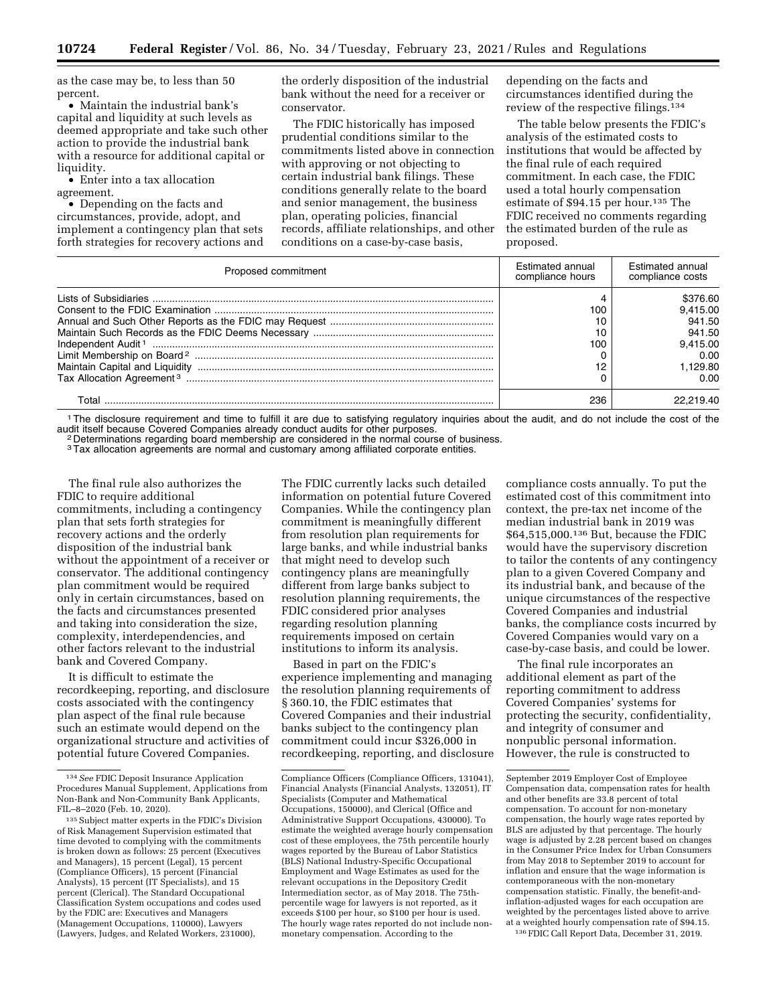as the case may be, to less than 50 percent.

• Maintain the industrial bank's capital and liquidity at such levels as deemed appropriate and take such other action to provide the industrial bank with a resource for additional capital or liquidity.

• Enter into a tax allocation agreement.

• Depending on the facts and circumstances, provide, adopt, and implement a contingency plan that sets forth strategies for recovery actions and the orderly disposition of the industrial bank without the need for a receiver or conservator.

The FDIC historically has imposed prudential conditions similar to the commitments listed above in connection with approving or not objecting to certain industrial bank filings. These conditions generally relate to the board and senior management, the business plan, operating policies, financial records, affiliate relationships, and other conditions on a case-by-case basis,

depending on the facts and circumstances identified during the review of the respective filings.134

The table below presents the FDIC's analysis of the estimated costs to institutions that would be affected by the final rule of each required commitment. In each case, the FDIC used a total hourly compensation estimate of \$94.15 per hour.135 The FDIC received no comments regarding the estimated burden of the rule as proposed.

| Proposed commitment | Estimated annual<br>compliance hours | Estimated annual<br>compliance costs |  |
|---------------------|--------------------------------------|--------------------------------------|--|
|                     |                                      | \$376.60                             |  |
|                     | 100                                  | 9.415.00                             |  |
|                     |                                      | 941.50                               |  |
|                     | 10                                   | 941.50                               |  |
|                     | 100                                  | 9,415.00                             |  |
|                     |                                      | 0.00                                 |  |
|                     |                                      | 1.129.80                             |  |
|                     |                                      | 0.00                                 |  |
| Γotal               | 236                                  |                                      |  |

<sup>1</sup>The disclosure requirement and time to fulfill it are due to satisfying regulatory inquiries about the audit, and do not include the cost of the audit itself because Covered Companies already conduct audits for other pu

<sup>2</sup> Determinations regarding board membership are considered in the normal course of business.

<sup>3</sup>Tax allocation agreements are normal and customary among affiliated corporate entities.

The final rule also authorizes the FDIC to require additional commitments, including a contingency plan that sets forth strategies for recovery actions and the orderly disposition of the industrial bank without the appointment of a receiver or conservator. The additional contingency plan commitment would be required only in certain circumstances, based on the facts and circumstances presented and taking into consideration the size, complexity, interdependencies, and other factors relevant to the industrial bank and Covered Company.

It is difficult to estimate the recordkeeping, reporting, and disclosure costs associated with the contingency plan aspect of the final rule because such an estimate would depend on the organizational structure and activities of potential future Covered Companies.

The FDIC currently lacks such detailed information on potential future Covered Companies. While the contingency plan commitment is meaningfully different from resolution plan requirements for large banks, and while industrial banks that might need to develop such contingency plans are meaningfully different from large banks subject to resolution planning requirements, the FDIC considered prior analyses regarding resolution planning requirements imposed on certain institutions to inform its analysis.

Based in part on the FDIC's experience implementing and managing the resolution planning requirements of § 360.10, the FDIC estimates that Covered Companies and their industrial banks subject to the contingency plan commitment could incur \$326,000 in recordkeeping, reporting, and disclosure

compliance costs annually. To put the estimated cost of this commitment into context, the pre-tax net income of the median industrial bank in 2019 was \$64,515,000.136 But, because the FDIC would have the supervisory discretion to tailor the contents of any contingency plan to a given Covered Company and its industrial bank, and because of the unique circumstances of the respective Covered Companies and industrial banks, the compliance costs incurred by Covered Companies would vary on a case-by-case basis, and could be lower.

The final rule incorporates an additional element as part of the reporting commitment to address Covered Companies' systems for protecting the security, confidentiality, and integrity of consumer and nonpublic personal information. However, the rule is constructed to

136FDIC Call Report Data, December 31, 2019.

<sup>134</sup>*See* FDIC Deposit Insurance Application Procedures Manual Supplement, Applications from Non-Bank and Non-Community Bank Applicants, FIL–8–2020 (Feb. 10, 2020).

<sup>&</sup>lt;sup>135</sup> Subject matter experts in the FDIC's Division of Risk Management Supervision estimated that time devoted to complying with the commitments is broken down as follows: 25 percent (Executives and Managers), 15 percent (Legal), 15 percent (Compliance Officers), 15 percent (Financial Analysts), 15 percent (IT Specialists), and 15 percent (Clerical). The Standard Occupational Classification System occupations and codes used by the FDIC are: Executives and Managers (Management Occupations, 110000), Lawyers (Lawyers, Judges, and Related Workers, 231000),

Compliance Officers (Compliance Officers, 131041), Financial Analysts (Financial Analysts, 132051), IT Specialists (Computer and Mathematical Occupations, 150000), and Clerical (Office and Administrative Support Occupations, 430000). To estimate the weighted average hourly compensation cost of these employees, the 75th percentile hourly wages reported by the Bureau of Labor Statistics (BLS) National Industry-Specific Occupational Employment and Wage Estimates as used for the relevant occupations in the Depository Credit Intermediation sector, as of May 2018. The 75thpercentile wage for lawyers is not reported, as it exceeds \$100 per hour, so \$100 per hour is used. The hourly wage rates reported do not include nonmonetary compensation. According to the

September 2019 Employer Cost of Employee Compensation data, compensation rates for health and other benefits are 33.8 percent of total compensation. To account for non-monetary compensation, the hourly wage rates reported by BLS are adjusted by that percentage. The hourly wage is adjusted by 2.28 percent based on changes in the Consumer Price Index for Urban Consumers from May 2018 to September 2019 to account for inflation and ensure that the wage information is contemporaneous with the non-monetary compensation statistic. Finally, the benefit-andinflation-adjusted wages for each occupation are weighted by the percentages listed above to arrive at a weighted hourly compensation rate of \$94.15.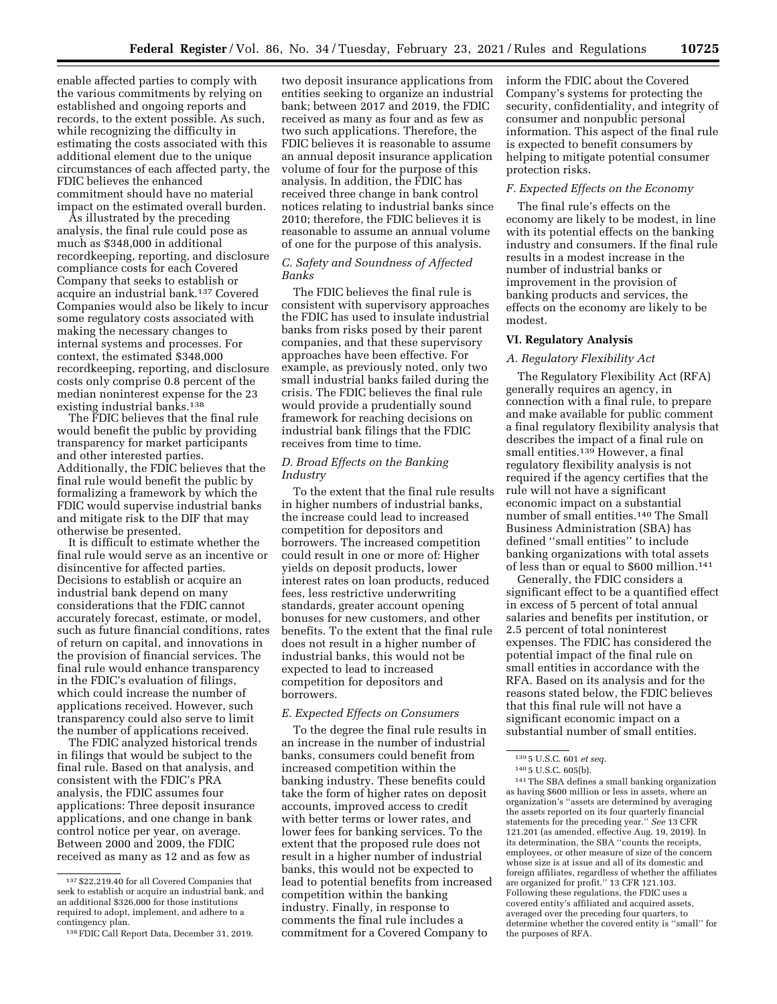enable affected parties to comply with the various commitments by relying on established and ongoing reports and records, to the extent possible. As such, while recognizing the difficulty in estimating the costs associated with this additional element due to the unique circumstances of each affected party, the FDIC believes the enhanced commitment should have no material impact on the estimated overall burden.

As illustrated by the preceding analysis, the final rule could pose as much as \$348,000 in additional recordkeeping, reporting, and disclosure compliance costs for each Covered Company that seeks to establish or acquire an industrial bank.137 Covered Companies would also be likely to incur some regulatory costs associated with making the necessary changes to internal systems and processes. For context, the estimated \$348,000 recordkeeping, reporting, and disclosure costs only comprise 0.8 percent of the median noninterest expense for the 23 existing industrial banks.<sup>138</sup>

The FDIC believes that the final rule would benefit the public by providing transparency for market participants and other interested parties. Additionally, the FDIC believes that the final rule would benefit the public by formalizing a framework by which the FDIC would supervise industrial banks and mitigate risk to the DIF that may otherwise be presented.

It is difficult to estimate whether the final rule would serve as an incentive or disincentive for affected parties. Decisions to establish or acquire an industrial bank depend on many considerations that the FDIC cannot accurately forecast, estimate, or model, such as future financial conditions, rates of return on capital, and innovations in the provision of financial services. The final rule would enhance transparency in the FDIC's evaluation of filings, which could increase the number of applications received. However, such transparency could also serve to limit the number of applications received.

The FDIC analyzed historical trends in filings that would be subject to the final rule. Based on that analysis, and consistent with the FDIC's PRA analysis, the FDIC assumes four applications: Three deposit insurance applications, and one change in bank control notice per year, on average. Between 2000 and 2009, the FDIC received as many as 12 and as few as

two deposit insurance applications from entities seeking to organize an industrial bank; between 2017 and 2019, the FDIC received as many as four and as few as two such applications. Therefore, the FDIC believes it is reasonable to assume an annual deposit insurance application volume of four for the purpose of this analysis. In addition, the FDIC has received three change in bank control notices relating to industrial banks since 2010; therefore, the FDIC believes it is reasonable to assume an annual volume of one for the purpose of this analysis.

## *C. Safety and Soundness of Affected Banks*

The FDIC believes the final rule is consistent with supervisory approaches the FDIC has used to insulate industrial banks from risks posed by their parent companies, and that these supervisory approaches have been effective. For example, as previously noted, only two small industrial banks failed during the crisis. The FDIC believes the final rule would provide a prudentially sound framework for reaching decisions on industrial bank filings that the FDIC receives from time to time.

## *D. Broad Effects on the Banking Industry*

To the extent that the final rule results in higher numbers of industrial banks, the increase could lead to increased competition for depositors and borrowers. The increased competition could result in one or more of: Higher yields on deposit products, lower interest rates on loan products, reduced fees, less restrictive underwriting standards, greater account opening bonuses for new customers, and other benefits. To the extent that the final rule does not result in a higher number of industrial banks, this would not be expected to lead to increased competition for depositors and borrowers.

## *E. Expected Effects on Consumers*

To the degree the final rule results in an increase in the number of industrial banks, consumers could benefit from increased competition within the banking industry. These benefits could take the form of higher rates on deposit accounts, improved access to credit with better terms or lower rates, and lower fees for banking services. To the extent that the proposed rule does not result in a higher number of industrial banks, this would not be expected to lead to potential benefits from increased competition within the banking industry. Finally, in response to comments the final rule includes a commitment for a Covered Company to

inform the FDIC about the Covered Company's systems for protecting the security, confidentiality, and integrity of consumer and nonpublic personal information. This aspect of the final rule is expected to benefit consumers by helping to mitigate potential consumer protection risks.

# *F. Expected Effects on the Economy*

The final rule's effects on the economy are likely to be modest, in line with its potential effects on the banking industry and consumers. If the final rule results in a modest increase in the number of industrial banks or improvement in the provision of banking products and services, the effects on the economy are likely to be modest.

#### **VI. Regulatory Analysis**

#### *A. Regulatory Flexibility Act*

The Regulatory Flexibility Act (RFA) generally requires an agency, in connection with a final rule, to prepare and make available for public comment a final regulatory flexibility analysis that describes the impact of a final rule on small entities.139 However, a final regulatory flexibility analysis is not required if the agency certifies that the rule will not have a significant economic impact on a substantial number of small entities.140 The Small Business Administration (SBA) has defined ''small entities'' to include banking organizations with total assets of less than or equal to \$600 million.141

Generally, the FDIC considers a significant effect to be a quantified effect in excess of 5 percent of total annual salaries and benefits per institution, or 2.5 percent of total noninterest expenses. The FDIC has considered the potential impact of the final rule on small entities in accordance with the RFA. Based on its analysis and for the reasons stated below, the FDIC believes that this final rule will not have a significant economic impact on a substantial number of small entities.

141The SBA defines a small banking organization as having \$600 million or less in assets, where an organization's ''assets are determined by averaging the assets reported on its four quarterly financial statements for the preceding year.'' *See* 13 CFR 121.201 (as amended, effective Aug. 19, 2019). In its determination, the SBA ''counts the receipts, employees, or other measure of size of the concern whose size is at issue and all of its domestic and foreign affiliates, regardless of whether the affiliates are organized for profit.'' 13 CFR 121.103. Following these regulations, the FDIC uses a covered entity's affiliated and acquired assets, averaged over the preceding four quarters, to determine whether the covered entity is ''small'' for the purposes of RFA.

<sup>137</sup> \$22,219.40 for all Covered Companies that seek to establish or acquire an industrial bank, and an additional \$326,000 for those institutions required to adopt, implement, and adhere to a contingency plan.

<sup>138</sup>FDIC Call Report Data, December 31, 2019.

<sup>139</sup> 5 U.S.C. 601 *et seq.* 

<sup>140</sup> 5 U.S.C. 605(b).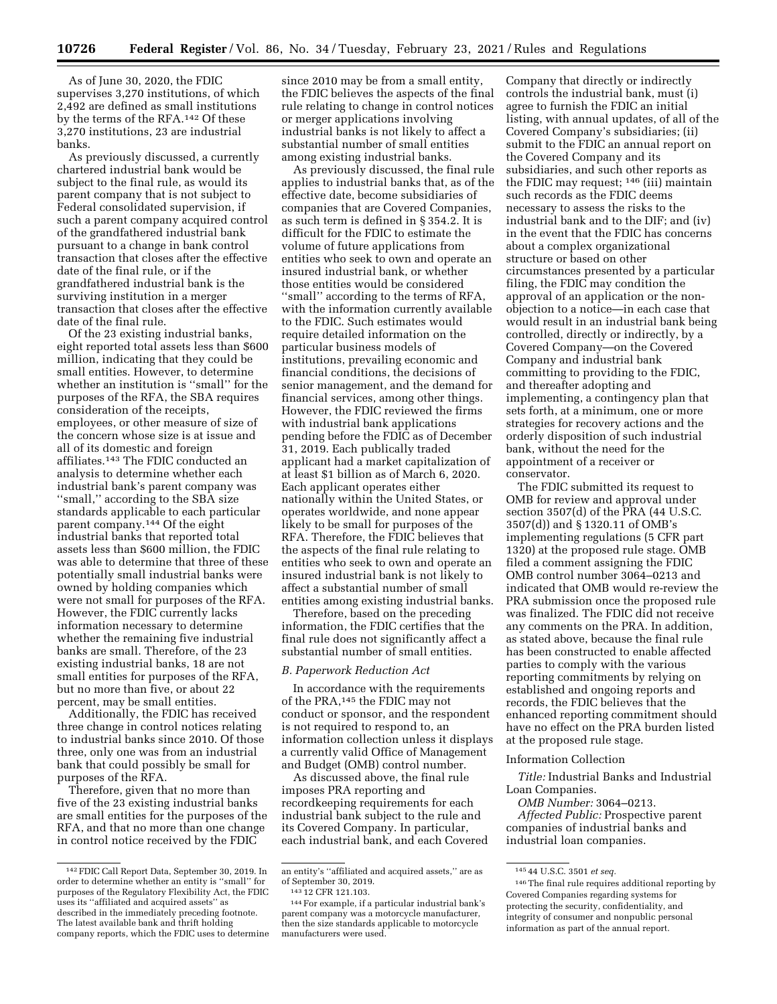As of June 30, 2020, the FDIC supervises 3,270 institutions, of which 2,492 are defined as small institutions by the terms of the RFA.142 Of these 3,270 institutions, 23 are industrial banks.

As previously discussed, a currently chartered industrial bank would be subject to the final rule, as would its parent company that is not subject to Federal consolidated supervision, if such a parent company acquired control of the grandfathered industrial bank pursuant to a change in bank control transaction that closes after the effective date of the final rule, or if the grandfathered industrial bank is the surviving institution in a merger transaction that closes after the effective date of the final rule.

Of the 23 existing industrial banks, eight reported total assets less than \$600 million, indicating that they could be small entities. However, to determine whether an institution is ''small'' for the purposes of the RFA, the SBA requires consideration of the receipts, employees, or other measure of size of the concern whose size is at issue and all of its domestic and foreign affiliates.143 The FDIC conducted an analysis to determine whether each industrial bank's parent company was ''small,'' according to the SBA size standards applicable to each particular parent company.144 Of the eight industrial banks that reported total assets less than \$600 million, the FDIC was able to determine that three of these potentially small industrial banks were owned by holding companies which were not small for purposes of the RFA. However, the FDIC currently lacks information necessary to determine whether the remaining five industrial banks are small. Therefore, of the 23 existing industrial banks, 18 are not small entities for purposes of the RFA, but no more than five, or about 22 percent, may be small entities.

Additionally, the FDIC has received three change in control notices relating to industrial banks since 2010. Of those three, only one was from an industrial bank that could possibly be small for purposes of the RFA.

Therefore, given that no more than five of the 23 existing industrial banks are small entities for the purposes of the RFA, and that no more than one change in control notice received by the FDIC

since 2010 may be from a small entity, the FDIC believes the aspects of the final rule relating to change in control notices or merger applications involving industrial banks is not likely to affect a substantial number of small entities among existing industrial banks.

As previously discussed, the final rule applies to industrial banks that, as of the effective date, become subsidiaries of companies that are Covered Companies, as such term is defined in § 354.2. It is difficult for the FDIC to estimate the volume of future applications from entities who seek to own and operate an insured industrial bank, or whether those entities would be considered ''small'' according to the terms of RFA, with the information currently available to the FDIC. Such estimates would require detailed information on the particular business models of institutions, prevailing economic and financial conditions, the decisions of senior management, and the demand for financial services, among other things. However, the FDIC reviewed the firms with industrial bank applications pending before the FDIC as of December 31, 2019. Each publically traded applicant had a market capitalization of at least \$1 billion as of March 6, 2020. Each applicant operates either nationally within the United States, or operates worldwide, and none appear likely to be small for purposes of the RFA. Therefore, the FDIC believes that the aspects of the final rule relating to entities who seek to own and operate an insured industrial bank is not likely to affect a substantial number of small entities among existing industrial banks.

Therefore, based on the preceding information, the FDIC certifies that the final rule does not significantly affect a substantial number of small entities.

#### *B. Paperwork Reduction Act*

In accordance with the requirements of the PRA,145 the FDIC may not conduct or sponsor, and the respondent is not required to respond to, an information collection unless it displays a currently valid Office of Management and Budget (OMB) control number.

As discussed above, the final rule imposes PRA reporting and recordkeeping requirements for each industrial bank subject to the rule and its Covered Company. In particular, each industrial bank, and each Covered

Company that directly or indirectly controls the industrial bank, must (i) agree to furnish the FDIC an initial listing, with annual updates, of all of the Covered Company's subsidiaries; (ii) submit to the FDIC an annual report on the Covered Company and its subsidiaries, and such other reports as the FDIC may request; 146 (iii) maintain such records as the FDIC deems necessary to assess the risks to the industrial bank and to the DIF; and (iv) in the event that the FDIC has concerns about a complex organizational structure or based on other circumstances presented by a particular filing, the FDIC may condition the approval of an application or the nonobjection to a notice—in each case that would result in an industrial bank being controlled, directly or indirectly, by a Covered Company—on the Covered Company and industrial bank committing to providing to the FDIC, and thereafter adopting and implementing, a contingency plan that sets forth, at a minimum, one or more strategies for recovery actions and the orderly disposition of such industrial bank, without the need for the appointment of a receiver or conservator.

The FDIC submitted its request to OMB for review and approval under section 3507(d) of the PRA (44 U.S.C. 3507(d)) and § 1320.11 of OMB's implementing regulations (5 CFR part 1320) at the proposed rule stage. OMB filed a comment assigning the FDIC OMB control number 3064–0213 and indicated that OMB would re-review the PRA submission once the proposed rule was finalized. The FDIC did not receive any comments on the PRA. In addition, as stated above, because the final rule has been constructed to enable affected parties to comply with the various reporting commitments by relying on established and ongoing reports and records, the FDIC believes that the enhanced reporting commitment should have no effect on the PRA burden listed at the proposed rule stage.

#### Information Collection

*Title:* Industrial Banks and Industrial Loan Companies.

*OMB Number:* 3064–0213.

*Affected Public:* Prospective parent companies of industrial banks and industrial loan companies.

<sup>142</sup>FDIC Call Report Data, September 30, 2019. In order to determine whether an entity is ''small'' for purposes of the Regulatory Flexibility Act, the FDIC uses its ''affiliated and acquired assets'' as described in the immediately preceding footnote. The latest available bank and thrift holding company reports, which the FDIC uses to determine

an entity's ''affiliated and acquired assets,'' are as of September 30, 2019. 143 12 CFR 121.103.

<sup>144</sup>For example, if a particular industrial bank's parent company was a motorcycle manufacturer, then the size standards applicable to motorcycle manufacturers were used.

<sup>145</sup> 44 U.S.C. 3501 *et seq.* 

<sup>146</sup>The final rule requires additional reporting by Covered Companies regarding systems for protecting the security, confidentiality, and integrity of consumer and nonpublic personal information as part of the annual report.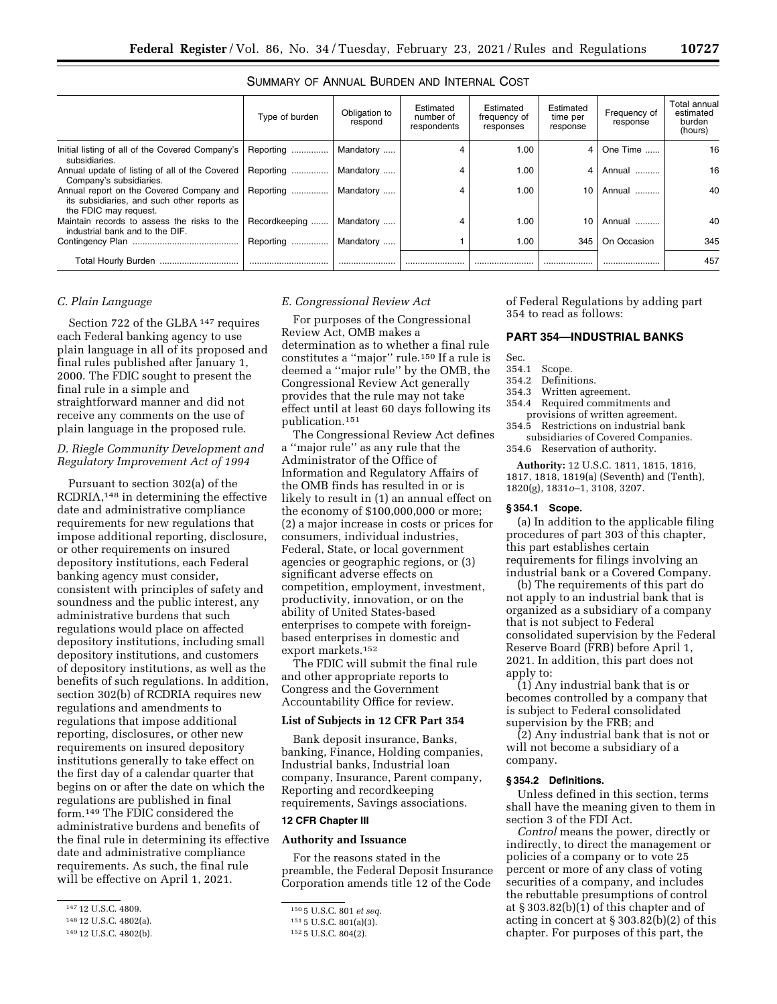|                                                                                                                  | Type of burden | Obligation to<br>respond | Estimated<br>number of<br>respondents | Estimated<br>frequency of<br>responses | Estimated<br>time per<br>response | Frequency of<br>response | Total annual<br>estimated<br>burden<br>(hours) |
|------------------------------------------------------------------------------------------------------------------|----------------|--------------------------|---------------------------------------|----------------------------------------|-----------------------------------|--------------------------|------------------------------------------------|
| Initial listing of all of the Covered Company's<br>subsidiaries.                                                 | Reporting      | Mandatory                | 4                                     | 1.00                                   | $\overline{4}$                    | One Time                 | 16                                             |
| Annual update of listing of all of the Covered<br>Company's subsidiaries.                                        | Reporting      | Mandatory                | 4                                     | 1.00                                   | 4                                 | Annual                   | 16                                             |
| Annual report on the Covered Company and<br>its subsidiaries, and such other reports as<br>the FDIC may request. | Reporting      | Mandatory                | 4                                     | 1.00                                   | 10                                | Annual                   | 40                                             |
| Maintain records to assess the risks to the<br>industrial bank and to the DIF.                                   | Recordkeeping  | Mandatory                | 4                                     | 1.00                                   |                                   | Annual                   | 40                                             |
|                                                                                                                  | Reporting      | Mandatory                |                                       | 1.00                                   | 345                               | On Occasion              | 345                                            |
| <b>Total Hourly Burden</b><br>                                                                                   |                |                          |                                       |                                        |                                   |                          | 457                                            |

# SUMMARY OF ANNUAL BURDEN AND INTERNAL COST

## *C. Plain Language*

Section 722 of the GLBA 147 requires each Federal banking agency to use plain language in all of its proposed and final rules published after January 1, 2000. The FDIC sought to present the final rule in a simple and straightforward manner and did not receive any comments on the use of plain language in the proposed rule.

# *D. Riegle Community Development and Regulatory Improvement Act of 1994*

Pursuant to section 302(a) of the RCDRIA,148 in determining the effective date and administrative compliance requirements for new regulations that impose additional reporting, disclosure, or other requirements on insured depository institutions, each Federal banking agency must consider, consistent with principles of safety and soundness and the public interest, any administrative burdens that such regulations would place on affected depository institutions, including small depository institutions, and customers of depository institutions, as well as the benefits of such regulations. In addition, section 302(b) of RCDRIA requires new regulations and amendments to regulations that impose additional reporting, disclosures, or other new requirements on insured depository institutions generally to take effect on the first day of a calendar quarter that begins on or after the date on which the regulations are published in final form.149 The FDIC considered the administrative burdens and benefits of the final rule in determining its effective date and administrative compliance requirements. As such, the final rule will be effective on April 1, 2021.

#### *E. Congressional Review Act*

For purposes of the Congressional Review Act, OMB makes a determination as to whether a final rule constitutes a ''major'' rule.150 If a rule is deemed a ''major rule'' by the OMB, the Congressional Review Act generally provides that the rule may not take effect until at least 60 days following its publication.151

The Congressional Review Act defines a ''major rule'' as any rule that the Administrator of the Office of Information and Regulatory Affairs of the OMB finds has resulted in or is likely to result in (1) an annual effect on the economy of \$100,000,000 or more; (2) a major increase in costs or prices for consumers, individual industries, Federal, State, or local government agencies or geographic regions, or (3) significant adverse effects on competition, employment, investment, productivity, innovation, or on the ability of United States-based enterprises to compete with foreignbased enterprises in domestic and export markets.152

The FDIC will submit the final rule and other appropriate reports to Congress and the Government Accountability Office for review.

## **List of Subjects in 12 CFR Part 354**

Bank deposit insurance, Banks, banking, Finance, Holding companies, Industrial banks, Industrial loan company, Insurance, Parent company, Reporting and recordkeeping requirements, Savings associations.

# **12 CFR Chapter III**

#### **Authority and Issuance**

For the reasons stated in the preamble, the Federal Deposit Insurance Corporation amends title 12 of the Code

of Federal Regulations by adding part 354 to read as follows:

## **PART 354—INDUSTRIAL BANKS**

- Sec.<br>354.1
- Scope.
- 354.2 Definitions.
- 354.3 Written agreement.
- 354.4 Required commitments and provisions of written agreement.
- 354.5 Restrictions on industrial bank subsidiaries of Covered Companies.
- 354.6 Reservation of authority.

**Authority:** 12 U.S.C. 1811, 1815, 1816, 1817, 1818, 1819(a) (Seventh) and (Tenth), 1820(g), 1831*o*–1, 3108, 3207.

#### **§ 354.1 Scope.**

(a) In addition to the applicable filing procedures of part 303 of this chapter, this part establishes certain requirements for filings involving an industrial bank or a Covered Company.

(b) The requirements of this part do not apply to an industrial bank that is organized as a subsidiary of a company that is not subject to Federal consolidated supervision by the Federal Reserve Board (FRB) before April 1, 2021. In addition, this part does not apply to:

(1) Any industrial bank that is or becomes controlled by a company that is subject to Federal consolidated supervision by the FRB; and

(2) Any industrial bank that is not or will not become a subsidiary of a company.

#### **§ 354.2 Definitions.**

Unless defined in this section, terms shall have the meaning given to them in section 3 of the FDI Act.

*Control* means the power, directly or indirectly, to direct the management or policies of a company or to vote 25 percent or more of any class of voting securities of a company, and includes the rebuttable presumptions of control at § 303.82(b)(1) of this chapter and of acting in concert at § 303.82(b)(2) of this chapter. For purposes of this part, the

<sup>147</sup> 12 U.S.C. 4809.

<sup>148</sup> 12 U.S.C. 4802(a).

<sup>149</sup> 12 U.S.C. 4802(b).

<sup>150</sup> 5 U.S.C. 801 *et seq.* 

<sup>151</sup> 5 U.S.C. 801(a)(3).

<sup>152</sup> 5 U.S.C. 804(2).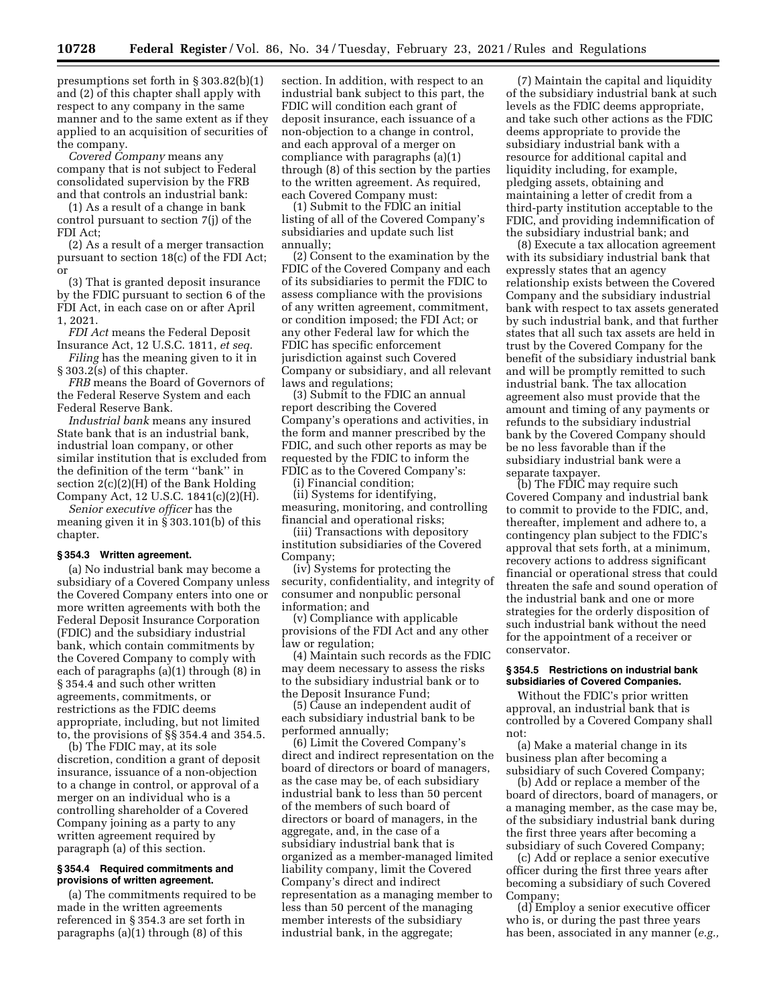presumptions set forth in § 303.82(b)(1) and (2) of this chapter shall apply with respect to any company in the same manner and to the same extent as if they applied to an acquisition of securities of the company.

*Covered Company* means any company that is not subject to Federal consolidated supervision by the FRB and that controls an industrial bank:

(1) As a result of a change in bank control pursuant to section 7(j) of the FDI Act;

(2) As a result of a merger transaction pursuant to section 18(c) of the FDI Act; or

(3) That is granted deposit insurance by the FDIC pursuant to section 6 of the FDI Act, in each case on or after April 1, 2021.

*FDI Act* means the Federal Deposit Insurance Act, 12 U.S.C. 1811, *et seq.* 

*Filing* has the meaning given to it in § 303.2(s) of this chapter.

*FRB* means the Board of Governors of the Federal Reserve System and each Federal Reserve Bank.

*Industrial bank* means any insured State bank that is an industrial bank, industrial loan company, or other similar institution that is excluded from the definition of the term ''bank'' in section 2(c)(2)(H) of the Bank Holding Company Act, 12 U.S.C. 1841(c)(2)(H).

*Senior executive officer* has the meaning given it in § 303.101(b) of this chapter.

#### **§ 354.3 Written agreement.**

(a) No industrial bank may become a subsidiary of a Covered Company unless the Covered Company enters into one or more written agreements with both the Federal Deposit Insurance Corporation (FDIC) and the subsidiary industrial bank, which contain commitments by the Covered Company to comply with each of paragraphs (a)(1) through (8) in § 354.4 and such other written agreements, commitments, or restrictions as the FDIC deems appropriate, including, but not limited to, the provisions of §§ 354.4 and 354.5.

(b) The FDIC may, at its sole discretion, condition a grant of deposit insurance, issuance of a non-objection to a change in control, or approval of a merger on an individual who is a controlling shareholder of a Covered Company joining as a party to any written agreement required by paragraph (a) of this section.

#### **§ 354.4 Required commitments and provisions of written agreement.**

(a) The commitments required to be made in the written agreements referenced in § 354.3 are set forth in paragraphs (a)(1) through (8) of this

section. In addition, with respect to an industrial bank subject to this part, the FDIC will condition each grant of deposit insurance, each issuance of a non-objection to a change in control, and each approval of a merger on compliance with paragraphs (a)(1) through (8) of this section by the parties to the written agreement. As required, each Covered Company must:

(1) Submit to the FDIC an initial listing of all of the Covered Company's subsidiaries and update such list annually;

(2) Consent to the examination by the FDIC of the Covered Company and each of its subsidiaries to permit the FDIC to assess compliance with the provisions of any written agreement, commitment, or condition imposed; the FDI Act; or any other Federal law for which the FDIC has specific enforcement jurisdiction against such Covered Company or subsidiary, and all relevant laws and regulations;

(3) Submit to the FDIC an annual report describing the Covered Company's operations and activities, in the form and manner prescribed by the FDIC, and such other reports as may be requested by the FDIC to inform the FDIC as to the Covered Company's:

(i) Financial condition;

(ii) Systems for identifying, measuring, monitoring, and controlling financial and operational risks;

(iii) Transactions with depository institution subsidiaries of the Covered Company;

(iv) Systems for protecting the security, confidentiality, and integrity of consumer and nonpublic personal information; and

(v) Compliance with applicable provisions of the FDI Act and any other law or regulation;

(4) Maintain such records as the FDIC may deem necessary to assess the risks to the subsidiary industrial bank or to the Deposit Insurance Fund;

(5) Cause an independent audit of each subsidiary industrial bank to be performed annually;

(6) Limit the Covered Company's direct and indirect representation on the board of directors or board of managers, as the case may be, of each subsidiary industrial bank to less than 50 percent of the members of such board of directors or board of managers, in the aggregate, and, in the case of a subsidiary industrial bank that is organized as a member-managed limited liability company, limit the Covered Company's direct and indirect representation as a managing member to less than 50 percent of the managing member interests of the subsidiary industrial bank, in the aggregate;

(7) Maintain the capital and liquidity of the subsidiary industrial bank at such levels as the FDIC deems appropriate, and take such other actions as the FDIC deems appropriate to provide the subsidiary industrial bank with a resource for additional capital and liquidity including, for example, pledging assets, obtaining and maintaining a letter of credit from a third-party institution acceptable to the FDIC, and providing indemnification of the subsidiary industrial bank; and

(8) Execute a tax allocation agreement with its subsidiary industrial bank that expressly states that an agency relationship exists between the Covered Company and the subsidiary industrial bank with respect to tax assets generated by such industrial bank, and that further states that all such tax assets are held in trust by the Covered Company for the benefit of the subsidiary industrial bank and will be promptly remitted to such industrial bank. The tax allocation agreement also must provide that the amount and timing of any payments or refunds to the subsidiary industrial bank by the Covered Company should be no less favorable than if the subsidiary industrial bank were a separate taxpayer.

(b) The FDIC may require such Covered Company and industrial bank to commit to provide to the FDIC, and, thereafter, implement and adhere to, a contingency plan subject to the FDIC's approval that sets forth, at a minimum, recovery actions to address significant financial or operational stress that could threaten the safe and sound operation of the industrial bank and one or more strategies for the orderly disposition of such industrial bank without the need for the appointment of a receiver or conservator.

## **§ 354.5 Restrictions on industrial bank subsidiaries of Covered Companies.**

Without the FDIC's prior written approval, an industrial bank that is controlled by a Covered Company shall not:

(a) Make a material change in its business plan after becoming a subsidiary of such Covered Company;

(b) Add or replace a member of the board of directors, board of managers, or a managing member, as the case may be, of the subsidiary industrial bank during the first three years after becoming a subsidiary of such Covered Company;

(c) Add or replace a senior executive officer during the first three years after becoming a subsidiary of such Covered Company;

(d) Employ a senior executive officer who is, or during the past three years has been, associated in any manner (*e.g.,*